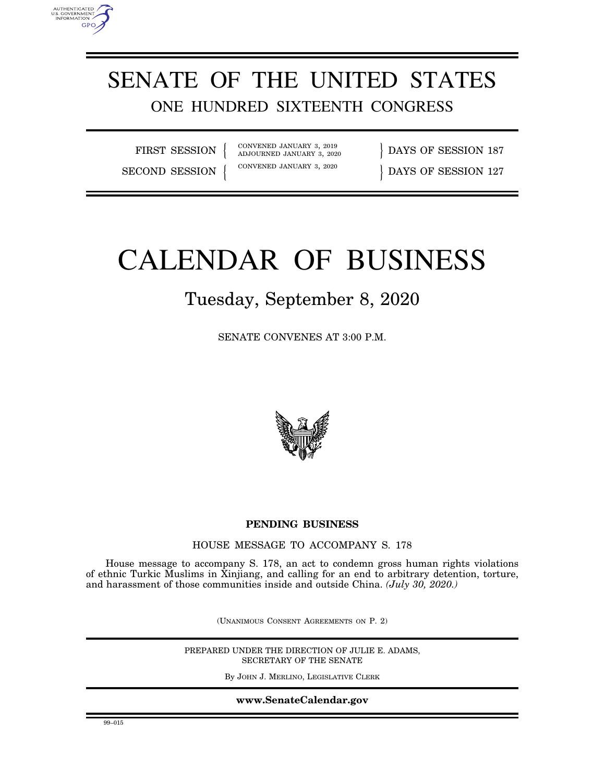

FIRST SESSION

AUTHENTICATED<br>U.S. GOVERNMENT<br>INFORMATION GPO

> CONVENED JANUARY 3, 2019<br>ADJOURNED JANUARY 3, 2020  $\{$   $\}$

DAYS OF SESSION 187 SECOND SESSION { CONVENED JANUARY 3, 2020 } DAYS OF SESSION 127

# CALENDAR OF BUSINESS

# Tuesday, September 8, 2020

SENATE CONVENES AT 3:00 P.M.



## **PENDING BUSINESS**

HOUSE MESSAGE TO ACCOMPANY S. 178

House message to accompany S. 178, an act to condemn gross human rights violations of ethnic Turkic Muslims in Xinjiang, and calling for an end to arbitrary detention, torture, and harassment of those communities inside and outside China. *(July 30, 2020.)* 

(UNANIMOUS CONSENT AGREEMENTS ON P. 2)

PREPARED UNDER THE DIRECTION OF JULIE E. ADAMS, SECRETARY OF THE SENATE

By JOHN J. MERLINO, LEGISLATIVE CLERK

**www.SenateCalendar.gov**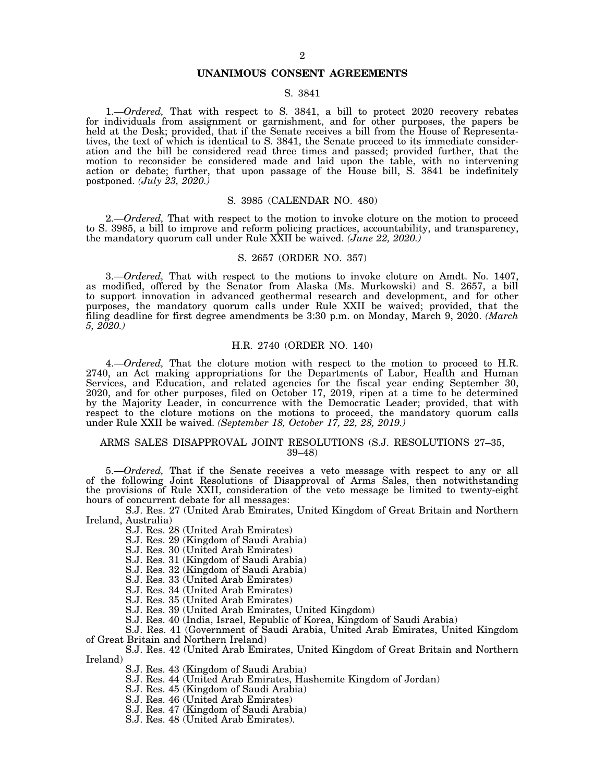#### **UNANIMOUS CONSENT AGREEMENTS**

### S. 3841

1.—*Ordered,* That with respect to S. 3841, a bill to protect 2020 recovery rebates for individuals from assignment or garnishment, and for other purposes, the papers be held at the Desk; provided, that if the Senate receives a bill from the House of Representatives, the text of which is identical to S. 3841, the Senate proceed to its immediate consideration and the bill be considered read three times and passed; provided further, that the motion to reconsider be considered made and laid upon the table, with no intervening action or debate; further, that upon passage of the House bill, S. 3841 be indefinitely postponed. *(July 23, 2020.)* 

#### S. 3985 (CALENDAR NO. 480)

2.—*Ordered,* That with respect to the motion to invoke cloture on the motion to proceed to S. 3985, a bill to improve and reform policing practices, accountability, and transparency, the mandatory quorum call under Rule XXII be waived. *(June 22, 2020.)* 

#### S. 2657 (ORDER NO. 357)

3.—*Ordered,* That with respect to the motions to invoke cloture on Amdt. No. 1407, as modified, offered by the Senator from Alaska (Ms. Murkowski) and S. 2657, a bill to support innovation in advanced geothermal research and development, and for other purposes, the mandatory quorum calls under Rule XXII be waived; provided, that the filing deadline for first degree amendments be 3:30 p.m. on Monday, March 9, 2020. *(March 5, 2020.)* 

#### H.R. 2740 (ORDER NO. 140)

4.—*Ordered,* That the cloture motion with respect to the motion to proceed to H.R. 2740, an Act making appropriations for the Departments of Labor, Health and Human Services, and Education, and related agencies for the fiscal year ending September 30, 2020, and for other purposes, filed on October 17, 2019, ripen at a time to be determined by the Majority Leader, in concurrence with the Democratic Leader; provided, that with respect to the cloture motions on the motions to proceed, the mandatory quorum calls under Rule XXII be waived. *(September 18, October 17, 22, 28, 2019.)* 

#### ARMS SALES DISAPPROVAL JOINT RESOLUTIONS (S.J. RESOLUTIONS 27–35, 39–48)

5.—*Ordered,* That if the Senate receives a veto message with respect to any or all of the following Joint Resolutions of Disapproval of Arms Sales, then notwithstanding the provisions of Rule XXII, consideration of the veto message be limited to twenty-eight hours of concurrent debate for all messages:

S.J. Res. 27 (United Arab Emirates, United Kingdom of Great Britain and Northern Ireland, Australia)

S.J. Res. 28 (United Arab Emirates)

S.J. Res. 29 (Kingdom of Saudi Arabia)

S.J. Res. 30 (United Arab Emirates)

S.J. Res. 31 (Kingdom of Saudi Arabia)

S.J. Res. 32 (Kingdom of Saudi Arabia)

S.J. Res. 33 (United Arab Emirates)

S.J. Res. 34 (United Arab Emirates)

S.J. Res. 35 (United Arab Emirates)

S.J. Res. 39 (United Arab Emirates, United Kingdom)

S.J. Res. 40 (India, Israel, Republic of Korea, Kingdom of Saudi Arabia)

S.J. Res. 41 (Government of Saudi Arabia, United Arab Emirates, United Kingdom of Great Britain and Northern Ireland)

S.J. Res. 42 (United Arab Emirates, United Kingdom of Great Britain and Northern Ireland)

S.J. Res. 43 (Kingdom of Saudi Arabia)

S.J. Res. 44 (United Arab Emirates, Hashemite Kingdom of Jordan)

S.J. Res. 45 (Kingdom of Saudi Arabia)

S.J. Res. 46 (United Arab Emirates)

S.J. Res. 47 (Kingdom of Saudi Arabia)

S.J. Res. 48 (United Arab Emirates).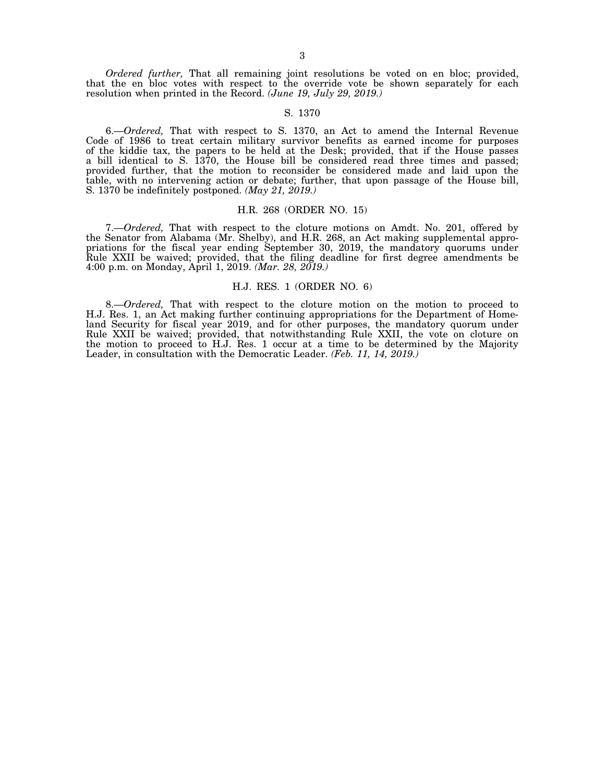*Ordered further,* That all remaining joint resolutions be voted on en bloc; provided, that the en bloc votes with respect to the override vote be shown separately for each resolution when printed in the Record. *(June 19, July 29, 2019.)* 

#### S. 1370

6.—*Ordered,* That with respect to S. 1370, an Act to amend the Internal Revenue Code of 1986 to treat certain military survivor benefits as earned income for purposes of the kiddie tax, the papers to be held at the Desk; provided, that if the House passes a bill identical to S. 1370, the House bill be considered read three times and passed; provided further, that the motion to reconsider be considered made and laid upon the table, with no intervening action or debate; further, that upon passage of the House bill, S. 1370 be indefinitely postponed. *(May 21, 2019.)* 

#### H.R. 268 (ORDER NO. 15)

7.—*Ordered,* That with respect to the cloture motions on Amdt. No. 201, offered by the Senator from Alabama (Mr. Shelby), and H.R. 268, an Act making supplemental appropriations for the fiscal year ending September 30, 2019, the mandatory quorums under Rule XXII be waived; provided, that the filing deadline for first degree amendments be 4:00 p.m. on Monday, April 1, 2019. *(Mar. 28, 2019.)* 

#### H.J. RES. 1 (ORDER NO. 6)

8.—*Ordered,* That with respect to the cloture motion on the motion to proceed to H.J. Res. 1, an Act making further continuing appropriations for the Department of Homeland Security for fiscal year 2019, and for other purposes, the mandatory quorum under Rule XXII be waived; provided, that notwithstanding Rule XXII, the vote on cloture on the motion to proceed to H.J. Res. 1 occur at a time to be determined by the Majority Leader, in consultation with the Democratic Leader. *(Feb. 11, 14, 2019.)*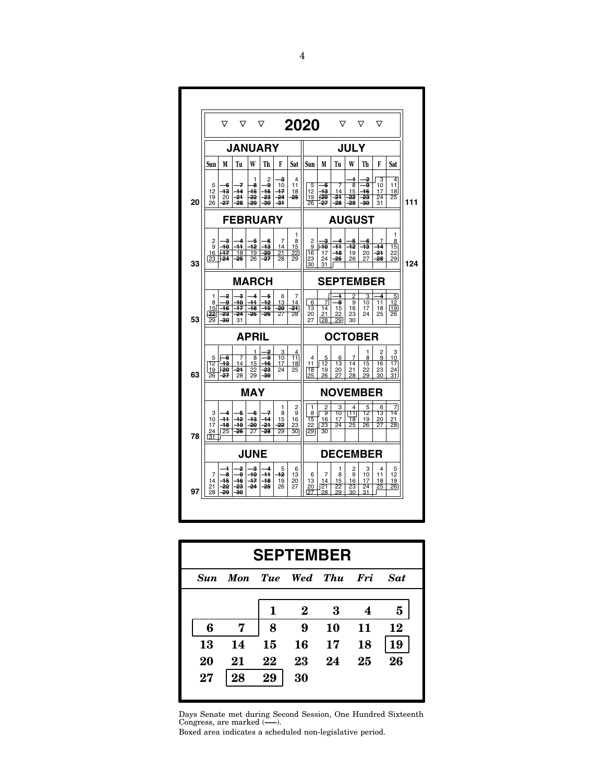|    |                                        | ▽                                       | ▽                                      |                                 | ▽                         |                            |                                       | 2020                                  |                                              | ▽                                     |                                       | ▽                                      | ▽                                      |                                               |
|----|----------------------------------------|-----------------------------------------|----------------------------------------|---------------------------------|---------------------------|----------------------------|---------------------------------------|---------------------------------------|----------------------------------------------|---------------------------------------|---------------------------------------|----------------------------------------|----------------------------------------|-----------------------------------------------|
|    |                                        |                                         | <b>JANUARY</b>                         |                                 |                           |                            |                                       |                                       |                                              |                                       | <b>JULY</b>                           |                                        |                                        |                                               |
|    | Sun                                    | M                                       | Tu                                     | W                               | Th                        | F                          | Sat                                   | Sun                                   | M                                            | Tu                                    | W                                     | Th                                     | F                                      | Sat                                           |
| 20 | 5<br>12<br>19<br>26                    | -6<br>43<br>20<br>27                    | 7<br>$\overline{14}$<br>$-24$<br>-28   | 1<br>8<br>45<br>22<br>29        | 2<br>g<br>16<br>23<br>30  | з<br>10<br>47<br>-24<br>31 | 4<br>11<br>18<br>25                   | 5<br>12<br>19<br>26                   | 6<br>43<br>قتر<br>-27                        | 7<br>14<br>21<br>$-28$                | 1<br>8<br>15<br>22<br>-29             | 2<br>9<br>46<br>23<br>30               | 3<br>10<br>17<br>$\overline{24}$<br>31 | 4<br>11<br>18<br>$\overline{25}$              |
|    |                                        |                                         | <b>FEBRUARY</b>                        |                                 |                           |                            |                                       |                                       |                                              | <b>AUGUST</b>                         |                                       |                                        |                                        |                                               |
| 33 | 2<br>9<br>16<br>23                     | -3<br>$\overline{40}$<br>$\frac{1}{24}$ | 4<br>44<br>18<br>-25                   | 5<br>42<br>19<br>26             | 6<br>43<br>-20<br>$-27$   | 7<br>14<br>21<br>28        | 1<br>8<br>15<br>22<br>29              | 2<br>9<br>16<br>23<br>30              | з<br>-40<br>17<br>24<br>31                   | 4<br>-44<br>$-48$<br>25               | 5<br>$\overline{12}$<br>19<br>26      | -6<br>43<br>20<br>27                   | 7<br>$\overline{14}$<br>-24<br>28      | 1<br>8<br>15<br>22<br>29                      |
|    |                                        |                                         | <b>MARCH</b>                           |                                 |                           |                            |                                       |                                       |                                              | <b>SEPTEMBER</b>                      |                                       |                                        |                                        |                                               |
| 53 | 1<br>8<br>15 <sup>1</sup><br>221<br>29 | 2<br>ۄ<br>$\overline{46}$<br>23<br>30   | 3<br>40<br>47<br>-24<br>31             | 4<br>44<br>48<br>$-25$          | -5<br>42<br>49<br>$-26$   | 6<br>13<br>20<br>27        | 7<br>14<br>$\overline{24}$<br>28      | 6<br>13<br>20<br>27                   | 7<br>$\overline{14}$<br>21<br>28             | 1<br>8<br>15<br>22<br>29              | $\overline{2}$<br>9<br>16<br>23<br>30 | 3<br>10<br>17<br>24                    | 4<br>$\overline{11}$<br>18<br>25       | 5<br>$\overline{12}$<br>19<br>$\overline{26}$ |
|    |                                        |                                         |                                        | <b>APRIL</b>                    |                           |                            |                                       |                                       |                                              | <b>OCTOBER</b>                        |                                       |                                        |                                        |                                               |
| 63 | 5<br>12<br>19<br>26                    | 6<br><u> 13</u><br>94⊣<br>-27           | 7<br>14<br>-24<br>28                   | 1<br>8<br><u>15</u><br>22<br>29 | 2<br>9<br>16<br>-23<br>30 | 3<br>10<br><u>17</u><br>24 | 4<br>11<br>18<br>25                   | $\overline{4}$<br>11<br>18<br>25      | 5<br>12<br>19<br>26                          | 6<br>13<br>20<br>27                   | 7<br>14<br>21<br>28                   | 1<br>8<br>15<br>22<br>29               | 2<br>9<br>16<br>23<br>30               | 3<br>10<br>17<br>24<br>31                     |
|    |                                        |                                         |                                        | <b>MAY</b>                      |                           |                            |                                       |                                       |                                              | <b>NOVEMBER</b>                       |                                       |                                        |                                        |                                               |
| 78 | 3<br>10<br>17<br>24<br>$\overline{31}$ | 4<br>$+1$<br>$+8$<br>25                 | 5<br>$^{42}$<br>49<br>$-26$            | -6<br>43<br>$-20$<br>27         | 7<br>44<br>$-24$<br>-28   | 1<br>8<br>15<br>22<br>29   | 2<br>9<br>16<br>23<br>$\overline{30}$ | 1<br>8<br>$\overline{15}$<br>22<br>29 | $\frac{2}{9}$<br>16<br>23<br>$\overline{30}$ | 3<br>10<br>17<br>$\overline{24}$      | 4<br>11<br>18<br>$\overline{25}$      | 5<br>12<br>19<br>26                    | 6<br>13<br>20<br>$\overline{27}$       | 7<br>$\overline{14}$<br>21<br>28              |
|    |                                        |                                         |                                        | <b>JUNE</b>                     |                           |                            |                                       |                                       |                                              | <b>DECEMBER</b>                       |                                       |                                        |                                        |                                               |
| 97 | 7<br>14<br>21<br>28                    | 1<br>8<br>$\overline{15}$<br>22<br>29   | 2<br>ۄ<br>$+6$<br>-23<br><del>30</del> | a<br>40<br>$+7$<br>$-24$        | 4<br>$+1$<br>48<br>$-25$  | 5<br>$^{42}$<br>19<br>26   | 6<br>13<br>20<br>27                   | 6<br>13<br>20<br>27                   | 7<br>14<br>$\sqrt{21}$<br>28                 | 1<br>8<br>15<br>$\overline{22}$<br>29 | 2<br>9<br>16<br>$\overline{23}$<br>30 | 3<br>10<br>17<br>$\overline{24}$<br>31 | 4<br>11<br>18<br>25                    | 5<br>12<br>19<br>26                           |

| <b>SEPTEMBER</b> |     |    |          |                 |    |            |
|------------------|-----|----|----------|-----------------|----|------------|
| <b>Sun</b>       | Mon |    |          | Tue Wed Thu Fri |    | <b>Sat</b> |
|                  |     | 1  | $\bf{2}$ | 3               | 4  | 5          |
| 6                | 7   | 8  | 9        | 10              | 11 | 12         |
| 13               | 14  | 15 | 16       | 17              | 18 | 19         |
| 20               | 21  | 22 | 23       | 24              | 25 | 26         |
| 27               | 28  | 29 | 30       |                 |    |            |
|                  |     |    |          |                 |    |            |

Days Senate met during Second Session, One Hundred Sixteenth Congress, are marked (**—–**).

Boxed area indicates a scheduled non-legislative period.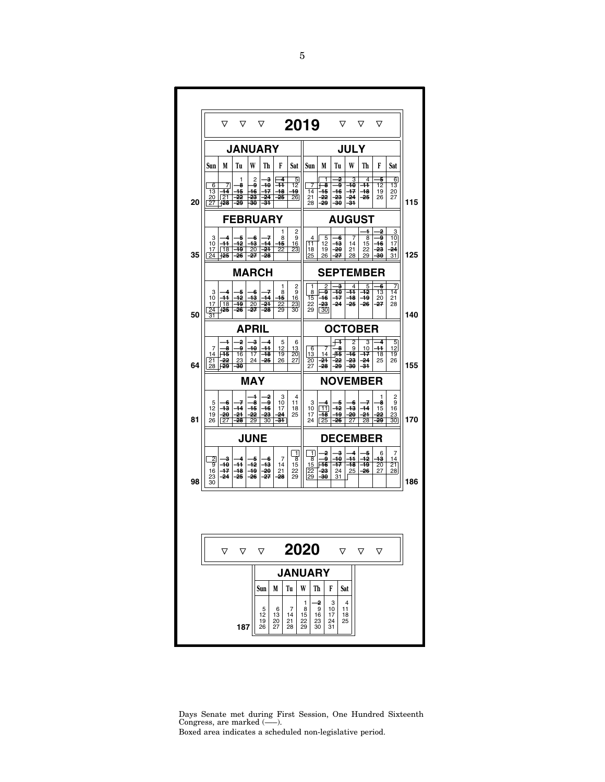| 2019<br>▽<br>$\mathbf \nabla$<br>▽<br>▽<br>▽<br>▽<br><b>JANUARY</b><br><b>JULY</b><br>W<br>F<br>W<br>F<br>M<br>Tu<br>Th<br>Sat<br>Sun<br>M<br>Tu<br>Th<br>Sat<br>Sun<br>ŝ<br>1<br>2<br>4<br><u>5</u><br>1<br>2<br>3<br>4<br>5<br>6<br>40<br>12<br>6<br>7<br>8<br>و۔<br>44<br>-7<br>-8<br>٩<br>-10<br>44<br>12<br>13<br>45<br>$+7$<br>13<br>-14<br>45<br>46<br>47<br>48<br>49<br>14<br>46<br>-48<br>19<br>20<br>$\sqrt{21}$<br>20<br>22<br>23<br>-24<br>-25<br>26<br>21<br>-22<br>-23<br>-24<br>-25<br>26<br>27<br>20<br>27<br>$\frac{1}{28}$<br>29<br>30<br>-31<br>28<br>-29<br>-30<br>-31<br><b>FEBRUARY</b><br><b>AUGUST</b><br>2<br>1<br>2<br>3<br>1<br>9<br>9<br>$\overline{10}$<br>3<br>4<br>-5<br>-6<br>7<br>8<br>4<br>5<br>7<br>8<br>f<br>10<br>44<br>$+2$<br>43<br>44<br>15<br>11<br>12<br>$+3$<br>15<br>16<br>16<br>14<br>17<br>19<br>$\overline{22}$<br>23<br>24<br>17<br>18<br>20<br>-24<br>18<br>19<br>-20<br>21<br>22<br>23<br>35<br>$\sqrt{24}$<br>-25<br>31<br>26<br>27<br>-28<br>25<br>26<br>-27<br>28<br>29<br>30<br><b>MARCH</b><br><b>SEPTEMBER</b><br>2<br>2<br>з<br>4<br>5<br>6<br>7<br>1<br>1<br>7<br>9<br>9<br>$\overline{12}$<br>3<br>4<br>-5<br>-6<br>8<br>8<br>-10<br>44<br>13<br>14<br>$+1$<br>42<br>43<br>44<br>$-16$<br>10<br>15<br>16<br>15<br>-47<br>-18<br>49<br>20<br>21<br>$\overline{18}$<br>$-24$<br>17<br>-19<br>20<br>-21<br>22<br>23<br>22<br>-23<br>-25<br>-26<br>-27<br>28<br>$\frac{1}{30}$<br>‡#डें<br>$\overline{30}$<br>-27<br>$\overline{28}$<br>24<br>-26<br>29<br>29<br>50<br>31<br><b>APRIL</b><br><b>OCTOBER</b><br>ਜ<br>2<br>з<br>4<br>5<br>2<br>3<br>4<br>$\frac{5}{12}$<br>1<br>6<br>12<br><u>13</u><br>44<br>7<br>8<br>و<br>10<br>44<br>6<br>8<br>9<br>10<br>7<br>∄க்<br>14<br>再5<br>19<br>16<br>17<br>-48<br>20<br>13<br>14<br>-16<br>47<br>18<br>19<br>27<br>21<br>22<br>23<br>24<br>-25<br>26<br>20<br>-24<br>-22<br>-23<br>-24<br>25<br>26<br>霷<br>64<br>28<br>-30<br>27<br>-28<br>-29<br>-30<br>-31<br><b>MAY</b><br><b>NOVEMBER</b><br>4<br>2<br>3<br>4<br>2<br>1<br>7<br>8<br>ą<br>10<br>11<br>4<br>7<br>9<br>5<br>-6<br>3<br>-5<br>8<br>-6<br>12<br>43<br>$\overline{14}$<br>$-16$<br>$\boxed{11}$<br>$-12$<br>-43<br>$-14$<br>45<br>10<br>15<br>16<br>17<br>18<br>19<br>20<br>24<br>22<br>-23<br>24<br>25<br>48<br>49<br>-20<br>24<br>22<br>23<br>17<br>81<br>$\sqrt{27}$<br>28<br>29<br>$\overline{30}$<br><del>31</del><br>$\sqrt{25}$<br>26<br>27<br>28<br>29<br>30 <sub>l</sub><br>26<br>24<br><b>JUNE</b><br><b>DECEMBER</b><br>$\overline{1}$<br>1<br>2<br>з<br>4<br>-5<br>7<br>6<br>$\frac{2}{9}$<br>4<br>$\overline{\bf 8}$<br>و۔<br>10<br>44<br>42<br>13<br>14<br>з<br>-6<br>8<br>5<br>7<br>44<br>42<br>$\overline{46}$<br>40<br>-13<br>14<br>15<br>47<br>18<br>49<br>20<br>$\overline{21}$<br>15<br>16<br>-47<br>48<br>49<br>-20<br>22<br>22<br>-23<br>24<br>25<br>-26<br>28<br>21<br>27<br>-24<br>-25<br>-26<br>-27<br>29<br>29<br>23<br>-28<br><del>30</del><br>31<br>98<br>30 |  |     |                            |                     |                     |                          |                           |                           |                     |  |     |
|-----------------------------------------------------------------------------------------------------------------------------------------------------------------------------------------------------------------------------------------------------------------------------------------------------------------------------------------------------------------------------------------------------------------------------------------------------------------------------------------------------------------------------------------------------------------------------------------------------------------------------------------------------------------------------------------------------------------------------------------------------------------------------------------------------------------------------------------------------------------------------------------------------------------------------------------------------------------------------------------------------------------------------------------------------------------------------------------------------------------------------------------------------------------------------------------------------------------------------------------------------------------------------------------------------------------------------------------------------------------------------------------------------------------------------------------------------------------------------------------------------------------------------------------------------------------------------------------------------------------------------------------------------------------------------------------------------------------------------------------------------------------------------------------------------------------------------------------------------------------------------------------------------------------------------------------------------------------------------------------------------------------------------------------------------------------------------------------------------------------------------------------------------------------------------------------------------------------------------------------------------------------------------------------------------------------------------------------------------------------------------------------------------------------------------------------------------------------------------------------------------------------------------------------------------------------------------------------------------------------------------------------------------------------------------------------------------------------------------------------------------------------------------------------------------------------------------------------------------------------------------------------------------------------------------------------------------------|--|-----|----------------------------|---------------------|---------------------|--------------------------|---------------------------|---------------------------|---------------------|--|-----|
|                                                                                                                                                                                                                                                                                                                                                                                                                                                                                                                                                                                                                                                                                                                                                                                                                                                                                                                                                                                                                                                                                                                                                                                                                                                                                                                                                                                                                                                                                                                                                                                                                                                                                                                                                                                                                                                                                                                                                                                                                                                                                                                                                                                                                                                                                                                                                                                                                                                                                                                                                                                                                                                                                                                                                                                                                                                                                                                                                           |  |     |                            |                     |                     |                          |                           |                           |                     |  |     |
|                                                                                                                                                                                                                                                                                                                                                                                                                                                                                                                                                                                                                                                                                                                                                                                                                                                                                                                                                                                                                                                                                                                                                                                                                                                                                                                                                                                                                                                                                                                                                                                                                                                                                                                                                                                                                                                                                                                                                                                                                                                                                                                                                                                                                                                                                                                                                                                                                                                                                                                                                                                                                                                                                                                                                                                                                                                                                                                                                           |  |     |                            |                     |                     |                          |                           |                           |                     |  |     |
|                                                                                                                                                                                                                                                                                                                                                                                                                                                                                                                                                                                                                                                                                                                                                                                                                                                                                                                                                                                                                                                                                                                                                                                                                                                                                                                                                                                                                                                                                                                                                                                                                                                                                                                                                                                                                                                                                                                                                                                                                                                                                                                                                                                                                                                                                                                                                                                                                                                                                                                                                                                                                                                                                                                                                                                                                                                                                                                                                           |  |     |                            |                     |                     |                          |                           |                           |                     |  |     |
|                                                                                                                                                                                                                                                                                                                                                                                                                                                                                                                                                                                                                                                                                                                                                                                                                                                                                                                                                                                                                                                                                                                                                                                                                                                                                                                                                                                                                                                                                                                                                                                                                                                                                                                                                                                                                                                                                                                                                                                                                                                                                                                                                                                                                                                                                                                                                                                                                                                                                                                                                                                                                                                                                                                                                                                                                                                                                                                                                           |  |     |                            |                     |                     |                          |                           |                           |                     |  | 115 |
|                                                                                                                                                                                                                                                                                                                                                                                                                                                                                                                                                                                                                                                                                                                                                                                                                                                                                                                                                                                                                                                                                                                                                                                                                                                                                                                                                                                                                                                                                                                                                                                                                                                                                                                                                                                                                                                                                                                                                                                                                                                                                                                                                                                                                                                                                                                                                                                                                                                                                                                                                                                                                                                                                                                                                                                                                                                                                                                                                           |  |     |                            |                     |                     |                          |                           |                           |                     |  |     |
|                                                                                                                                                                                                                                                                                                                                                                                                                                                                                                                                                                                                                                                                                                                                                                                                                                                                                                                                                                                                                                                                                                                                                                                                                                                                                                                                                                                                                                                                                                                                                                                                                                                                                                                                                                                                                                                                                                                                                                                                                                                                                                                                                                                                                                                                                                                                                                                                                                                                                                                                                                                                                                                                                                                                                                                                                                                                                                                                                           |  |     |                            |                     |                     |                          |                           |                           |                     |  | 125 |
|                                                                                                                                                                                                                                                                                                                                                                                                                                                                                                                                                                                                                                                                                                                                                                                                                                                                                                                                                                                                                                                                                                                                                                                                                                                                                                                                                                                                                                                                                                                                                                                                                                                                                                                                                                                                                                                                                                                                                                                                                                                                                                                                                                                                                                                                                                                                                                                                                                                                                                                                                                                                                                                                                                                                                                                                                                                                                                                                                           |  |     |                            |                     |                     |                          |                           |                           |                     |  |     |
|                                                                                                                                                                                                                                                                                                                                                                                                                                                                                                                                                                                                                                                                                                                                                                                                                                                                                                                                                                                                                                                                                                                                                                                                                                                                                                                                                                                                                                                                                                                                                                                                                                                                                                                                                                                                                                                                                                                                                                                                                                                                                                                                                                                                                                                                                                                                                                                                                                                                                                                                                                                                                                                                                                                                                                                                                                                                                                                                                           |  |     |                            |                     |                     |                          |                           |                           |                     |  | 140 |
|                                                                                                                                                                                                                                                                                                                                                                                                                                                                                                                                                                                                                                                                                                                                                                                                                                                                                                                                                                                                                                                                                                                                                                                                                                                                                                                                                                                                                                                                                                                                                                                                                                                                                                                                                                                                                                                                                                                                                                                                                                                                                                                                                                                                                                                                                                                                                                                                                                                                                                                                                                                                                                                                                                                                                                                                                                                                                                                                                           |  |     |                            |                     |                     |                          |                           |                           |                     |  |     |
|                                                                                                                                                                                                                                                                                                                                                                                                                                                                                                                                                                                                                                                                                                                                                                                                                                                                                                                                                                                                                                                                                                                                                                                                                                                                                                                                                                                                                                                                                                                                                                                                                                                                                                                                                                                                                                                                                                                                                                                                                                                                                                                                                                                                                                                                                                                                                                                                                                                                                                                                                                                                                                                                                                                                                                                                                                                                                                                                                           |  |     |                            |                     |                     |                          |                           |                           |                     |  | 155 |
|                                                                                                                                                                                                                                                                                                                                                                                                                                                                                                                                                                                                                                                                                                                                                                                                                                                                                                                                                                                                                                                                                                                                                                                                                                                                                                                                                                                                                                                                                                                                                                                                                                                                                                                                                                                                                                                                                                                                                                                                                                                                                                                                                                                                                                                                                                                                                                                                                                                                                                                                                                                                                                                                                                                                                                                                                                                                                                                                                           |  |     |                            |                     |                     |                          |                           |                           |                     |  |     |
|                                                                                                                                                                                                                                                                                                                                                                                                                                                                                                                                                                                                                                                                                                                                                                                                                                                                                                                                                                                                                                                                                                                                                                                                                                                                                                                                                                                                                                                                                                                                                                                                                                                                                                                                                                                                                                                                                                                                                                                                                                                                                                                                                                                                                                                                                                                                                                                                                                                                                                                                                                                                                                                                                                                                                                                                                                                                                                                                                           |  |     |                            |                     |                     |                          |                           |                           |                     |  | 170 |
|                                                                                                                                                                                                                                                                                                                                                                                                                                                                                                                                                                                                                                                                                                                                                                                                                                                                                                                                                                                                                                                                                                                                                                                                                                                                                                                                                                                                                                                                                                                                                                                                                                                                                                                                                                                                                                                                                                                                                                                                                                                                                                                                                                                                                                                                                                                                                                                                                                                                                                                                                                                                                                                                                                                                                                                                                                                                                                                                                           |  |     |                            |                     |                     |                          |                           |                           |                     |  |     |
|                                                                                                                                                                                                                                                                                                                                                                                                                                                                                                                                                                                                                                                                                                                                                                                                                                                                                                                                                                                                                                                                                                                                                                                                                                                                                                                                                                                                                                                                                                                                                                                                                                                                                                                                                                                                                                                                                                                                                                                                                                                                                                                                                                                                                                                                                                                                                                                                                                                                                                                                                                                                                                                                                                                                                                                                                                                                                                                                                           |  |     |                            |                     |                     |                          |                           |                           |                     |  | 186 |
|                                                                                                                                                                                                                                                                                                                                                                                                                                                                                                                                                                                                                                                                                                                                                                                                                                                                                                                                                                                                                                                                                                                                                                                                                                                                                                                                                                                                                                                                                                                                                                                                                                                                                                                                                                                                                                                                                                                                                                                                                                                                                                                                                                                                                                                                                                                                                                                                                                                                                                                                                                                                                                                                                                                                                                                                                                                                                                                                                           |  |     |                            |                     |                     |                          |                           |                           |                     |  |     |
|                                                                                                                                                                                                                                                                                                                                                                                                                                                                                                                                                                                                                                                                                                                                                                                                                                                                                                                                                                                                                                                                                                                                                                                                                                                                                                                                                                                                                                                                                                                                                                                                                                                                                                                                                                                                                                                                                                                                                                                                                                                                                                                                                                                                                                                                                                                                                                                                                                                                                                                                                                                                                                                                                                                                                                                                                                                                                                                                                           |  |     |                            |                     |                     |                          |                           |                           |                     |  |     |
| 2020<br>$\triangledown$<br>▽<br>▽<br>▽<br>$\triangledown$<br>▽                                                                                                                                                                                                                                                                                                                                                                                                                                                                                                                                                                                                                                                                                                                                                                                                                                                                                                                                                                                                                                                                                                                                                                                                                                                                                                                                                                                                                                                                                                                                                                                                                                                                                                                                                                                                                                                                                                                                                                                                                                                                                                                                                                                                                                                                                                                                                                                                                                                                                                                                                                                                                                                                                                                                                                                                                                                                                            |  |     |                            | M                   |                     |                          |                           |                           |                     |  |     |
| <b>JANUARY</b><br>Tu<br>W<br>Th<br>F<br>Sun<br>Sat                                                                                                                                                                                                                                                                                                                                                                                                                                                                                                                                                                                                                                                                                                                                                                                                                                                                                                                                                                                                                                                                                                                                                                                                                                                                                                                                                                                                                                                                                                                                                                                                                                                                                                                                                                                                                                                                                                                                                                                                                                                                                                                                                                                                                                                                                                                                                                                                                                                                                                                                                                                                                                                                                                                                                                                                                                                                                                        |  | 187 | $\frac{5}{12}$<br>19<br>26 | 6<br>13<br>20<br>27 | 7<br>14<br>21<br>28 | 1<br>8<br>15<br>22<br>29 | -2<br>9<br>16<br>23<br>30 | 3<br>10<br>17<br>24<br>31 | 4<br>11<br>18<br>25 |  |     |

Days Senate met during First Session, One Hundred Sixteenth Congress, are marked (—–). Boxed area indicates a scheduled non-legislative period.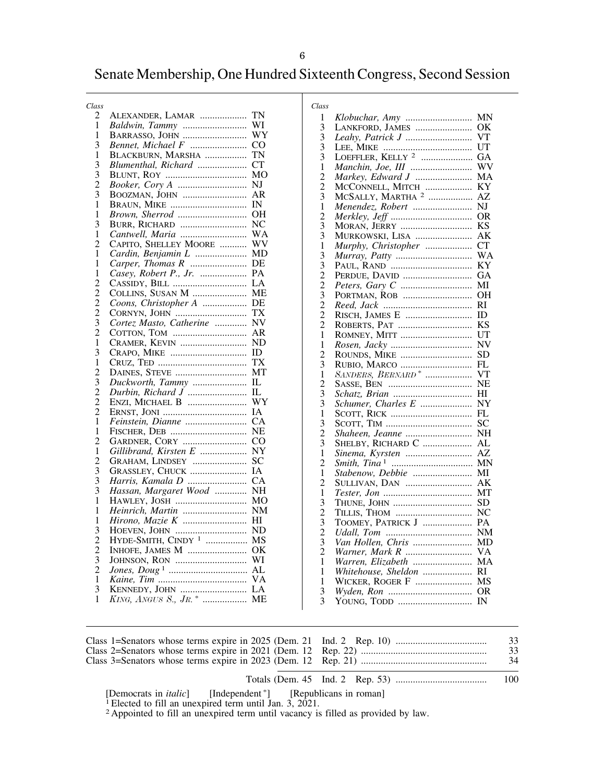# Senate Membership, One Hundred Sixteenth Congress, Second Session

| Class          |                                |           |
|----------------|--------------------------------|-----------|
| 2              | ALEXANDER, LAMAR               | TN        |
| 1              | Baldwin, Tammy                 | WI        |
| 1              | <b>BARRASSO, JOHN</b>          | WY        |
| 3              | Bennet, Michael F              | CO        |
| $\mathbf{1}$   | BLACKBURN, MARSHA              | TN        |
| 3              | Blumenthal, Richard            | <b>CT</b> |
| 3              |                                | MО        |
|                |                                | NJ        |
| $\frac{2}{3}$  | BOOZMAN, JOHN                  | AR        |
| 1              | <b>BRAUN, MIKE </b>            | IN        |
| 1              | Brown, Sherrod                 | OН        |
| 3              | BURR, RICHARD                  | NC        |
| 1              |                                | WA        |
| $\overline{2}$ | CAPITO, SHELLEY MOORE          | WV        |
| 1              | Cardin, Benjamin L             | MD        |
| 1              | Carper, Thomas R               | DE        |
| 1              | Casey, Robert P., Jr.          | PA        |
| $\overline{c}$ |                                | LA        |
| $\overline{c}$ | COLLINS, SUSAN M               | МE        |
| $\overline{2}$ | Coons, Christopher A           | DE        |
| $\overline{c}$ | CORNYN, JOHN                   | TX        |
| 3              | Cortez Masto, Catherine        | NV        |
| $\overline{2}$ | COTTON, TOM                    | AR        |
| 1              | CRAMER, KEVIN                  | $\rm ND$  |
| 3              |                                | ID        |
| 1              |                                | TX        |
| $\overline{2}$ | DAINES, STEVE                  | МT        |
|                | Duckworth, Tammy               | IL        |
| $\frac{3}{2}$  |                                | IL        |
| $\bar{2}$      | ENZI, MICHAEL B                | WY        |
| $\overline{2}$ |                                | IA        |
| 1              | Feinstein, Dianne              | <b>CA</b> |
| 1              | FISCHER, DEB                   | NE        |
| $\overline{2}$ | <b>GARDNER, CORY</b>           | $\rm CO$  |
| $\mathbf{1}$   | Gillibrand, Kirsten E          | NY        |
| $\overline{2}$ | GRAHAM, LINDSEY                | <b>SC</b> |
| 3              | GRASSLEY, CHUCK                | IA        |
| 3              | Harris, Kamala D               | CA        |
| 3              | Hassan, Margaret Wood          | NΗ        |
| 1              | HAWLEY, JOSH                   | MО        |
| 1              | Heinrich, Martin               | NΜ        |
| 1              |                                | HI        |
| 3              | HOEVEN, JOHN                   | ND        |
| $\overline{2}$ | HYDE-SMITH, CINDY <sup>1</sup> | MS        |
|                | INHOFE, JAMES M                | ОK        |
| $\frac{2}{3}$  |                                | WI        |
|                |                                | AL        |
| $\mathbf{1}$   |                                | VA        |
| 3              |                                | LA        |
| 1              |                                | МE        |
|                |                                |           |
|                |                                |           |

| Class          |                                               |           |
|----------------|-----------------------------------------------|-----------|
| 1              |                                               | <b>MN</b> |
| 3              | LANKFORD, JAMES                               | ΟK        |
| 3              |                                               | VT        |
| 3              |                                               | UT        |
| 3              | LOEFFLER, KELLY <sup>2</sup>                  | GА        |
| 1              | Manchin, Joe, III                             | WV        |
| $\overline{c}$ | Markey, Edward J                              | MA        |
| $\overline{c}$ | MCCONNELL, MITCH                              | KY        |
| 3              | MCSALLY, MARTHA <sup>2</sup>                  | AZ        |
| 1              | Menendez, Robert                              | NJ        |
| $\overline{c}$ |                                               | OR        |
| 3              | <b>MORAN, JERRY</b>                           | KS        |
| 3              | MURKOWSKI, LISA                               | AK        |
| 1              | Murphy, Christopher                           | <b>CT</b> |
| 3              | Murray, Patty                                 | WA        |
| 3              |                                               | ΚY        |
| $\frac{2}{3}$  | PERDUE, DAVID                                 | GА        |
|                |                                               | MĪ        |
|                | PORTMAN, ROB                                  | <b>OH</b> |
| $\frac{2}{2}$  |                                               | RI        |
|                | RISCH, JAMES E                                | ID        |
| $\overline{c}$ | ROBERTS, PAT                                  | KS        |
| 1              | ROMNEY, MITT                                  | UT        |
| 1              |                                               | NV        |
| $\overline{2}$ | ROUNDS, MIKE                                  | SD        |
| 3              | RUBIO, MARCO<br>SANDERS, BERNARD <sup>*</sup> | FL        |
| 1              |                                               | VT        |
| $\overline{2}$ |                                               | NE        |
| 3              |                                               | ΗΙ        |
| 3              | Schumer, Charles E                            | NY        |
| 1              |                                               | FL        |
| 3              |                                               | SC        |
| $\overline{2}$ | Shaheen, Jeanne                               | NΗ        |
| 3              | SHELBY, RICHARD C                             | AL        |
| 1              | Sinema, Kyrsten                               | AZ        |
| $\overline{2}$ |                                               | MΝ        |
| 1              | Stabenow, Debbie                              | MI        |
| $\overline{2}$ | SULLIVAN, DAN                                 | АK        |
| 1              |                                               | МT        |
| 3              | THUNE, JOHN                                   | SD        |
| $\overline{c}$ | TILLIS, THOM                                  | NC        |
| $\frac{3}{2}$  | TOOMEY, PATRICK J                             | PA        |
|                |                                               | NM        |
| $\frac{3}{2}$  | Van Hollen, Chris                             | MD        |
|                |                                               | VA        |
| 1              | Warren, Elizabeth                             | MA        |
| 1              | Whitehouse, Sheldon                           | RI        |
| 1              | WICKER, ROGER F                               | MS        |
| 3              |                                               | OR        |
| 3              | YOUNG, TODD                                   | IN        |

|  | 33 |
|--|----|
|  | 33 |
|  | 34 |

Totals (Dem. 45 Ind. 2 Rep. 53) ..................................... 100

[Democrats in *italic*] [Independent \*] [Republicans in roman] 1 Elected to fill an unexpired term until Jan. 3, 2021.

2 Appointed to fill an unexpired term until vacancy is filled as provided by law.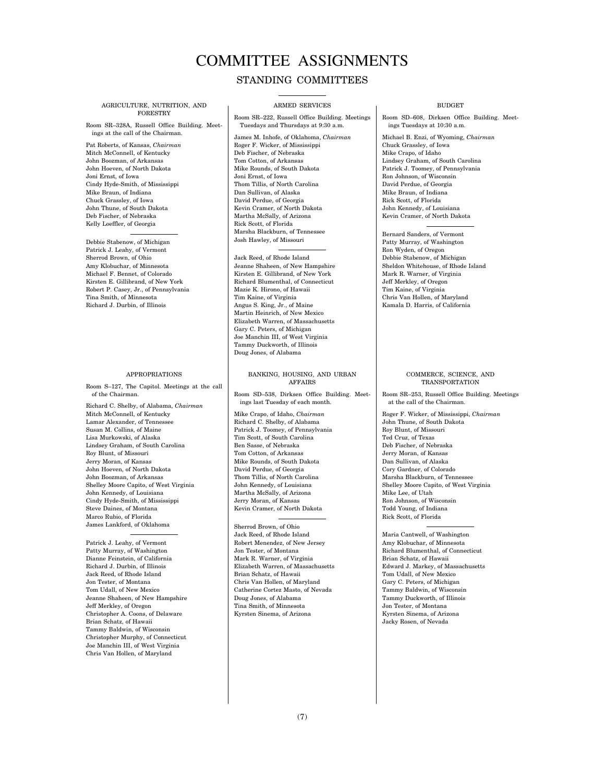# COMMITTEE ASSIGNMENTS

#### STANDING COMMITTEES

#### AGRICULTURE, NUTRITION, AND FORESTRY

Room SR–328A, Russell Office Building. Meetings at the call of the Chairman.

Pat Roberts, of Kansas, *Chairman*  Mitch McConnell, of Kentucky John Boozman, of Arkansas John Hoeven, of North Dakota Joni Ernst, of Iowa Cindy Hyde-Smith, of Mississippi Mike Braun, of Indiana Chuck Grassley, of Iowa John Thune, of South Dakota Deb Fischer, of Nebraska Kelly Loeffler, of Georgia

Debbie Stabenow, of Michigan Patrick J. Leahy, of Vermont Sherrod Brown, of Ohio Amy Klobuchar, of Minnesota Michael F. Bennet, of Colorado Kirsten E. Gillibrand, of New York Robert P. Casey, Jr., of Pennsylvania Tina Smith, of Minnesota Richard J. Durbin, of Illinois

#### APPROPRIATIONS

Room S–127, The Capitol. Meetings at the call of the Chairman.

Richard C. Shelby, of Alabama, *Chairman*  Mitch McConnell, of Kentucky Lamar Alexander, of Tennessee Susan M. Collins, of Maine Lisa Murkowski, of Alaska Lindsey Graham, of South Carolina Roy Blunt, of Missouri Jerry Moran, of Kansas John Hoeven, of North Dakota John Boozman, of Arkansas Shelley Moore Capito, of West Virginia John Kennedy, of Louisiana Cindy Hyde-Smith, of Mississippi Steve Daines, of Montana Marco Rubio, of Florida James Lankford, of Oklahoma

Patrick J. Leahy, of Vermont Patty Murray, of Washington Dianne Feinstein, of California Richard J. Durbin, of Illinois Jack Reed, of Rhode Island Jon Tester, of Montana Tom Udall, of New Mexico Jeanne Shaheen, of New Hampshire Jeff Merkley, of Oregon Christopher A. Coons, of Delaware Brian Schatz, of Hawaii Tammy Baldwin, of Wisconsin Christopher Murphy, of Connecticut Joe Manchin III, of West Virginia Chris Van Hollen, of Maryland

#### ARMED SERVICES

Room SR–222, Russell Office Building. Meetings Tuesdays and Thursdays at 9:30 a.m.

James M. Inhofe, of Oklahoma, *Chairman*  Roger F. Wicker, of Mississippi Deb Fischer, of Nebraska Tom Cotton, of Arkansas Mike Rounds, of South Dakota Joni Ernst, of Iowa Thom Tillis, of North Carolina Dan Sullivan, of Alaska David Perdue, of Georgia Kevin Cramer, of North Dakota Martha McSally, of Arizona Rick Scott, of Florida Marsha Blackburn, of Tennessee Josh Hawley, of Missouri

Jack Reed, of Rhode Island Jeanne Shaheen, of New Hampshire Kirsten E. Gillibrand, of New York Richard Blumenthal, of Connecticut Mazie K. Hirono, of Hawaii Tim Kaine, of Virginia Angus S. King, Jr., of Maine Martin Heinrich, of New Mexico Elizabeth Warren, of Massachusetts Gary C. Peters, of Michigan Joe Manchin III, of West Virginia Tammy Duckworth, of Illinois Doug Jones, of Alabama

#### BANKING, HOUSING, AND URBAN AFFAIRS

Room SD–538, Dirksen Office Building. Meetings last Tuesday of each month.

Mike Crapo, of Idaho, *Chairman*  Richard C. Shelby, of Alabama Patrick J. Toomey, of Pennsylvania Tim Scott, of South Carolina Ben Sasse, of Nebraska Tom Cotton, of Arkansas Mike Rounds, of South Dakota David Perdue, of Georgia Thom Tillis, of North Carolina John Kennedy, of Louisiana Martha McSally, of Arizona Jerry Moran, of Kansas Kevin Cramer, of North Dakota

Sherrod Brown, of Ohio Jack Reed, of Rhode Island Robert Menendez, of New Jersey Jon Tester, of Montana Mark R. Warner, of Virginia Elizabeth Warren, of Massachusetts Brian Schatz, of Hawaii Chris Van Hollen, of Maryland Catherine Cortez Masto, of Nevada Doug Jones, of Alabama Tina Smith, of Minnesota Kyrsten Sinema, of Arizona

#### **BUDGET**

Room SD–608, Dirksen Office Building. Meetings Tuesdays at 10:30 a.m.

Michael B. Enzi, of Wyoming, *Chairman*  Chuck Grassley, of Iowa Mike Crapo, of Idaho Lindsey Graham, of South Carolina Patrick J. Toomey, of Pennsylvania Ron Johnson, of Wisconsin David Perdue, of Georgia Mike Braun, of Indiana Rick Scott, of Florida John Kennedy, of Louisiana Kevin Cramer, of North Dakota

Bernard Sanders, of Vermont Patty Murray, of Washington Ron Wyden, of Oregon Debbie Stabenow, of Michigan Sheldon Whitehouse, of Rhode Island Mark R. Warner, of Virginia Jeff Merkley, of Oregon Tim Kaine, of Virginia Chris Van Hollen, of Maryland Kamala D. Harris, of California

#### COMMERCE, SCIENCE, AND TRANSPORTATION

Room SR–253, Russell Office Building. Meetings at the call of the Chairman.

Roger F. Wicker, of Mississippi, *Chairman*  John Thune, of South Dakota Roy Blunt, of Missouri Ted Cruz, of Texas Deb Fischer, of Nebraska Jerry Moran, of Kansas Dan Sullivan, of Alaska Cory Gardner, of Colorado Marsha Blackburn, of Tennessee Shelley Moore Capito, of West Virginia Mike Lee, of Utah Ron Johnson, of Wisconsin Todd Young, of Indiana Rick Scott, of Florida

Maria Cantwell, of Washington Amy Klobuchar, of Minnesota Richard Blumenthal, of Connecticut Brian Schatz, of Hawaii Edward J. Markey, of Massachusetts Tom Udall, of New Mexico Gary C. Peters, of Michigan Tammy Baldwin, of Wisconsin Tammy Duckworth, of Illinois Jon Tester, of Montana Kyrsten Sinema, of Arizona Jacky Rosen, of Nevada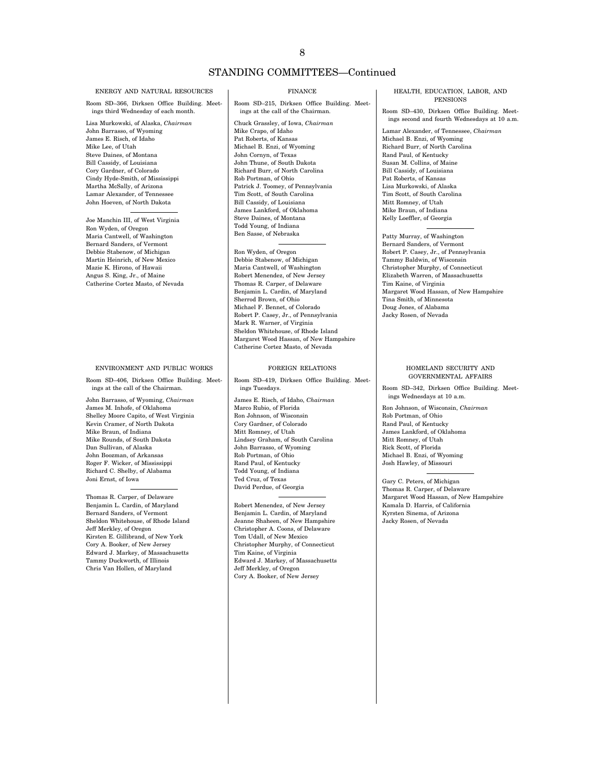### STANDING COMMITTEES—Continued

#### ENERGY AND NATURAL RESOURCES

Room SD–366, Dirksen Office Building. Meetings third Wednesday of each month.

Lisa Murkowski, of Alaska, *Chairman*  John Barrasso, of Wyoming James E. Risch, of Idaho Mike Lee, of Utah Steve Daines, of Montana Bill Cassidy, of Louisiana Cory Gardner, of Colorado Cindy Hyde-Smith, of Mississippi Martha McSally, of Arizona Lamar Alexander, of Tennessee John Hoeven, of North Dakota

Joe Manchin III, of West Virginia Ron Wyden, of Oregon Maria Cantwell, of Washington Bernard Sanders, of Vermont Debbie Stabenow, of Michigan Martin Heinrich, of New Mexico Mazie K. Hirono, of Hawaii Angus S. King, Jr., of Maine Catherine Cortez Masto, of Nevada

#### ENVIRONMENT AND PUBLIC WORKS

Room SD–406, Dirksen Office Building. Meetings at the call of the Chairman.

John Barrasso, of Wyoming, *Chairman*  James M. Inhofe, of Oklahoma Shelley Moore Capito, of West Virginia Kevin Cramer, of North Dakota Mike Braun, of Indiana Mike Rounds, of South Dakota Dan Sullivan, of Alaska John Boozman, of Arkansas Roger F. Wicker, of Mississippi Richard C. Shelby, of Alabama Joni Ernst, of Iowa

Thomas R. Carper, of Delaware Benjamin L. Cardin, of Maryland Bernard Sanders, of Vermont Sheldon Whitehouse, of Rhode Island Jeff Merkley, of Oregon Kirsten E. Gillibrand, of New York Cory A. Booker, of New Jersey Edward J. Markey, of Massachusetts Tammy Duckworth, of Illinois Chris Van Hollen, of Maryland

#### FINANCE

Room SD–215, Dirksen Office Building. Meetings at the call of the Chairman.

Chuck Grassley, of Iowa, *Chairman*  Mike Crapo, of Idaho Pat Roberts, of Kansas Michael B. Enzi, of Wyoming John Cornyn, of Texas John Thune, of South Dakota Richard Burr, of North Carolina Rob Portman, of Ohio Patrick J. Toomey, of Pennsylvania Tim Scott, of South Carolina Bill Cassidy, of Louisiana James Lankford, of Oklahoma Steve Daines, of Montana Todd Young, of Indiana Ben Sasse, of Nebraska

#### Ron Wyden, of Oregon

Debbie Stabenow, of Michigan Maria Cantwell, of Washington Robert Menendez, of New Jersey Thomas R. Carper, of Delaware Benjamin L. Cardin, of Maryland Sherrod Brown, of Ohio Michael F. Bennet, of Colorado Robert P. Casey, Jr., of Pennsylvania Mark R. Warner, of Virginia Sheldon Whitehouse, of Rhode Island Margaret Wood Hassan, of New Hampshire Catherine Cortez Masto, of Nevada

#### FOREIGN RELATIONS

Room SD–419, Dirksen Office Building. Meetings Tuesdays.

James E. Risch, of Idaho, *Chairman*  Marco Rubio, of Florida Ron Johnson, of Wisconsin Cory Gardner, of Colorado Mitt Romney, of Utah Lindsey Graham, of South Carolina John Barrasso, of Wyoming Rob Portman, of Ohio Rand Paul, of Kentucky Todd Young, of Indiana Ted Cruz, of Texas David Perdue, of Georgia

Robert Menendez, of New Jersey Benjamin L. Cardin, of Maryland Jeanne Shaheen, of New Hampshire Christopher A. Coons, of Delaware Tom Udall, of New Mexico Christopher Murphy, of Connecticut Tim Kaine, of Virginia Edward J. Markey, of Massachusetts Jeff Merkley, of Oregon Cory A. Booker, of New Jersey

#### HEALTH, EDUCATION, LABOR, AND PENSIONS

Room SD–430, Dirksen Office Building. Meetings second and fourth Wednesdays at 10 a.m. Lamar Alexander, of Tennessee, *Chairman*  Michael B. Enzi, of Wyoming

Richard Burr, of North Carolina Rand Paul, of Kentucky Susan M. Collins, of Maine Bill Cassidy, of Louisiana Pat Roberts, of Kansas Lisa Murkowski, of Alaska Tim Scott, of South Carolina Mitt Romney, of Utah Mike Braun, of Indiana Kelly Loeffler, of Georgia

Patty Murray, of Washington Bernard Sanders, of Vermont Robert P. Casey, Jr., of Pennsylvania Tammy Baldwin, of Wisconsin Christopher Murphy, of Connecticut Elizabeth Warren, of Massachusetts Tim Kaine, of Virginia Margaret Wood Hassan, of New Hampshire Tina Smith, of Minnesota Doug Jones, of Alabama Jacky Rosen, of Nevada

#### HOMELAND SECURITY AND GOVERNMENTAL AFFAIRS

Room SD–342, Dirksen Office Building. Meetings Wednesdays at 10 a.m.

Ron Johnson, of Wisconsin, *Chairman*  Rob Portman, of Ohio Rand Paul, of Kentucky James Lankford, of Oklahoma Mitt Romney, of Utah Rick Scott, of Florida Michael B. Enzi, of Wyoming Josh Hawley, of Missouri

Gary C. Peters, of Michigan Thomas R. Carper, of Delaware Margaret Wood Hassan, of New Hampshire Kamala D. Harris, of California Kyrsten Sinema, of Arizona Jacky Rosen, of Nevada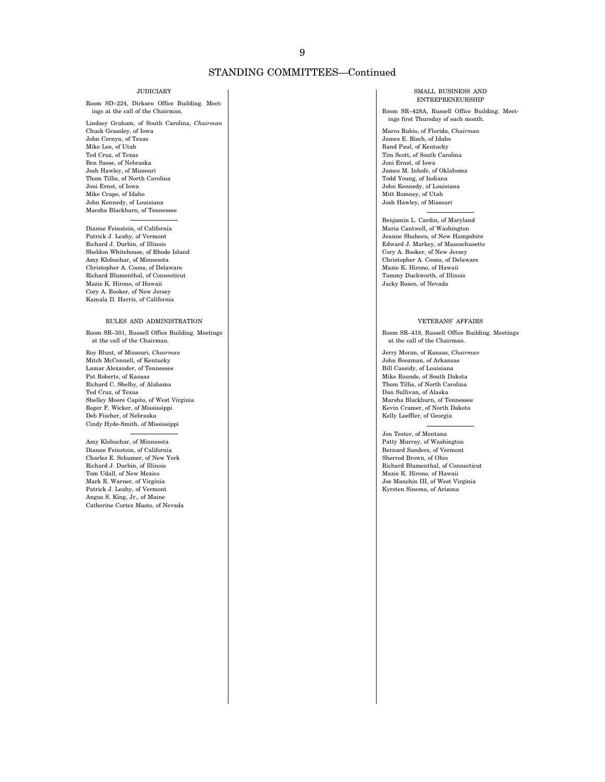### STANDING COMMITTEES—Continued

#### JUDICIARY

Room SD–224, Dirksen Office Building. Meetings at the call of the Chairman.

Lindsey Graham, of South Carolina, *Chairman*  Chuck Grassley, of Iowa John Cornyn, of Texas Mike Lee, of Utah Ted Cruz, of Texas Ben Sasse, of Nebraska Josh Hawley, of Missouri Thom Tillis, of North Carolina Joni Ernst, of Iowa Mike Crapo, of Idaho John Kennedy, of Louisiana Marsha Blackburn, of Tennessee

Dianne Feinstein, of California Patrick J. Leahy, of Vermont Richard J. Durbin, of Illinois Sheldon Whitehouse, of Rhode Island Amy Klobuchar, of Minnesota Christopher A. Coons, of Delaware Richard Blumenthal, of Connecticut Mazie K. Hirono, of Hawaii Cory A. Booker, of New Jersey Kamala D. Harris, of California

#### RULES AND ADMINISTRATION

Room SR–301, Russell Office Building. Meetings at the call of the Chairman.

Roy Blunt, of Missouri, *Chairman*  Mitch McConnell, of Kentucky Lamar Alexander, of Tennessee Pat Roberts, of Kansas Richard C. Shelby, of Alabama Ted Cruz, of Texas Shelley Moore Capito, of West Virginia Roger F. Wicker, of Mississippi Deb Fischer, of Nebraska Cindy Hyde-Smith, of Mississippi

Amy Klobuchar, of Minnesota Dianne Feinstein, of California Charles E. Schumer, of New York Richard J. Durbin, of Illinois Tom Udall, of New Mexico Mark R. Warner, of Virginia Patrick J. Leahy, of Vermont Angus S. King, Jr., of Maine Catherine Cortez Masto, of Nevada

#### SMALL BUSINESS AND ENTREPRENEURSHIP

Room SR–428A, Russell Office Building. Meetings first Thursday of each month.

Marco Rubio, of Florida, *Chairman*  James E. Risch, of Idaho Rand Paul, of Kentucky Tim Scott, of South Carolina Joni Ernst, of Iowa James M. Inhofe, of Oklahoma Todd Young, of Indiana John Kennedy, of Louisiana Mitt Romney, of Utah Josh Hawley, of Missouri

Benjamin L. Cardin, of Maryland Maria Cantwell, of Washington Jeanne Shaheen, of New Hampshire Edward J. Markey, of Massachusetts Cory A. Booker, of New Jersey Christopher A. Coons, of Delaware Mazie K. Hirono, of Hawaii Tammy Duckworth, of Illinois Jacky Rosen, of Nevada

#### VETERANS' AFFAIRS

Room SR–418, Russell Office Building. Meetings at the call of the Chairman.

Jerry Moran, of Kansas, *Chairman*  John Boozman, of Arkansas Bill Cassidy, of Louisiana Mike Rounds, of South Dakota Thom Tillis, of North Carolina Dan Sullivan, of Alaska Marsha Blackburn, of Tennessee Kevin Cramer, of North Dakota Kelly Loeffler, of Georgia

Jon Tester, of Montana Patty Murray, of Washington Bernard Sanders, of Vermont Sherrod Brown, of Ohio Richard Blumenthal, of Connecticut Mazie K. Hirono, of Hawaii Joe Manchin III, of West Virginia Kyrsten Sinema, of Arizona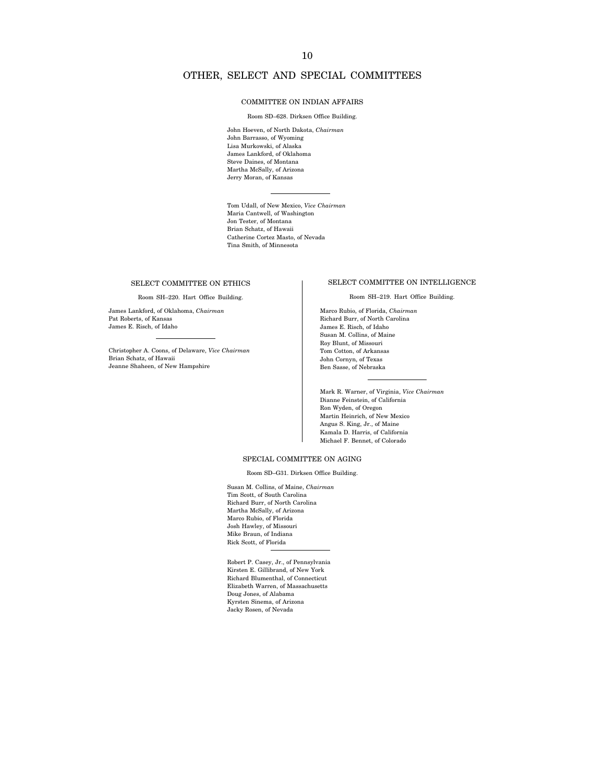### OTHER, SELECT AND SPECIAL COMMITTEES

#### COMMITTEE ON INDIAN AFFAIRS

Room SD–628. Dirksen Office Building.

John Hoeven, of North Dakota, *Chairman*  John Barrasso, of Wyoming Lisa Murkowski, of Alaska James Lankford, of Oklahoma Steve Daines, of Montana Martha McSally, of Arizona Jerry Moran, of Kansas

Tom Udall, of New Mexico, *Vice Chairman*  Maria Cantwell, of Washington Jon Tester, of Montana Brian Schatz, of Hawaii Catherine Cortez Masto, of Nevada Tina Smith, of Minnesota

#### SELECT COMMITTEE ON ETHICS

Room SH–220. Hart Office Building.

James Lankford, of Oklahoma, *Chairman*  Pat Roberts, of Kansas James E. Risch, of Idaho

Christopher A. Coons, of Delaware, *Vice Chairman*  Brian Schatz, of Hawaii Jeanne Shaheen, of New Hampshire

#### SELECT COMMITTEE ON INTELLIGENCE

Room SH–219. Hart Office Building.

Marco Rubio, of Florida, *Chairman*  Richard Burr, of North Carolina James E. Risch, of Idaho Susan M. Collins, of Maine Roy Blunt, of Missouri Tom Cotton, of Arkansas John Cornyn, of Texas Ben Sasse, of Nebraska

Mark R. Warner, of Virginia, *Vice Chairman*  Dianne Feinstein, of California Ron Wyden, of Oregon Martin Heinrich, of New Mexico Angus S. King, Jr., of Maine Kamala D. Harris, of California Michael F. Bennet, of Colorado

#### SPECIAL COMMITTEE ON AGING

Room SD–G31. Dirksen Office Building.

Susan M. Collins, of Maine, *Chairman*  Tim Scott, of South Carolina Richard Burr, of North Carolina Martha McSally, of Arizona Marco Rubio, of Florida Josh Hawley, of Missouri Mike Braun, of Indiana Rick Scott, of Florida

Robert P. Casey, Jr., of Pennsylvania Kirsten E. Gillibrand, of New York Richard Blumenthal, of Connecticut Elizabeth Warren, of Massachusetts Doug Jones, of Alabama Kyrsten Sinema, of Arizona Jacky Rosen, of Nevada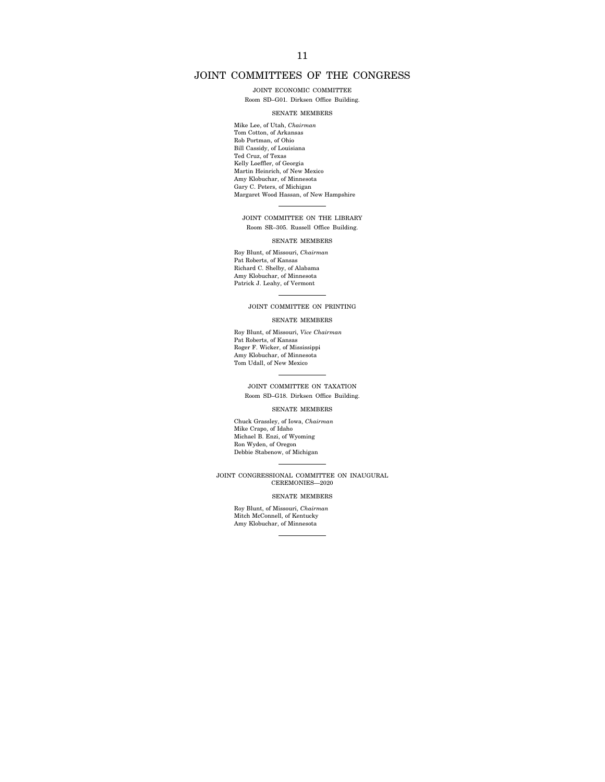### JOINT COMMITTEES OF THE CONGRESS

JOINT ECONOMIC COMMITTEE

Room SD–G01. Dirksen Office Building.

#### SENATE MEMBERS

Mike Lee, of Utah, *Chairman*  Tom Cotton, of Arkansas Rob Portman, of Ohio Bill Cassidy, of Louisiana Ted Cruz, of Texas Kelly Loeffler, of Georgia Martin Heinrich, of New Mexico Amy Klobuchar, of Minnesota Gary C. Peters, of Michigan Margaret Wood Hassan, of New Hampshire

JOINT COMMITTEE ON THE LIBRARY Room SR–305. Russell Office Building.

#### SENATE MEMBERS

Roy Blunt, of Missouri, *Chairman*  Pat Roberts, of Kansas Richard C. Shelby, of Alabama Amy Klobuchar, of Minnesota Patrick J. Leahy, of Vermont

JOINT COMMITTEE ON PRINTING

#### SENATE MEMBERS

Roy Blunt, of Missouri, *Vice Chairman*  Pat Roberts, of Kansas Roger F. Wicker, of Mississippi Amy Klobuchar, of Minnesota Tom Udall, of New Mexico

JOINT COMMITTEE ON TAXATION Room SD–G18. Dirksen Office Building.

#### SENATE MEMBERS

Chuck Grassley, of Iowa, *Chairman*  Mike Crapo, of Idaho Michael B. Enzi, of Wyoming Ron Wyden, of Oregon Debbie Stabenow, of Michigan

JOINT CONGRESSIONAL COMMITTEE ON INAUGURAL CEREMONIES—2020

#### SENATE MEMBERS

Roy Blunt, of Missouri, *Chairman*  Mitch McConnell, of Kentucky Amy Klobuchar, of Minnesota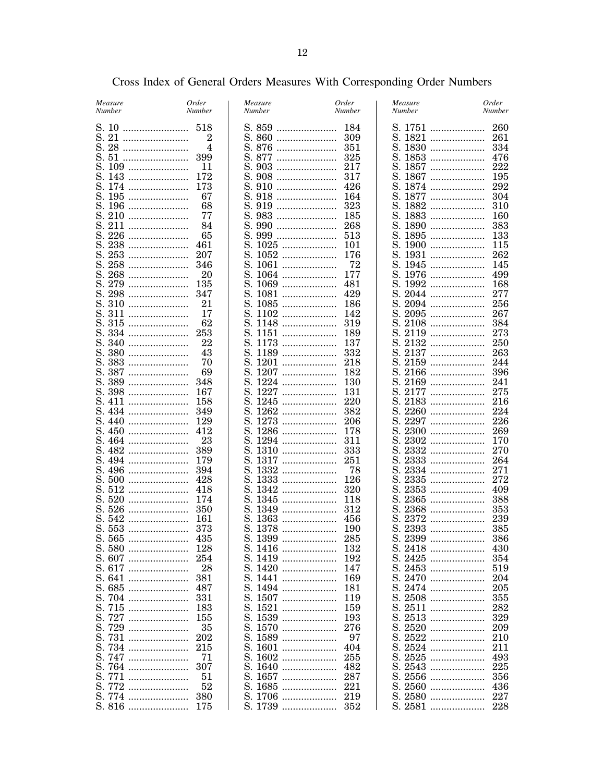| Measure<br>Number | Order<br><b>Number</b> | Measure<br>Number | Order<br>Number | Measure<br>Number | Order<br>Number |
|-------------------|------------------------|-------------------|-----------------|-------------------|-----------------|
|                   |                        |                   |                 |                   | 260             |
|                   | 2                      |                   |                 | S. 1821           | 261             |
|                   | 4                      |                   |                 | S. 1830           | 334             |
|                   |                        |                   |                 | S. 1853           | 476             |
|                   | 11                     |                   |                 | S. 1857           | 222             |
|                   |                        |                   |                 | S. 1867           | 195             |
|                   |                        |                   |                 | S. 1874           | 292             |
|                   | 67                     |                   |                 | S. 1877           | 304             |
|                   | 68                     |                   |                 | S. 1882           | 310             |
|                   | 77                     |                   |                 | S. 1883           | 160             |
|                   | 84                     |                   | 268             | S. 1890           | 383             |
|                   | 65                     |                   |                 | S. 1895           | 133             |
|                   | 461                    |                   |                 | S. 1900           | 115             |
|                   | 207                    |                   |                 | S. 1931           | 262             |
|                   |                        | S. 1061           | 72              | S. 1945           | 145             |
|                   |                        |                   |                 |                   |                 |
|                   | 20                     |                   |                 | S. 1976           | 499<br>168      |
|                   |                        |                   |                 | S. 1992           |                 |
|                   |                        |                   | 429             | S. 2044           | 277             |
|                   | 21                     |                   |                 | S. 2094           | 256             |
|                   | 17                     |                   |                 | S. 2095           | 267             |
|                   | 62                     |                   |                 | S. 2108           | 384             |
|                   |                        |                   |                 | S. 2119           | 273             |
|                   | 22                     |                   |                 |                   | 250             |
|                   | 43                     |                   |                 |                   | 263             |
| S. 383            | 70                     |                   |                 | S. 2159           | 244             |
|                   | 69                     |                   |                 |                   | 396             |
|                   |                        |                   |                 | S. 2169           | 241             |
|                   | 167                    |                   |                 | S. 2177           | 275             |
|                   | - 158                  |                   |                 | S. 2183           | 216             |
|                   |                        |                   |                 | S. 2260           | 224             |
|                   |                        |                   |                 | S. 2297           | 226             |
|                   |                        |                   |                 | S. 2300           | 269             |
|                   | 23                     |                   |                 | S. 2302           | 170             |
|                   | 389                    |                   | 333             | S. 2332           | 270             |
|                   |                        | S. 1317           | - 251           | S. 2333           | 264             |
|                   |                        | S. 1332           | 78              | S. 2334           | 271             |
|                   |                        |                   |                 | S. 2335           | 272             |
|                   |                        |                   | 320             | S. 2353           | 409             |
|                   |                        |                   | 118             | S. 2365           | 388             |
|                   |                        |                   |                 | S. 2368           | 353             |
|                   |                        |                   |                 |                   | 239             |
|                   |                        |                   |                 |                   | 385             |
|                   |                        |                   |                 |                   | 386             |
|                   |                        |                   |                 |                   |                 |
|                   | 128                    |                   |                 | S. 2418           | 430             |
|                   | 254                    | S. 1419           | 192             | S. 2425           | 354             |
|                   | 28                     |                   |                 | S. 2453           | 519             |
|                   | 381                    |                   |                 | S. 2470           | 204             |
|                   | 487                    |                   |                 | S. 2474           | 205             |
|                   | 331                    |                   |                 | S. 2508           | 355             |
| S. 715            | 183                    |                   | 159             | S. 2511           | 282             |
| S. 727            | 155                    | S. 1539           | 193             | S. 2513           | 329             |
| S. 729            | 35                     |                   | 276             | S. 2520           | 209             |
|                   | 202                    | S. 1589           | 97              | S. 2522           | 210             |
| S. 734            | 215                    | S. 1601           | 404             | S. 2524           | 211             |
| S. 747            | 71                     |                   | 255             | S. 2525           | 493             |
| S. 764            | 307                    |                   | 482             | S. 2543           | 225             |
| S. 771            | 51                     |                   |                 | S. 2556           | 356             |
| S. 772            | 52                     |                   |                 | S. 2560           | 436             |
|                   |                        |                   |                 |                   | 227             |
|                   |                        |                   |                 |                   | 228             |

# Cross Index of General Orders Measures With Corresponding Order Numbers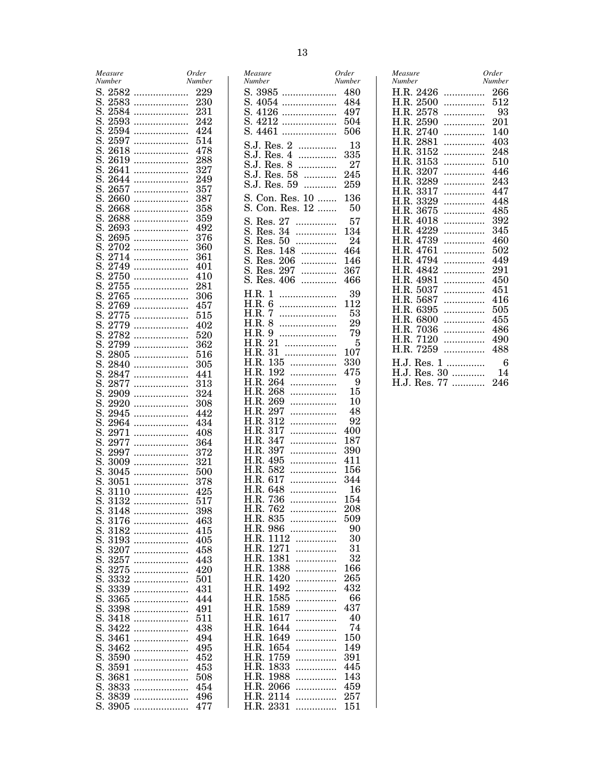|    | Measure<br>Number |   | Order<br>Number |
|----|-------------------|---|-----------------|
| S. | 2582              |   | 229             |
| S. | 2583              | . | 230             |
| S. | 2584              | . | $231\,$         |
| S. | 2593              | . | 242             |
| S. | 2594              | . | 424             |
| S. | 2597              | . | 514             |
| S. | 2618              | . | 478             |
| S. | $2619\,$          |   | 288             |
| S. | 2641              | . | $^{327}$        |
| S. | 2644              | . | 249             |
| S. | 2657              |   | 357             |
| S. | $2660\,$          | . | 387             |
| S. | $2668\,$          | . | $358\,$         |
| S. | 2688              | . | 359             |
| S. | 2693              | . | 492             |
| S. | 2695              |   | $376\,$         |
| S. | 2702              | . | 360             |
| S. | ${2714}$          | . | 361             |
| S. | 2749              |   | 401             |
| S. | $2750\,$          | . | 410             |
| S. | $2755\,$          | . | 281             |
| S. | 2765              |   | 306             |
| S. | 2769              | . | 457             |
| S. | $2775\,$          | . | $515\,$         |
| S. | 2779              |   | 402             |
| S. | 2782              | . | $_{520}$        |
| S. | 2799              |   | 362             |
| S. | 2805              | . | $516\,$         |
| S. | 2840              |   | 305             |
| S. | 2847              | . | 441             |
| S. | 2877              | . | $313\,$         |
| S. | 2909              | . | 324             |
| S. | 2920              | . | 308             |
| S. | 2945              |   | 442             |
| S. | 2964              | . | 434             |
| S. | 2971              | . | 408             |
| S. | 2977              |   | 364             |
| S. | 2997              | . | 372             |
| S. | 3009              | . | $^{321}$        |
| S. | 3045              |   | 500             |
| S. | 3051              | . | $378\,$         |
| S. | 3110              | . | 425             |
| S. | 3132              | . | 517             |
| S. | 3148              | . | 398             |
| S. | 3176              |   | 463             |
| S. | $_{3182}$         | . | 415             |
| S. | 3193              | . | 405             |
| S. | 3207              | . | 458             |
| S. |                   | . |                 |
| S. | $^{3257}$         | . | 443             |
|    | 3275              | . | 420             |
| S. | $_{3332}$         | . | 501             |
| S. | 3339              | . | 431             |
| S. | $_{3365}$         | . | 444             |
| S. | 3398              | . | 491             |
| S. | $_{3418}$         | . | 511             |
| S. | $3422\,$          | . | 438             |
| S. | 3461              | . | 494             |
| S. | 3462              | . | 495             |
| S. | 3590              | . | 452             |
| S. | 3591              | . | 453             |
| S. | 3681              | . | 508             |
| S. | 3833              | . | 454             |
| S. | 3839              | . | 496             |
| S. | 3905              | . | 477             |

| Measure                       | Order       |
|-------------------------------|-------------|
| Number                        | Number      |
| S. 3985                       | 480         |
| S.<br>4054<br>.               | 484         |
| S.<br>4126<br>.               | 497         |
| S.<br>4212<br>.               | 504         |
| S.<br>4461<br>.               | 506         |
|                               |             |
| S.J. Res. 2<br>.              | 13          |
| S.J.<br>Res. 4<br>.           | 335         |
| $\rm S.J.$<br>Res. 8<br>.     | 27          |
| Res. 58<br>S.J.<br>.          | 245         |
| S.J.<br>Res.<br>59<br>.       | 259         |
| 10<br>Con.<br>Res.<br>.       | 136         |
|                               |             |
| S.<br>12<br>Con.<br>Res.<br>. | 50          |
| 27<br>S.<br>Res.<br>.         | 57          |
| 34<br>S.<br>Res.<br>.         | 134         |
| S.<br>Res.<br>50<br>.         | 24          |
| S.<br>Res.<br>148<br>.        | 464         |
| S.<br>Res.<br>206<br>.        | 146         |
| S.<br>297<br>Res.<br>.        | 367         |
|                               |             |
| S.<br>406<br>Res.<br>.        | 466         |
| H.R.<br>1                     | 39          |
| H.R.<br>6                     | 112         |
| H.R.<br>7                     | 53          |
| H.R.<br>8                     | 29          |
| H.R.<br>9                     | 79          |
| H.R.<br>$\overline{21}$       | 5           |
| .<br>31                       |             |
| H.R.<br>.                     | $107\,$     |
| H.R.<br>135<br>.              | 330         |
| H.R.<br>192<br>.              | 475         |
| H.R.<br>264<br>.              | 9           |
| H.R.<br>268<br>.              | 15          |
| H.R.<br>269<br>.              | 10          |
| H.R.<br>297<br>.              | 48          |
| H.R.<br>312<br>.              | 92          |
| H.R.<br>317<br>.              | 400         |
| H.R.<br>347<br>.              | 187         |
| H.R.<br>397<br>.              | 390         |
| H.R.<br>495<br>.              | 411         |
| H.R.<br>582                   | 156         |
| .                             |             |
| H.R.<br>617<br>.              | 344         |
| H.R.<br>648<br>.              | 16          |
| 736<br>H.R.<br>.              | 154         |
| H.R.<br>762<br>.              | 208         |
| H.R.<br>835                   | 509         |
| H.R.<br>986<br>.              | 90          |
| H.R.<br>1112<br>.             | 30          |
| H.R.<br>1271<br>.             | 31          |
| 1381<br>H.R.<br>.             | $^{\rm 32}$ |
| H.R.<br>1388<br>.             | 166         |
| H.R.<br>1420<br>.             | 265         |
| H.R.<br>1492<br>.             | 432         |
| H.R.<br>1585<br>.             | 66          |
| H.R.<br>1589<br>.             | 437         |
| 1617                          | 40          |
| H.R.<br>.                     | 74          |
| H.R.<br>1644<br>.             |             |
| H.R.<br>1649<br>.             | 150         |
| 1654<br>H.R.<br>.             | 149         |
| H.R.<br>1759<br>.             | 391         |
| H.R.<br>1833<br>.             | 445         |
| 1988<br>H.R.<br>.             | 143         |
| H.R.<br>2066<br>.             | 459         |
| H.R.<br>2114<br>.             | 257         |
| $2331\,$<br>H.R.<br>.         | 151         |
|                               |             |

| Measure            | Order    |
|--------------------|----------|
| <b>Number</b>      | Number   |
| H.R. 2426          | 266      |
| H.R.               | 512      |
| 2500               | .        |
| H.R.               | 93       |
| 2578               | .        |
| H.R.               | 201      |
| 2590               | .        |
| H.R.               | 140      |
| 2740               | .        |
| H.R.               | 403      |
| 2881               | .        |
| H.R.               | 248      |
| 3152               | .        |
| H.R.               | 510      |
| 3153               | .        |
| H.R.               | 446      |
| 3207               | .        |
| H.R.               | 243      |
| 3289               | .        |
| H.R.               | 447      |
| 3317               | .        |
| H.R.               | 448      |
| 3329               | .        |
| H.R.               | 485      |
| 3675               | .        |
| H.R.               | 392      |
| 4018               | .        |
| H.R.               | 345      |
| 4229               | .        |
| H.R.               | 460      |
| 4739               | .        |
| H.R.               | 502      |
| 4761               | .        |
| H.R.               | 449      |
| 4794               | .        |
| H.R.               | 291      |
| 4842               | .        |
| H.R.               | 450      |
| 4981               | .        |
| H.R.               | 451      |
| 5037               | .        |
| H.R.               | 416      |
| 5687               | .        |
| H.R.               | 505      |
| 6395               | .        |
| H.R.               | 455      |
| 6800               | .        |
| H.R.               | 486      |
| 7036               | .        |
| H.R.               | 490      |
| 7120               | .        |
| H.R.               | 488      |
| 7259               | .        |
| H.J.               | .        |
| Res. 1             | 6        |
| Res. 30<br>H.J.    | 14       |
| 77<br>H.J.<br>Res. | 246<br>. |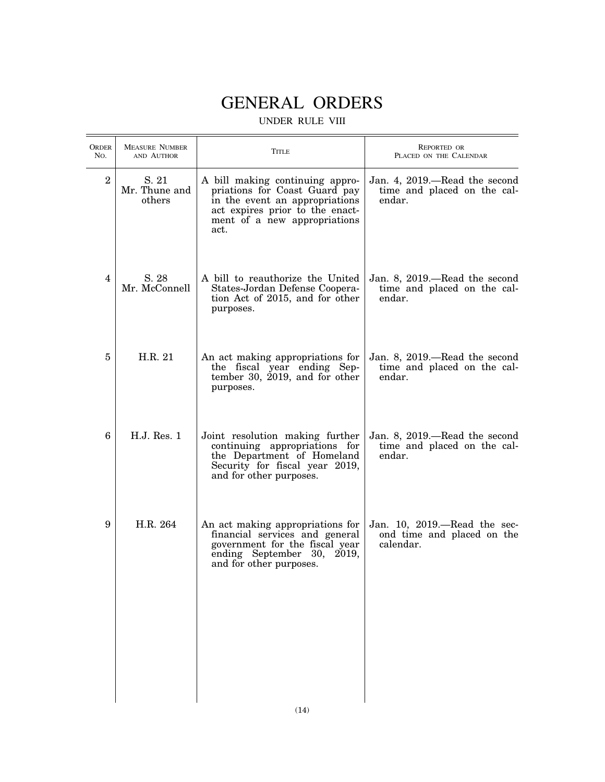# GENERAL ORDERS

# UNDER RULE VIII

| <b>ORDER</b><br>No. | <b>MEASURE NUMBER</b><br>AND AUTHOR | Title                                                                                                                                                                         | REPORTED OR<br>PLACED ON THE CALENDAR                                     |
|---------------------|-------------------------------------|-------------------------------------------------------------------------------------------------------------------------------------------------------------------------------|---------------------------------------------------------------------------|
| $\boldsymbol{2}$    | S. 21<br>Mr. Thune and<br>others    | A bill making continuing appro-<br>priations for Coast Guard pay<br>in the event an appropriations<br>act expires prior to the enact-<br>ment of a new appropriations<br>act. | Jan. 4, 2019.—Read the second<br>time and placed on the cal-<br>endar.    |
| 4                   | S. 28<br>Mr. McConnell              | A bill to reauthorize the United<br>States-Jordan Defense Coopera-<br>tion Act of 2015, and for other<br>purposes.                                                            | Jan. 8, 2019.—Read the second<br>time and placed on the cal-<br>endar.    |
| 5                   | H.R. 21                             | An act making appropriations for<br>the fiscal year ending Sep-<br>tember 30, 2019, and for other<br>purposes.                                                                | Jan. 8, 2019.—Read the second<br>time and placed on the cal-<br>endar.    |
| 6                   | H.J. Res. 1                         | Joint resolution making further<br>continuing appropriations for<br>the Department of Homeland<br>Security for fiscal year 2019,<br>and for other purposes.                   | Jan. 8, 2019.—Read the second<br>time and placed on the cal-<br>endar.    |
| 9                   | H.R. 264                            | An act making appropriations for<br>financial services and general<br>government for the fiscal year<br>ending September 30, 2019,<br>and for other purposes.                 | Jan. 10, $2019$ —Read the sec-<br>ond time and placed on the<br>calendar. |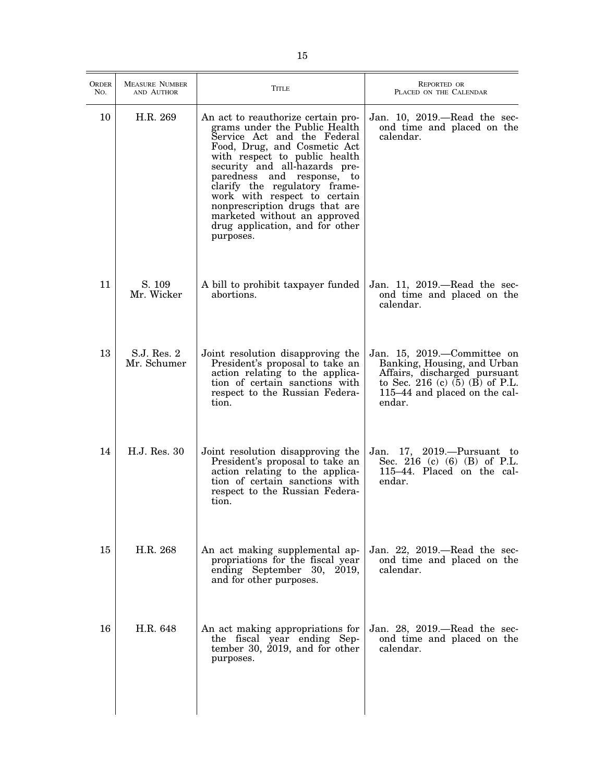| <b>ORDER</b><br>No. | <b>MEASURE NUMBER</b><br>AND AUTHOR | <b>TITLE</b>                                                                                                                                                                                                                                                                                                                                                                                                          | <b>REPORTED OR</b><br>PLACED ON THE CALENDAR                                                                                                                                 |
|---------------------|-------------------------------------|-----------------------------------------------------------------------------------------------------------------------------------------------------------------------------------------------------------------------------------------------------------------------------------------------------------------------------------------------------------------------------------------------------------------------|------------------------------------------------------------------------------------------------------------------------------------------------------------------------------|
| 10                  | H.R. 269                            | An act to reauthorize certain pro-<br>grams under the Public Health<br>Service Act and the Federal<br>Food, Drug, and Cosmetic Act<br>with respect to public health<br>security and all-hazards pre-<br>paredness and response, to<br>clarify the regulatory frame-<br>work with respect to certain<br>nonprescription drugs that are<br>marketed without an approved<br>drug application, and for other<br>purposes. | Jan. 10, 2019.—Read the sec-<br>ond time and placed on the<br>calendar.                                                                                                      |
| 11                  | S. 109<br>Mr. Wicker                | A bill to prohibit taxpayer funded<br>abortions.                                                                                                                                                                                                                                                                                                                                                                      | Jan. 11, 2019.—Read the sec-<br>ond time and placed on the<br>calendar.                                                                                                      |
| 13                  | S.J. Res. 2<br>Mr. Schumer          | Joint resolution disapproving the<br>President's proposal to take an<br>action relating to the applica-<br>tion of certain sanctions with<br>respect to the Russian Federa-<br>tion.                                                                                                                                                                                                                                  | Jan. 15, 2019.—Committee on<br>Banking, Housing, and Urban<br>Affairs, discharged pursuant<br>to Sec. 216 (c) $(5)$ $(B)$ of P.L.<br>115–44 and placed on the cal-<br>endar. |
| 14                  | H.J. Res. 30                        | Joint resolution disapproving the<br>President's proposal to take an<br>action relating to the applica-<br>tion of certain sanctions with<br>respect to the Russian Federa-<br>tion.                                                                                                                                                                                                                                  | Jan. 17, 2019.—Pursuant to<br>Sec. 216 (c) (6) (B) of P.L.<br>115-44. Placed on the cal-<br>endar.                                                                           |
| 15                  | H.R. 268                            | An act making supplemental ap-<br>propriations for the fiscal year<br>ending September 30, 2019,<br>and for other purposes.                                                                                                                                                                                                                                                                                           | Jan. 22, 2019.—Read the sec-<br>ond time and placed on the<br>calendar.                                                                                                      |
| 16                  | H.R. 648                            | An act making appropriations for<br>the fiscal year ending Sep-<br>tember 30, $2019$ , and for other<br>purposes.                                                                                                                                                                                                                                                                                                     | Jan. 28, 2019.—Read the sec-<br>ond time and placed on the<br>calendar.                                                                                                      |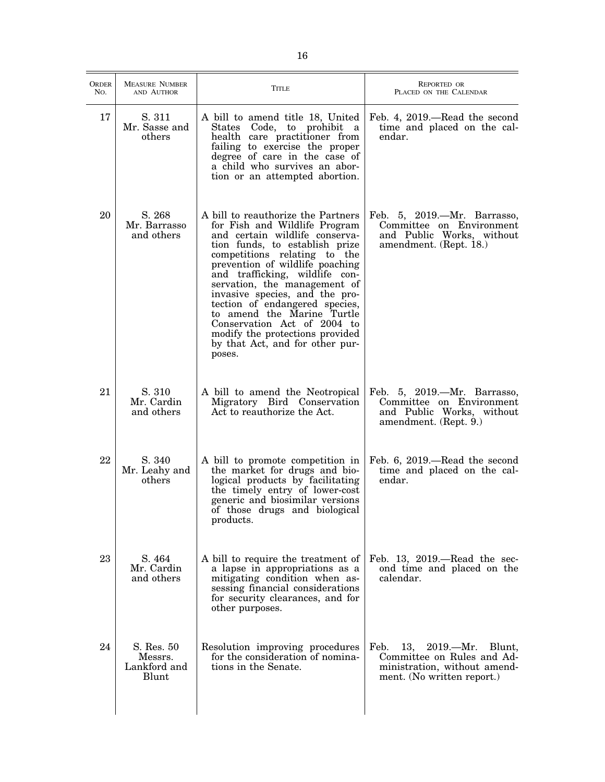| <b>ORDER</b><br>No. | <b>MEASURE NUMBER</b><br>AND AUTHOR            | <b>TITLE</b>                                                                                                                                                                                                                                                                                                                                                                                                                                                                                  | <b>REPORTED OR</b><br>PLACED ON THE CALENDAR                                                                                   |
|---------------------|------------------------------------------------|-----------------------------------------------------------------------------------------------------------------------------------------------------------------------------------------------------------------------------------------------------------------------------------------------------------------------------------------------------------------------------------------------------------------------------------------------------------------------------------------------|--------------------------------------------------------------------------------------------------------------------------------|
| 17                  | S. 311<br>Mr. Sasse and<br>others              | A bill to amend title 18, United<br>Code, to prohibit a<br>States<br>health care practitioner from<br>failing to exercise the proper<br>degree of care in the case of<br>a child who survives an abor-<br>tion or an attempted abortion.                                                                                                                                                                                                                                                      | Feb. 4, 2019.—Read the second<br>time and placed on the cal-<br>endar.                                                         |
| 20                  | S. 268<br>Mr. Barrasso<br>and others           | A bill to reauthorize the Partners<br>for Fish and Wildlife Program<br>and certain wildlife conserva-<br>tion funds, to establish prize<br>competitions relating to the<br>prevention of wildlife poaching<br>and trafficking, wildlife con-<br>servation, the management of<br>invasive species, and the pro-<br>tection of endangered species,<br>to amend the Marine Turtle<br>Conservation Act of 2004 to<br>modify the protections provided<br>by that Act, and for other pur-<br>poses. | Feb. 5, 2019.—Mr. Barrasso,<br>Committee on Environment<br>and Public Works, without<br>amendment. (Rept. 18.)                 |
| 21                  | S. 310<br>Mr. Cardin<br>and others             | A bill to amend the Neotropical<br>Migratory Bird Conservation<br>Act to reauthorize the Act.                                                                                                                                                                                                                                                                                                                                                                                                 | Feb. 5, 2019.—Mr. Barrasso,<br>Committee on Environment<br>and Public Works, without<br>amendment. (Rept. 9.)                  |
| 22                  | S. 340<br>Mr. Leahy and<br>others              | A bill to promote competition in<br>the market for drugs and bio-<br>logical products by facilitating<br>the timely entry of lower-cost<br>generic and biosimilar versions<br>of those drugs and biological<br>products.                                                                                                                                                                                                                                                                      | Feb. 6, 2019.—Read the second<br>time and placed on the cal-<br>endar.                                                         |
| 23                  | S. 464<br>Mr. Cardin<br>and others             | A bill to require the treatment of<br>a lapse in appropriations as a<br>mitigating condition when as-<br>sessing financial considerations<br>for security clearances, and for<br>other purposes.                                                                                                                                                                                                                                                                                              | Feb. 13, $2019$ .—Read the sec-<br>ond time and placed on the<br>calendar.                                                     |
| 24                  | S. Res. 50<br>Messrs.<br>Lankford and<br>Blunt | Resolution improving procedures<br>for the consideration of nomina-<br>tions in the Senate.                                                                                                                                                                                                                                                                                                                                                                                                   | Feb.<br>13,<br>$2019.$ —Mr. Blunt,<br>Committee on Rules and Ad-<br>ministration, without amend-<br>ment. (No written report.) |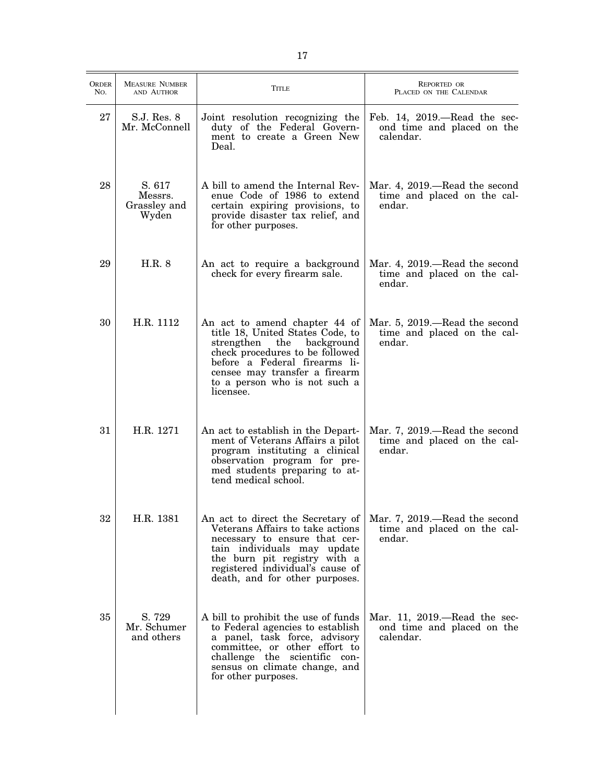| <b>ORDER</b><br>No. | <b>MEASURE NUMBER</b><br>AND AUTHOR        | Title                                                                                                                                                                                                                                                | <b>REPORTED OR</b><br>PLACED ON THE CALENDAR                                  |
|---------------------|--------------------------------------------|------------------------------------------------------------------------------------------------------------------------------------------------------------------------------------------------------------------------------------------------------|-------------------------------------------------------------------------------|
| 27                  | S.J. Res. 8<br>Mr. McConnell               | Joint resolution recognizing the<br>duty of the Federal Govern-<br>ment to create a Green New<br>Deal.                                                                                                                                               | Feb. $14$ , $2019$ .—Read the sec-<br>ond time and placed on the<br>calendar. |
| 28                  | S. 617<br>Messrs.<br>Grassley and<br>Wyden | A bill to amend the Internal Rev-<br>enue Code of 1986 to extend<br>certain expiring provisions, to<br>provide disaster tax relief, and<br>for other purposes.                                                                                       | Mar. 4, 2019.—Read the second<br>time and placed on the cal-<br>endar.        |
| 29                  | H.R. 8                                     | An act to require a background<br>check for every firearm sale.                                                                                                                                                                                      | Mar. 4, 2019.—Read the second<br>time and placed on the cal-<br>endar.        |
| 30                  | H.R. 1112                                  | An act to amend chapter 44 of<br>title 18, United States Code, to<br>strengthen the<br>background<br>check procedures to be followed<br>before a Federal firearms li-<br>censee may transfer a firearm<br>to a person who is not such a<br>licensee. | Mar. 5, 2019.—Read the second<br>time and placed on the cal-<br>endar.        |
| 31                  | H.R. 1271                                  | An act to establish in the Depart-<br>ment of Veterans Affairs a pilot<br>program instituting a clinical<br>observation program for pre-<br>med students preparing to at-<br>tend medical school.                                                    | Mar. 7, 2019.—Read the second<br>time and placed on the cal-<br>endar.        |
| 32                  | H.R. 1381                                  | An act to direct the Secretary of<br>Veterans Affairs to take actions<br>necessary to ensure that cer-<br>tain individuals may update<br>the burn pit registry with a<br>registered individual's cause of<br>death, and for other purposes.          | Mar. 7, 2019.—Read the second<br>time and placed on the cal-<br>endar.        |
| 35                  | S. 729<br>Mr. Schumer<br>and others        | A bill to prohibit the use of funds<br>to Federal agencies to establish<br>a panel, task force, advisory<br>committee, or other effort to<br>challenge the scientific con-<br>sensus on climate change, and<br>for other purposes.                   | Mar. 11, 2019.—Read the sec-<br>ond time and placed on the<br>calendar.       |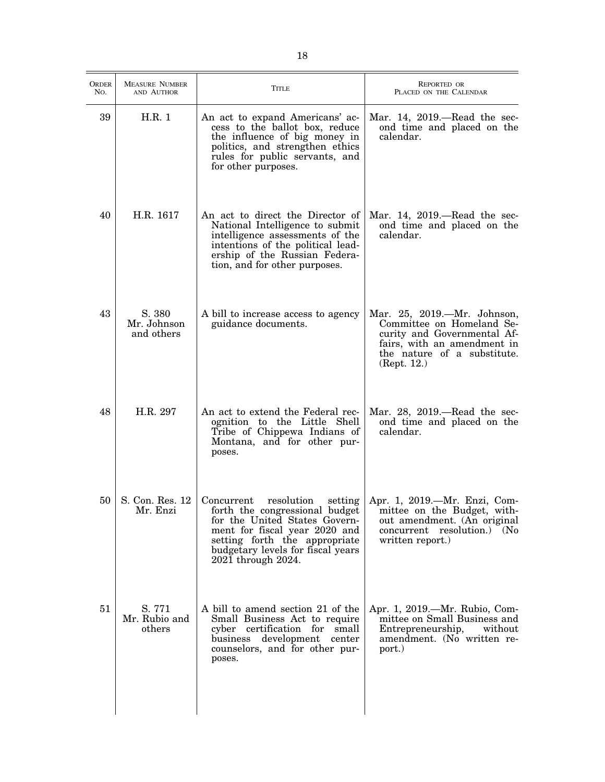| <b>ORDER</b><br>No. | <b>MEASURE NUMBER</b><br>AND AUTHOR | <b>TITLE</b>                                                                                                                                                                                                                        | REPORTED OR<br>PLACED ON THE CALENDAR                                                                                                                                |
|---------------------|-------------------------------------|-------------------------------------------------------------------------------------------------------------------------------------------------------------------------------------------------------------------------------------|----------------------------------------------------------------------------------------------------------------------------------------------------------------------|
| 39                  | H.R. 1                              | An act to expand Americans' ac-<br>cess to the ballot box, reduce<br>the influence of big money in<br>politics, and strengthen ethics<br>rules for public servants, and<br>for other purposes.                                      | Mar. 14, $2019$ —Read the sec-<br>ond time and placed on the<br>calendar.                                                                                            |
| 40                  | H.R. 1617                           | An act to direct the Director of<br>National Intelligence to submit<br>intelligence assessments of the<br>intentions of the political lead-<br>ership of the Russian Federa-<br>tion, and for other purposes.                       | Mar. 14, $2019$ —Read the sec-<br>ond time and placed on the<br>calendar.                                                                                            |
| 43                  | S. 380<br>Mr. Johnson<br>and others | A bill to increase access to agency<br>guidance documents.                                                                                                                                                                          | Mar. 25, 2019.-Mr. Johnson,<br>Committee on Homeland Se-<br>curity and Governmental Af-<br>fairs, with an amendment in<br>the nature of a substitute.<br>(Rept. 12.) |
| 48                  | H.R. 297                            | An act to extend the Federal rec-<br>ognition to the Little Shell<br>Tribe of Chippewa Indians of<br>Montana, and for other pur-<br>poses.                                                                                          | Mar. $28$ , $2019$ .—Read the sec-<br>ond time and placed on the<br>calendar.                                                                                        |
| 50                  | S. Con. Res. 12<br>Mr. Enzi         | Concurrent<br>resolution<br>setting<br>forth the congressional budget<br>for the United States Govern-<br>ment for fiscal year 2020 and<br>setting forth the appropriate<br>budgetary levels for fiscal years<br>2021 through 2024. | Apr. 1, 2019.—Mr. Enzi, Com-<br>mittee on the Budget, with-<br>out amendment. (An original<br>concurrent resolution.) (No<br>written report.)                        |
| 51                  | S. 771<br>Mr. Rubio and<br>others   | A bill to amend section 21 of the<br>Small Business Act to require<br>cyber certification for small<br>business development center<br>counselors, and for other pur-<br>poses.                                                      | Apr. 1, 2019.—Mr. Rubio, Com-<br>mittee on Small Business and<br>Entrepreneurship,<br>without<br>amendment. (No written re-<br>port.)                                |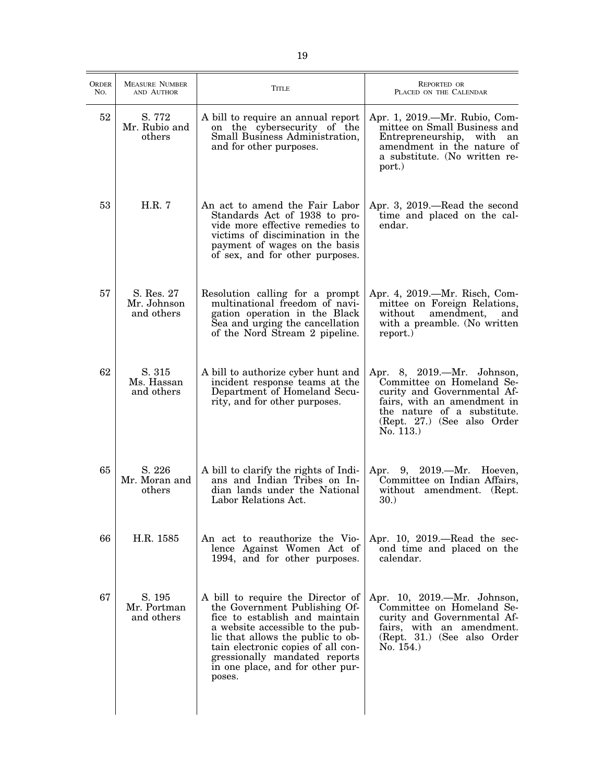| <b>ORDER</b><br>No. | <b>MEASURE NUMBER</b><br>AND AUTHOR     | <b>TITLE</b>                                                                                                                                                                                                                                                                                       | REPORTED OR<br>PLACED ON THE CALENDAR                                                                                                                                                            |
|---------------------|-----------------------------------------|----------------------------------------------------------------------------------------------------------------------------------------------------------------------------------------------------------------------------------------------------------------------------------------------------|--------------------------------------------------------------------------------------------------------------------------------------------------------------------------------------------------|
| 52                  | S. 772<br>Mr. Rubio and<br>others       | A bill to require an annual report<br>on the cybersecurity of the<br>Small Business Administration,<br>and for other purposes.                                                                                                                                                                     | Apr. 1, 2019.—Mr. Rubio, Com-<br>mittee on Small Business and<br>Entrepreneurship, with<br>an<br>amendment in the nature of<br>a substitute. (No written re-<br>port.)                           |
| 53                  | H.R. 7                                  | An act to amend the Fair Labor<br>Standards Act of 1938 to pro-<br>vide more effective remedies to<br>victims of discimination in the<br>payment of wages on the basis<br>of sex, and for other purposes.                                                                                          | Apr. 3, 2019.—Read the second<br>time and placed on the cal-<br>endar.                                                                                                                           |
| 57                  | S. Res. 27<br>Mr. Johnson<br>and others | Resolution calling for a prompt<br>multinational freedom of navi-<br>gation operation in the Black<br>Sea and urging the cancellation<br>of the Nord Stream 2 pipeline.                                                                                                                            | Apr. 4, 2019.—Mr. Risch, Com-<br>mittee on Foreign Relations,<br>without<br>amendment,<br>and<br>with a preamble. (No written<br>report.)                                                        |
| 62                  | S. 315<br>Ms. Hassan<br>and others      | A bill to authorize cyber hunt and<br>incident response teams at the<br>Department of Homeland Secu-<br>rity, and for other purposes.                                                                                                                                                              | Apr. 8, 2019.—Mr. Johnson,<br>Committee on Homeland Se-<br>curity and Governmental Af-<br>fairs, with an amendment in<br>the nature of a substitute.<br>(Rept. 27.) (See also Order<br>No. 113.) |
| 65                  | S. 226<br>Mr. Moran and<br>others       | A bill to clarify the rights of Indi-<br>ans and Indian Tribes on In-<br>dian lands under the National<br>Labor Relations Act.                                                                                                                                                                     | Apr. 9, 2019.—Mr. Hoeven,<br>Committee on Indian Affairs,<br>without amendment. (Rept.)<br>30.)                                                                                                  |
| 66                  | H.R. 1585                               | An act to reauthorize the Vio-<br>lence Against Women Act of<br>1994, and for other purposes.                                                                                                                                                                                                      | Apr. 10, $2019$ .—Read the sec-<br>ond time and placed on the<br>calendar.                                                                                                                       |
| 67                  | S. 195<br>Mr. Portman<br>and others     | A bill to require the Director of<br>the Government Publishing Of-<br>fice to establish and maintain<br>a website accessible to the pub-<br>lic that allows the public to ob-<br>tain electronic copies of all con-<br>gressionally mandated reports<br>in one place, and for other pur-<br>poses. | Apr. 10, 2019.—Mr. Johnson,<br>Committee on Homeland Se-<br>curity and Governmental Af-<br>fairs, with an amendment.<br>(Rept. 31.) (See also Order<br>No. 154.                                  |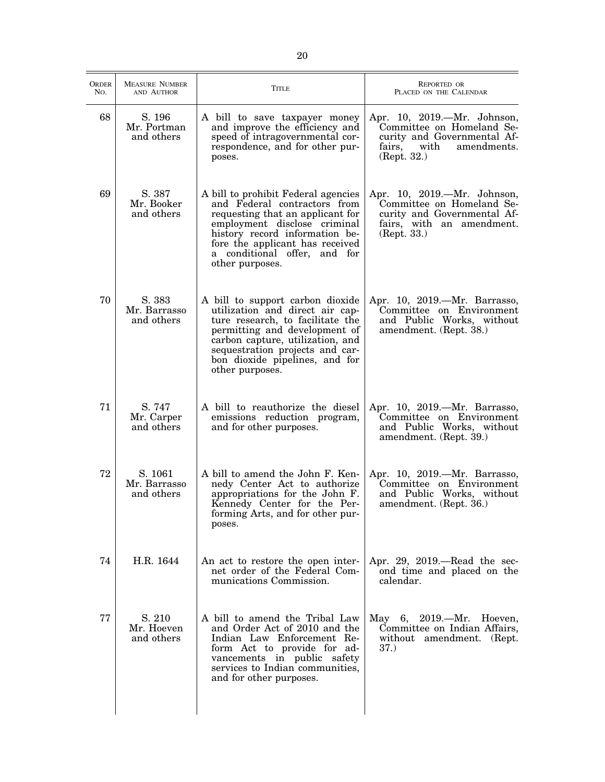| <b>ORDER</b><br>No. | <b>MEASURE NUMBER</b><br>AND AUTHOR   | <b>TITLE</b>                                                                                                                                                                                                                                                         | <b>REPORTED OR</b><br>PLACED ON THE CALENDAR                                                                                            |
|---------------------|---------------------------------------|----------------------------------------------------------------------------------------------------------------------------------------------------------------------------------------------------------------------------------------------------------------------|-----------------------------------------------------------------------------------------------------------------------------------------|
| 68                  | S. 196<br>Mr. Portman<br>and others   | A bill to save taxpayer money<br>and improve the efficiency and<br>speed of intragovernmental cor-<br>respondence, and for other pur-<br>poses.                                                                                                                      | Apr. 10, 2019.—Mr. Johnson,<br>Committee on Homeland Se-<br>curity and Governmental Af-<br>fairs,<br>with<br>amendments.<br>(Rept. 32.) |
| 69                  | S. 387<br>Mr. Booker<br>and others    | A bill to prohibit Federal agencies<br>and Federal contractors from<br>requesting that an applicant for<br>employment disclose criminal<br>history record information be-<br>fore the applicant has received<br>a conditional offer, and for<br>other purposes.      | Apr. 10, 2019.—Mr. Johnson,<br>Committee on Homeland Se-<br>curity and Governmental Af-<br>fairs, with an amendment.<br>(Rept. 33.)     |
| 70                  | S. 383<br>Mr. Barrasso<br>and others  | A bill to support carbon dioxide<br>utilization and direct air cap-<br>ture research, to facilitate the<br>permitting and development of<br>carbon capture, utilization, and<br>sequestration projects and car-<br>bon dioxide pipelines, and for<br>other purposes. | Apr. 10, 2019.—Mr. Barrasso,<br>Committee on Environment<br>and Public Works, without<br>amendment. (Rept. 38.)                         |
| 71                  | S. 747<br>Mr. Carper<br>and others    | A bill to reauthorize the diesel<br>emissions reduction program,<br>and for other purposes.                                                                                                                                                                          | Apr. 10, 2019.—Mr. Barrasso,<br>Committee on Environment<br>and Public Works, without<br>amendment. (Rept. 39.)                         |
| 72                  | S. 1061<br>Mr. Barrasso<br>and others | A bill to amend the John F. Ken-<br>nedy Center Act to authorize<br>appropriations for the John F.<br>Kennedy Center for the Per-<br>forming Arts, and for other pur-<br>poses.                                                                                      | Apr. 10, 2019.—Mr. Barrasso,<br>Committee on Environment<br>and Public Works, without<br>amendment. (Rept. 36.)                         |
| 74                  | H.R. 1644                             | An act to restore the open inter-<br>net order of the Federal Com-<br>munications Commission.                                                                                                                                                                        | Apr. 29, 2019.—Read the sec-<br>ond time and placed on the<br>calendar.                                                                 |
| 77                  | S. 210<br>Mr. Hoeven<br>and others    | A bill to amend the Tribal Law<br>and Order Act of 2010 and the<br>Indian Law Enforcement Re-<br>form Act to provide for ad-<br>vancements in public safety<br>services to Indian communities,<br>and for other purposes.                                            | May 6, 2019.—Mr. Hoeven,<br>Committee on Indian Affairs,<br>without amendment. (Rept.<br>37.)                                           |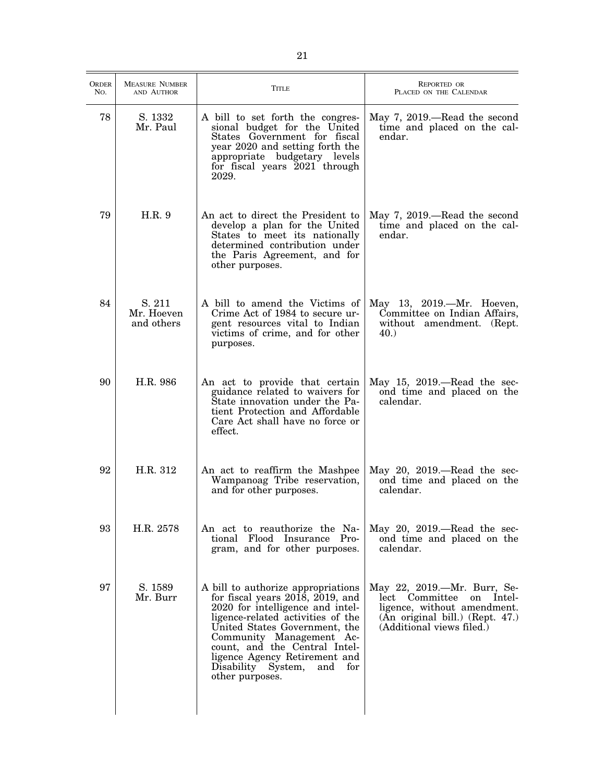| ORDER<br>No. | <b>MEASURE NUMBER</b><br>AND AUTHOR | <b>TITLE</b>                                                                                                                                                                                                                                                                                                                             | <b>REPORTED OR</b><br>PLACED ON THE CALENDAR                                                                                                           |
|--------------|-------------------------------------|------------------------------------------------------------------------------------------------------------------------------------------------------------------------------------------------------------------------------------------------------------------------------------------------------------------------------------------|--------------------------------------------------------------------------------------------------------------------------------------------------------|
| 78           | S. 1332<br>Mr. Paul                 | A bill to set forth the congres-<br>sional budget for the United<br>States Government for fiscal<br>year 2020 and setting forth the<br>appropriate budgetary levels<br>for fiscal years 2021 through<br>2029.                                                                                                                            | May 7, 2019.—Read the second<br>time and placed on the cal-<br>endar.                                                                                  |
| 79           | H.R.9                               | An act to direct the President to<br>develop a plan for the United<br>States to meet its nationally<br>determined contribution under<br>the Paris Agreement, and for<br>other purposes.                                                                                                                                                  | May 7, 2019.—Read the second<br>time and placed on the cal-<br>endar.                                                                                  |
| 84           | S. 211<br>Mr. Hoeven<br>and others  | A bill to amend the Victims of<br>Crime Act of 1984 to secure ur-<br>gent resources vital to Indian<br>victims of crime, and for other<br>purposes.                                                                                                                                                                                      | May 13, 2019.-Mr. Hoeven,<br>Committee on Indian Affairs,<br>without amendment. (Rept.<br>40.                                                          |
| 90           | H.R. 986                            | An act to provide that certain<br>guidance related to waivers for<br>State innovation under the Pa-<br>tient Protection and Affordable<br>Care Act shall have no force or<br>effect.                                                                                                                                                     | May $15, 2019$ .—Read the sec-<br>ond time and placed on the<br>calendar.                                                                              |
| 92           | H.R. 312                            | An act to reaffirm the Mashpee<br>Wampanoag Tribe reservation,<br>and for other purposes.                                                                                                                                                                                                                                                | May 20, $2019$ .—Read the sec-<br>ond time and placed on the<br>calendar.                                                                              |
| 93           | H.R. 2578                           | An act to reauthorize the Na-<br>tional Flood Insurance Pro-<br>gram, and for other purposes.                                                                                                                                                                                                                                            | May $20$ , $2019$ .—Read the sec-<br>ond time and placed on the<br>calendar.                                                                           |
| 97           | S. 1589<br>Mr. Burr                 | A bill to authorize appropriations<br>for fiscal years $2018$ , $2019$ , and<br>2020 for intelligence and intel-<br>ligence-related activities of the<br>United States Government, the<br>Community Management Ac-<br>count, and the Central Intel-<br>ligence Agency Retirement and<br>Disability System,<br>and for<br>other purposes. | May 22, 2019.—Mr. Burr, Se-<br>lect Committee on Intel-<br>ligence, without amendment.<br>(An original bill.) (Rept. 47.)<br>(Additional views filed.) |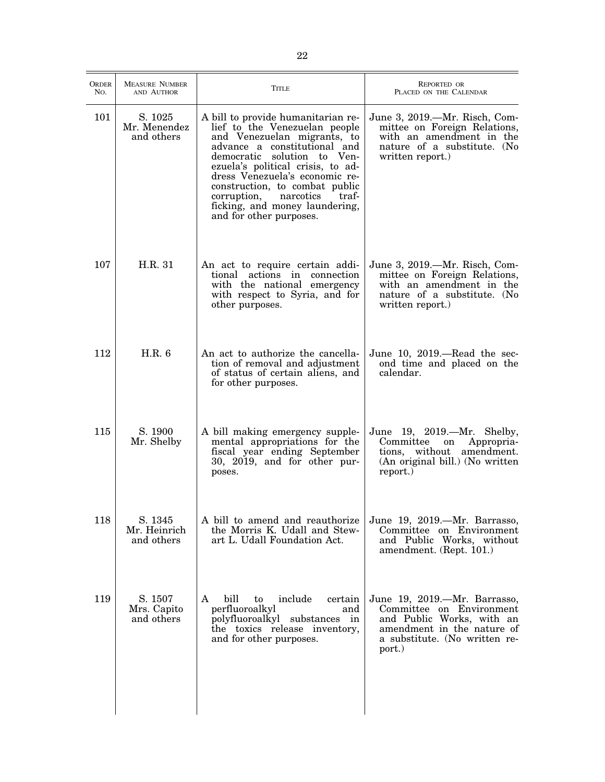| <b>ORDER</b><br>No. | <b>MEASURE NUMBER</b><br>AND AUTHOR   | TITLE                                                                                                                                                                                                                                                                                                                                                                        | <b>REPORTED OR</b><br>PLACED ON THE CALENDAR                                                                                                                   |
|---------------------|---------------------------------------|------------------------------------------------------------------------------------------------------------------------------------------------------------------------------------------------------------------------------------------------------------------------------------------------------------------------------------------------------------------------------|----------------------------------------------------------------------------------------------------------------------------------------------------------------|
| 101                 | S. 1025<br>Mr. Menendez<br>and others | A bill to provide humanitarian re-<br>lief to the Venezuelan people<br>and Venezuelan migrants, to<br>advance a constitutional and<br>democratic solution to Ven-<br>ezuela's political crisis, to ad-<br>dress Venezuela's economic re-<br>construction, to combat public<br>traf-<br>narcotics<br>corruption,<br>ficking, and money laundering,<br>and for other purposes. | June 3, 2019.—Mr. Risch, Com-<br>mittee on Foreign Relations,<br>with an amendment in the<br>nature of a substitute. (No<br>written report.)                   |
| 107                 | H.R. 31                               | An act to require certain addi-<br>tional actions in connection<br>with the national emergency<br>with respect to Syria, and for<br>other purposes.                                                                                                                                                                                                                          | June 3, 2019.—Mr. Risch, Com-<br>mittee on Foreign Relations,<br>with an amendment in the<br>nature of a substitute. (No<br>written report.)                   |
| 112                 | H.R. 6                                | An act to authorize the cancella-<br>tion of removal and adjustment<br>of status of certain aliens, and<br>for other purposes.                                                                                                                                                                                                                                               | June 10, 2019.—Read the sec-<br>ond time and placed on the<br>calendar.                                                                                        |
| 115                 | S. 1900<br>Mr. Shelby                 | A bill making emergency supple-<br>mental appropriations for the<br>fiscal year ending September<br>30, 2019, and for other pur-<br>poses.                                                                                                                                                                                                                                   | June 19, 2019.-Mr. Shelby,<br>Committee<br>Appropria-<br>on<br>tions, without amendment.<br>(An original bill.) (No written<br>report.)                        |
| 118                 | S. 1345<br>Mr. Heinrich<br>and others | A bill to amend and reauthorize<br>the Morris K. Udall and Stew-<br>art L. Udall Foundation Act.                                                                                                                                                                                                                                                                             | June 19, 2019.—Mr. Barrasso,<br>Committee on Environment<br>and Public Works, without<br>amendment. (Rept. 101.)                                               |
| 119                 | S. 1507<br>Mrs. Capito<br>and others  | bill<br>include<br>A<br>to<br>certain<br>perfluoroalkyl<br>and<br>polyfluoroalkyl substances in<br>the toxics release inventory,<br>and for other purposes.                                                                                                                                                                                                                  | June 19, 2019.—Mr. Barrasso,<br>Committee on Environment<br>and Public Works, with an<br>amendment in the nature of<br>a substitute. (No written re-<br>port.) |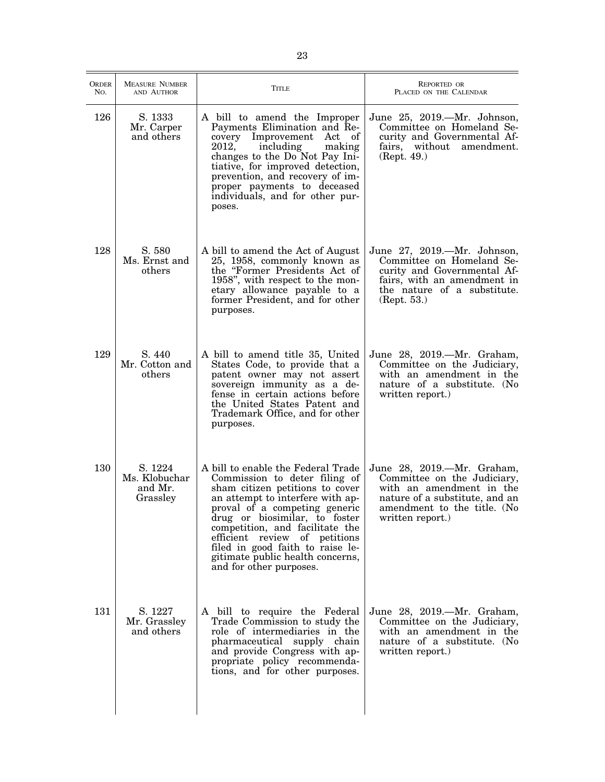| <b>ORDER</b><br>No. | <b>MEASURE NUMBER</b><br>AND AUTHOR             | <b>TITLE</b>                                                                                                                                                                                                                                                                                                                                                                        | REPORTED OR<br>PLACED ON THE CALENDAR                                                                                                                                      |
|---------------------|-------------------------------------------------|-------------------------------------------------------------------------------------------------------------------------------------------------------------------------------------------------------------------------------------------------------------------------------------------------------------------------------------------------------------------------------------|----------------------------------------------------------------------------------------------------------------------------------------------------------------------------|
| 126                 | S. 1333<br>Mr. Carper<br>and others             | A bill to amend the Improper<br>Payments Elimination and Re-<br>Improvement<br>Act of<br>covery<br>including<br>2012,<br>making<br>changes to the Do Not Pay Ini-<br>tiative, for improved detection,<br>prevention, and recovery of im-<br>proper payments to deceased<br>individuals, and for other pur-<br>poses.                                                                | June 25, 2019.—Mr. Johnson,<br>Committee on Homeland Se-<br>curity and Governmental Af-<br>fairs, without amendment.<br>(Rept. 49.)                                        |
| 128                 | S. 580<br>Ms. Ernst and<br>others               | A bill to amend the Act of August<br>25, 1958, commonly known as<br>the "Former Presidents Act of<br>1958", with respect to the mon-<br>etary allowance payable to a<br>former President, and for other<br>purposes.                                                                                                                                                                | June 27, 2019.—Mr. Johnson,<br>Committee on Homeland Se-<br>curity and Governmental Af-<br>fairs, with an amendment in<br>the nature of a substitute.<br>(Rept. 53.)       |
| 129                 | S. 440<br>Mr. Cotton and<br>others              | A bill to amend title 35, United<br>States Code, to provide that a<br>patent owner may not assert<br>sovereign immunity as a de-<br>fense in certain actions before<br>the United States Patent and<br>Trademark Office, and for other<br>purposes.                                                                                                                                 | June 28, 2019.—Mr. Graham,<br>Committee on the Judiciary,<br>with an amendment in the<br>nature of a substitute. (No<br>written report.)                                   |
| 130                 | S. 1224<br>Ms. Klobuchar<br>and Mr.<br>Grassley | A bill to enable the Federal Trade<br>Commission to deter filing of<br>sham citizen petitions to cover<br>an attempt to interfere with ap-<br>proval of a competing generic<br>drug or biosimilar, to foster<br>competition, and facilitate the<br>efficient review of petitions<br>filed in good faith to raise le-<br>gitimate public health concerns,<br>and for other purposes. | June 28, 2019.-Mr. Graham,<br>Committee on the Judiciary,<br>with an amendment in the<br>nature of a substitute, and an<br>amendment to the title. (No<br>written report.) |
| 131                 | S. 1227<br>Mr. Grassley<br>and others           | A bill to require the Federal<br>Trade Commission to study the<br>role of intermediaries in the<br>pharmaceutical supply chain<br>and provide Congress with ap-<br>propriate policy recommenda-<br>tions, and for other purposes.                                                                                                                                                   | June 28, 2019.—Mr. Graham,<br>Committee on the Judiciary,<br>with an amendment in the<br>nature of a substitute. (No<br>written report.)                                   |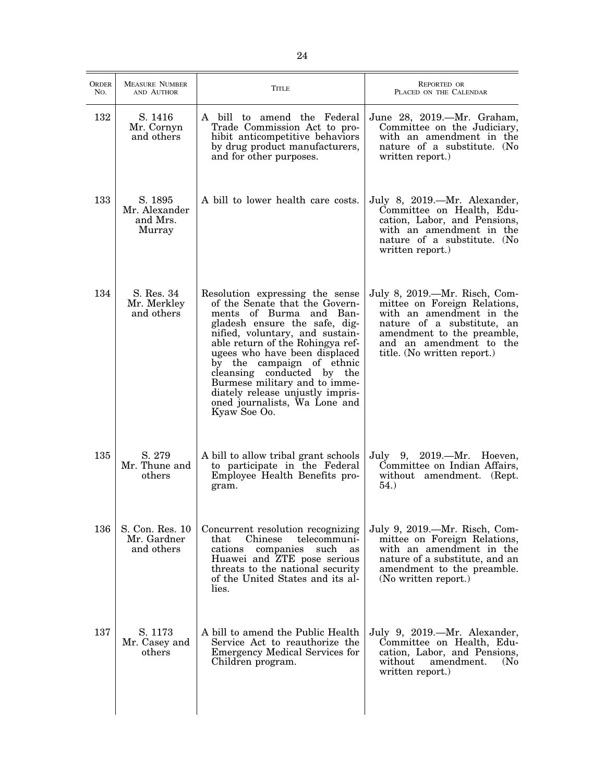| <b>ORDER</b><br>No. | <b>MEASURE NUMBER</b><br>AND AUTHOR            | <b>TITLE</b>                                                                                                                                                                                                                                                                                                                                                                                                           | <b>REPORTED OR</b><br>PLACED ON THE CALENDAR                                                                                                                                                                    |
|---------------------|------------------------------------------------|------------------------------------------------------------------------------------------------------------------------------------------------------------------------------------------------------------------------------------------------------------------------------------------------------------------------------------------------------------------------------------------------------------------------|-----------------------------------------------------------------------------------------------------------------------------------------------------------------------------------------------------------------|
| 132                 | S. 1416<br>Mr. Cornyn<br>and others            | A bill to amend the Federal<br>Trade Commission Act to pro-<br>hibit anticompetitive behaviors<br>by drug product manufacturers,<br>and for other purposes.                                                                                                                                                                                                                                                            | June 28, 2019.—Mr. Graham,<br>Committee on the Judiciary,<br>with an amendment in the<br>nature of a substitute. (No<br>written report.)                                                                        |
| 133                 | S. 1895<br>Mr. Alexander<br>and Mrs.<br>Murray | A bill to lower health care costs.                                                                                                                                                                                                                                                                                                                                                                                     | July 8, 2019.—Mr. Alexander,<br>Committee on Health, Edu-<br>cation, Labor, and Pensions,<br>with an amendment in the<br>nature of a substitute. (No<br>written report.)                                        |
| 134                 | S. Res. 34<br>Mr. Merkley<br>and others        | Resolution expressing the sense<br>of the Senate that the Govern-<br>ments of Burma and Ban-<br>gladesh ensure the safe, dig-<br>nified, voluntary, and sustain-<br>able return of the Rohingya ref-<br>ugees who have been displaced<br>by the campaign of ethnic<br>cleansing conducted by the<br>Burmese military and to imme-<br>diately release unjustly impris-<br>oned journalists, Wa Lone and<br>Kyaw Soe Oo. | July 8, 2019.—Mr. Risch, Com-<br>mittee on Foreign Relations,<br>with an amendment in the<br>nature of a substitute, an<br>amendment to the preamble,<br>and an amendment to the<br>title. (No written report.) |
| 135                 | S. 279<br>Mr. Thune and<br>others              | A bill to allow tribal grant schools<br>to participate in the Federal<br>Employee Health Benefits pro-<br>gram.                                                                                                                                                                                                                                                                                                        | July 9, 2019.—Mr. Hoeven,<br>Committee on Indian Affairs,<br>without amendment. (Rept.<br>54.)                                                                                                                  |
| 136                 | S. Con. Res. 10<br>Mr. Gardner<br>and others   | Concurrent resolution recognizing<br>Chinese<br>telecommuni-<br>that<br>companies<br>cations<br>such<br>as<br>Huawei and ZTE pose serious<br>threats to the national security<br>of the United States and its al-<br>lies.                                                                                                                                                                                             | July 9, 2019.—Mr. Risch, Com-<br>mittee on Foreign Relations,<br>with an amendment in the<br>nature of a substitute, and an<br>amendment to the preamble.<br>(No written report.)                               |
| 137                 | S. 1173<br>Mr. Casey and<br>others             | A bill to amend the Public Health<br>Service Act to reauthorize the<br><b>Emergency Medical Services for</b><br>Children program.                                                                                                                                                                                                                                                                                      | July 9, 2019.—Mr. Alexander,<br>Committee on Health, Edu-<br>cation, Labor, and Pensions,<br>without<br>amendment.<br>(N <sub>0</sub> )<br>written report.)                                                     |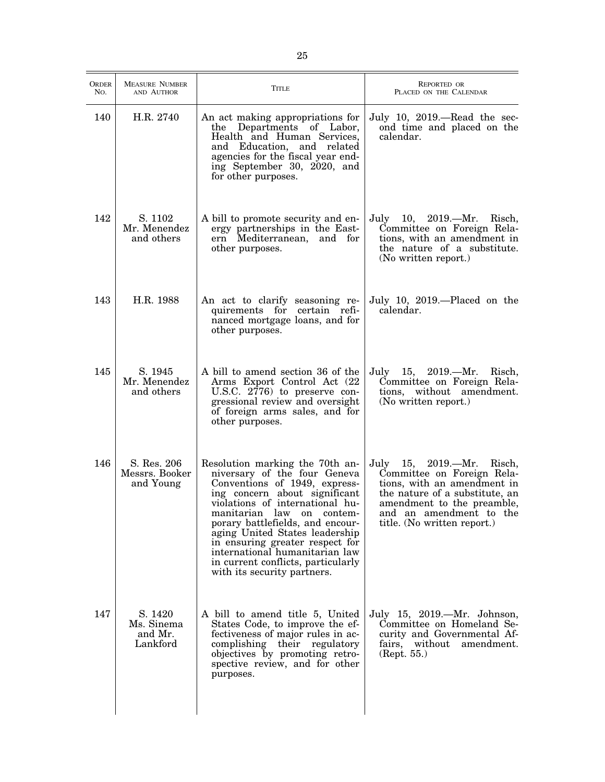| <b>ORDER</b><br>No. | <b>MEASURE NUMBER</b><br>AND AUTHOR          | <b>TITLE</b>                                                                                                                                                                                                                                                                                                                                                                                                            | REPORTED OR<br>PLACED ON THE CALENDAR                                                                                                                                                                            |
|---------------------|----------------------------------------------|-------------------------------------------------------------------------------------------------------------------------------------------------------------------------------------------------------------------------------------------------------------------------------------------------------------------------------------------------------------------------------------------------------------------------|------------------------------------------------------------------------------------------------------------------------------------------------------------------------------------------------------------------|
| 140                 | H.R. 2740                                    | An act making appropriations for<br>Departments of Labor,<br>the<br>Health and Human Services,<br>and Education, and related<br>agencies for the fiscal year end-<br>ing September 30, 2020, and<br>for other purposes.                                                                                                                                                                                                 | July 10, $2019$ .—Read the sec-<br>ond time and placed on the<br>calendar.                                                                                                                                       |
| 142                 | S. 1102<br>Mr. Menendez<br>and others        | A bill to promote security and en-<br>ergy partnerships in the East-<br>ern Mediterranean,<br>and for<br>other purposes.                                                                                                                                                                                                                                                                                                | July 10, 2019.—Mr. Risch,<br>Committee on Foreign Rela-<br>tions, with an amendment in<br>the nature of a substitute.<br>(No written report.)                                                                    |
| 143                 | H.R. 1988                                    | An act to clarify seasoning re-<br>quirements for certain refi-<br>nanced mortgage loans, and for<br>other purposes.                                                                                                                                                                                                                                                                                                    | July 10, 2019.—Placed on the<br>calendar.                                                                                                                                                                        |
| 145                 | S. 1945<br>Mr. Menendez<br>and others        | A bill to amend section 36 of the<br>Arms Export Control Act (22<br>U.S.C. 2776) to preserve con-<br>gressional review and oversight<br>of foreign arms sales, and for<br>other purposes.                                                                                                                                                                                                                               | July 15, 2019.—Mr.<br>Risch,<br>Committee on Foreign Rela-<br>tions, without amendment.<br>(No written report.)                                                                                                  |
| 146                 | S. Res. 206<br>Messrs. Booker<br>and Young   | Resolution marking the 70th an-<br>niversary of the four Geneva<br>Conventions of 1949, express-<br>ing concern about significant<br>violations of international hu-<br>manitarian<br>law on<br>contem-<br>porary battlefields, and encour-<br>aging United States leadership<br>in ensuring greater respect for<br>international humanitarian law<br>in current conflicts, particularly<br>with its security partners. | July 15, 2019.—Mr. Risch,<br>Committee on Foreign Rela-<br>tions, with an amendment in<br>the nature of a substitute, an<br>amendment to the preamble,<br>and an amendment to the<br>title. (No written report.) |
| 147                 | S. 1420<br>Ms. Sinema<br>and Mr.<br>Lankford | A bill to amend title 5, United<br>States Code, to improve the ef-<br>fectiveness of major rules in ac-<br>complishing their regulatory<br>objectives by promoting retro-<br>spective review, and for other<br>purposes.                                                                                                                                                                                                | July 15, 2019.—Mr. Johnson,<br>Committee on Homeland Se-<br>curity and Governmental Af-<br>fairs, without<br>amendment.<br>(Rept. 55.)                                                                           |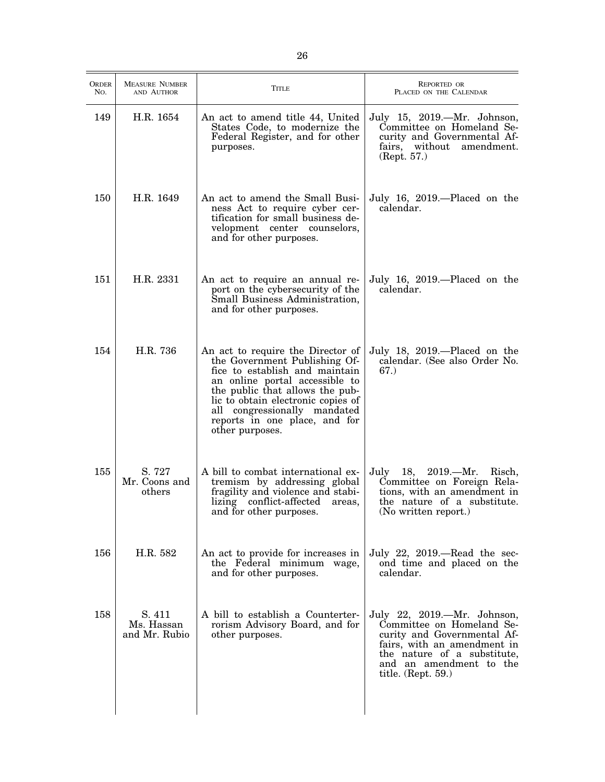| <b>ORDER</b><br>No. | <b>MEASURE NUMBER</b><br>AND AUTHOR   | Title                                                                                                                                                                                                                                                                                               | <b>REPORTED OR</b><br>PLACED ON THE CALENDAR                                                                                                                                                                     |
|---------------------|---------------------------------------|-----------------------------------------------------------------------------------------------------------------------------------------------------------------------------------------------------------------------------------------------------------------------------------------------------|------------------------------------------------------------------------------------------------------------------------------------------------------------------------------------------------------------------|
| 149                 | H.R. 1654                             | An act to amend title 44, United<br>States Code, to modernize the<br>Federal Register, and for other<br>purposes.                                                                                                                                                                                   | July 15, 2019.—Mr. Johnson,<br>Committee on Homeland Se-<br>curity and Governmental Af-<br>fairs, without amendment.<br>(Rept. 57.)                                                                              |
| 150                 | H.R. 1649                             | An act to amend the Small Busi-<br>ness Act to require cyber cer-<br>tification for small business de-<br>velopment center counselors,<br>and for other purposes.                                                                                                                                   | July 16, 2019.—Placed on the<br>calendar.                                                                                                                                                                        |
| 151                 | H.R. 2331                             | An act to require an annual re-<br>port on the cybersecurity of the<br>Small Business Administration,<br>and for other purposes.                                                                                                                                                                    | July 16, 2019.—Placed on the<br>calendar.                                                                                                                                                                        |
| 154                 | H.R. 736                              | An act to require the Director of<br>the Government Publishing Of-<br>fice to establish and maintain<br>an online portal accessible to<br>the public that allows the pub-<br>lic to obtain electronic copies of<br>all congressionally mandated<br>reports in one place, and for<br>other purposes. | July 18, 2019.—Placed on the<br>calendar. (See also Order No.<br>67.)                                                                                                                                            |
| 155                 | S. 727<br>Mr. Coons and<br>others     | A bill to combat international ex-<br>tremism by addressing global<br>fragility and violence and stabi-<br>lizing conflict-affected<br>areas,<br>and for other purposes.                                                                                                                            | 18, 2019.—Mr.<br>July<br>Risch,<br>Committee on Foreign Rela-<br>tions, with an amendment in<br>the nature of a substitute.<br>(No written report.)                                                              |
| 156                 | H.R. 582                              | An act to provide for increases in<br>the Federal minimum wage,<br>and for other purposes.                                                                                                                                                                                                          | July 22, $2019$ .—Read the sec-<br>ond time and placed on the<br>calendar.                                                                                                                                       |
| 158                 | S. 411<br>Ms. Hassan<br>and Mr. Rubio | A bill to establish a Counterter-<br>rorism Advisory Board, and for<br>other purposes.                                                                                                                                                                                                              | July 22, 2019.—Mr. Johnson,<br>Committee on Homeland Se-<br>curity and Governmental Af-<br>fairs, with an amendment in<br>the nature of a substitute,<br>and an amendment to the<br>title. $(\text{Rept. } 59.)$ |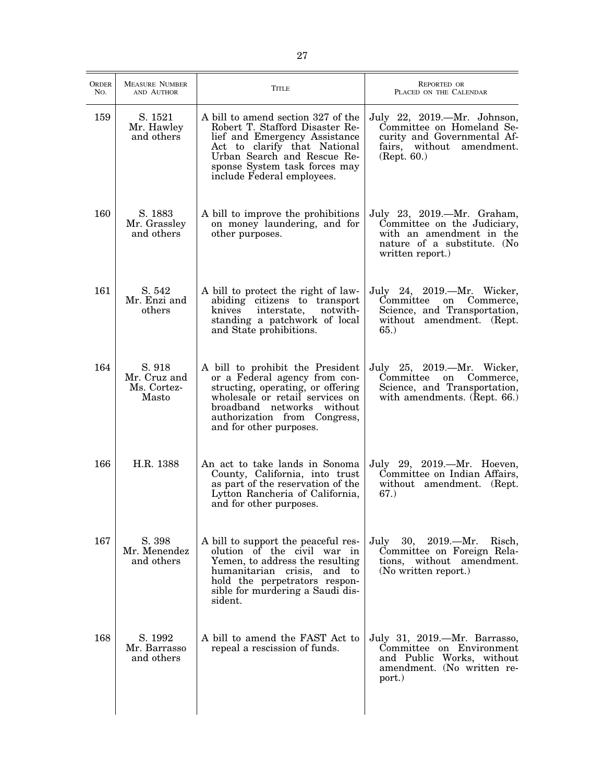| <b>ORDER</b><br>No. | <b>MEASURE NUMBER</b><br>AND AUTHOR            | <b>TITLE</b>                                                                                                                                                                                                                         | REPORTED OR<br>PLACED ON THE CALENDAR                                                                                                    |
|---------------------|------------------------------------------------|--------------------------------------------------------------------------------------------------------------------------------------------------------------------------------------------------------------------------------------|------------------------------------------------------------------------------------------------------------------------------------------|
| 159                 | S. 1521<br>Mr. Hawley<br>and others            | A bill to amend section 327 of the<br>Robert T. Stafford Disaster Re-<br>lief and Emergency Assistance<br>Act to clarify that National<br>Urban Search and Rescue Re-<br>sponse System task forces may<br>include Federal employees. | July 22, 2019. - Mr. Johnson,<br>Committee on Homeland Se-<br>curity and Governmental Af-<br>fairs, without amendment.<br>(Rept. 60.)    |
| 160                 | S. 1883<br>Mr. Grassley<br>and others          | A bill to improve the prohibitions<br>on money laundering, and for<br>other purposes.                                                                                                                                                | July 23, 2019.—Mr. Graham,<br>Committee on the Judiciary,<br>with an amendment in the<br>nature of a substitute. (No<br>written report.) |
| 161                 | S. 542<br>Mr. Enzi and<br>others               | A bill to protect the right of law-<br>abiding citizens to transport<br>interstate,<br>notwith-<br>knives<br>standing a patchwork of local<br>and State prohibitions.                                                                | July 24, 2019.—Mr. Wicker,<br>Committee<br>on Commerce,<br>Science, and Transportation,<br>without amendment. (Rept.<br>65.)             |
| 164                 | S. 918<br>Mr. Cruz and<br>Ms. Cortez-<br>Masto | A bill to prohibit the President<br>or a Federal agency from con-<br>structing, operating, or offering<br>wholesale or retail services on<br>broadband networks without<br>authorization from Congress,<br>and for other purposes.   | July 25, 2019.—Mr. Wicker,<br>Committee on Commerce,<br>Science, and Transportation,<br>with amendments. (Rept. 66.)                     |
| 166                 | H.R. 1388                                      | An act to take lands in Sonoma<br>County, California, into trust<br>as part of the reservation of the<br>Lytton Rancheria of California,<br>and for other purposes.                                                                  | July 29, 2019.—Mr. Hoeven,<br>Committee on Indian Affairs,<br>without amendment. (Rept.<br>67.)                                          |
| 167                 | S. 398<br>Mr. Menendez<br>and others           | A bill to support the peaceful res-<br>olution of the civil war in<br>Yemen, to address the resulting<br>humanitarian crisis, and to<br>hold the perpetrators respon-<br>sible for murdering a Saudi dis-<br>sident.                 | July 30, 2019.—Mr.<br>Risch,<br>Committee on Foreign Rela-<br>tions, without amendment.<br>(No written report.)                          |
| 168                 | S. 1992<br>Mr. Barrasso<br>and others          | A bill to amend the FAST Act to<br>repeal a rescission of funds.                                                                                                                                                                     | July 31, 2019.—Mr. Barrasso,<br>Committee on Environment<br>and Public Works, without<br>amendment. (No written re-<br>port.)            |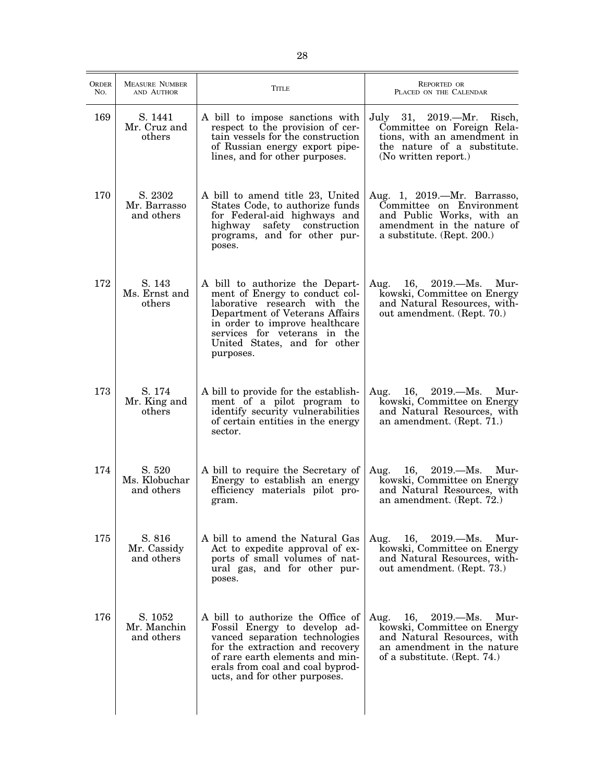| ORDER<br>No. | <b>MEASURE NUMBER</b><br>AND AUTHOR   | Title                                                                                                                                                                                                                                              | <b>REPORTED OR</b><br>PLACED ON THE CALENDAR                                                                                                                     |
|--------------|---------------------------------------|----------------------------------------------------------------------------------------------------------------------------------------------------------------------------------------------------------------------------------------------------|------------------------------------------------------------------------------------------------------------------------------------------------------------------|
| 169          | S. 1441<br>Mr. Cruz and<br>others     | A bill to impose sanctions with<br>respect to the provision of cer-<br>tain vessels for the construction<br>of Russian energy export pipe-<br>lines, and for other purposes.                                                                       | July<br>31,<br>$2019. - Mr.$<br>Risch,<br>Committee on Foreign Rela-<br>tions, with an amendment in<br>the nature of a substitute.<br>(No written report.)       |
| 170          | S. 2302<br>Mr. Barrasso<br>and others | A bill to amend title 23, United<br>States Code, to authorize funds<br>for Federal-aid highways and<br>safety construction<br>highway<br>programs, and for other pur-<br>poses.                                                                    | Aug. 1, 2019.-Mr. Barrasso,<br>Committee on Environment<br>and Public Works, with an<br>amendment in the nature of<br>a substitute. (Rept. 200.)                 |
| 172          | S. 143<br>Ms. Ernst and<br>others     | A bill to authorize the Depart-<br>ment of Energy to conduct col-<br>laborative research with the<br>Department of Veterans Affairs<br>in order to improve healthcare<br>services for veterans in the<br>United States, and for other<br>purposes. | $16, \quad 2019. - Ms.$<br>Aug.<br>Mur-<br>kowski, Committee on Energy<br>and Natural Resources, with-<br>out amendment. (Rept. 70.)                             |
| 173          | S. 174<br>Mr. King and<br>others      | A bill to provide for the establish-<br>ment of a pilot program to<br>identify security vulnerabilities<br>of certain entities in the energy<br>sector.                                                                                            | 16, $2019.-Ms.$<br>Aug.<br>Mur-<br>kowski, Committee on Energy<br>and Natural Resources, with<br>an amendment. (Rept. 71.)                                       |
| 174          | S. 520<br>Ms. Klobuchar<br>and others | A bill to require the Secretary of<br>Energy to establish an energy<br>efficiency materials pilot pro-<br>gram.                                                                                                                                    | Mur-<br>Aug.<br>16,<br>$2019. - Ms.$<br>kowski, Committee on Energy<br>and Natural Resources, with<br>an amendment. (Rept. 72.)                                  |
| 175          | S. 816<br>Mr. Cassidy<br>and others   | A bill to amend the Natural Gas<br>Act to expedite approval of ex-<br>ports of small volumes of nat-<br>ural gas, and for other pur-<br>poses.                                                                                                     | 16, $2019 - Ms.$<br>Aug.<br>Mur-<br>kowski, Committee on Energy<br>and Natural Resources, with-<br>out amendment. (Rept. 73.)                                    |
| 176          | S. 1052<br>Mr. Manchin<br>and others  | A bill to authorize the Office of<br>Fossil Energy to develop ad-<br>vanced separation technologies<br>for the extraction and recovery<br>of rare earth elements and min-<br>erals from coal and coal byprod-<br>ucts, and for other purposes.     | 16,<br>$2019. - Ms.$<br>Mur-<br>Aug.<br>kowski, Committee on Energy<br>and Natural Resources, with<br>an amendment in the nature<br>of a substitute. (Rept. 74.) |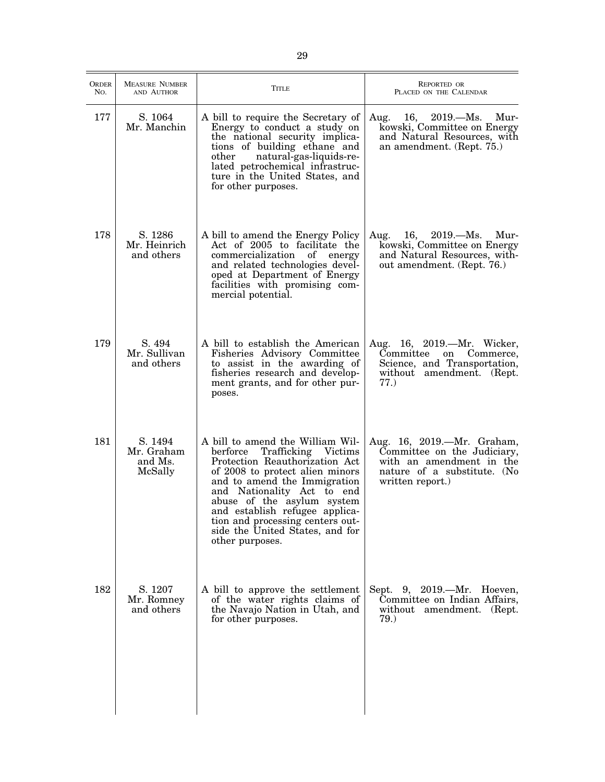| <b>ORDER</b><br>No. | <b>MEASURE NUMBER</b><br>AND AUTHOR         | TITLE                                                                                                                                                                                                                                                                                                                                                            | <b>REPORTED OR</b><br>PLACED ON THE CALENDAR                                                                                             |
|---------------------|---------------------------------------------|------------------------------------------------------------------------------------------------------------------------------------------------------------------------------------------------------------------------------------------------------------------------------------------------------------------------------------------------------------------|------------------------------------------------------------------------------------------------------------------------------------------|
| 177                 | S. 1064<br>Mr. Manchin                      | A bill to require the Secretary of<br>Energy to conduct a study on<br>the national security implica-<br>tions of building ethane and<br>other<br>natural-gas-liquids-re-<br>lated petrochemical infrastruc-<br>ture in the United States, and<br>for other purposes.                                                                                             | Aug. 16, 2019.—Ms. Mur-<br>kowski, Committee on Energy<br>and Natural Resources, with<br>an amendment. (Rept. 75.)                       |
| 178                 | S. 1286<br>Mr. Heinrich<br>and others       | A bill to amend the Energy Policy<br>Act of 2005 to facilitate the<br>commercialization of energy<br>and related technologies devel-<br>oped at Department of Energy<br>facilities with promising com-<br>mercial potential.                                                                                                                                     | Aug. $16, 2019$ . Ms.<br>Mur-<br>kowski, Committee on Energy<br>and Natural Resources, with-<br>out amendment. (Rept. 76.)               |
| 179                 | S. 494<br>Mr. Sullivan<br>and others        | A bill to establish the American<br>Fisheries Advisory Committee<br>to assist in the awarding of<br>fisheries research and develop-<br>ment grants, and for other pur-<br>poses.                                                                                                                                                                                 | Aug. 16, 2019.—Mr. Wicker,<br>Committee<br>Commerce,<br>on<br>Science, and Transportation,<br>without amendment. (Rept.<br>77.)          |
| 181                 | S. 1494<br>Mr. Graham<br>and Ms.<br>McSally | A bill to amend the William Wil-<br>berforce<br>Trafficking Victims<br>Protection Reauthorization Act<br>of 2008 to protect alien minors<br>and to amend the Immigration<br>and Nationality Act to end<br>abuse of the asylum system<br>and establish refugee applica-<br>tion and processing centers out-<br>side the United States, and for<br>other purposes. | Aug. 16, 2019.—Mr. Graham,<br>Committee on the Judiciary,<br>with an amendment in the<br>nature of a substitute. (No<br>written report.) |
| 182                 | S. 1207<br>Mr. Romney<br>and others         | A bill to approve the settlement<br>of the water rights claims of<br>the Navajo Nation in Utah, and<br>for other purposes.                                                                                                                                                                                                                                       | Sept. 9, 2019.—Mr. Hoeven,<br>Committee on Indian Affairs,<br>without amendment. (Rept.<br>79.)                                          |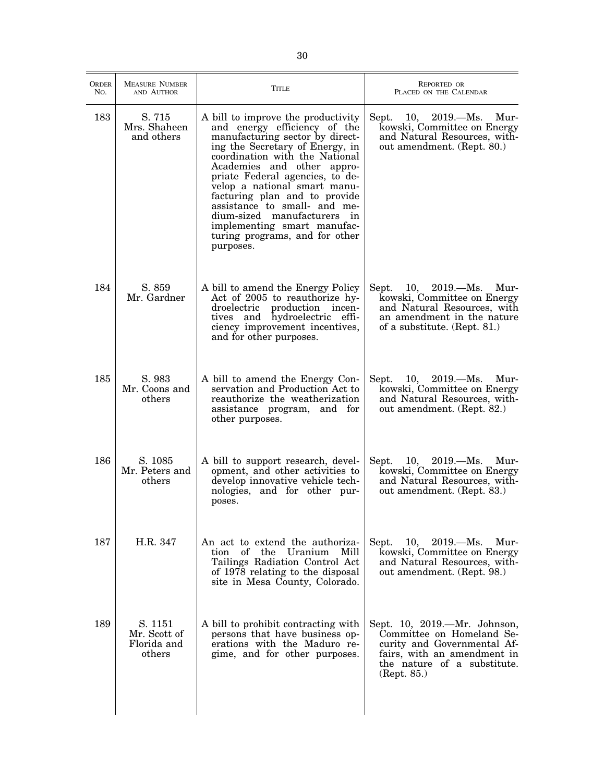| ORDER<br>No. | <b>MEASURE NUMBER</b><br>AND AUTHOR              | Title                                                                                                                                                                                                                                                                                                                                                                                                                                                     | <b>REPORTED OR</b><br>PLACED ON THE CALENDAR                                                                                                                          |
|--------------|--------------------------------------------------|-----------------------------------------------------------------------------------------------------------------------------------------------------------------------------------------------------------------------------------------------------------------------------------------------------------------------------------------------------------------------------------------------------------------------------------------------------------|-----------------------------------------------------------------------------------------------------------------------------------------------------------------------|
| 183          | S. 715<br>Mrs. Shaheen<br>and others             | A bill to improve the productivity<br>and energy efficiency of the<br>manufacturing sector by direct-<br>ing the Secretary of Energy, in<br>coordination with the National<br>Academies and other appro-<br>priate Federal agencies, to de-<br>velop a national smart manu-<br>facturing plan and to provide<br>assistance to small- and me-<br>dium-sized manufacturers in<br>implementing smart manufac-<br>turing programs, and for other<br>purposes. | Sept.<br>$10, 2019$ Ms.<br>Mur-<br>kowski, Committee on Energy<br>and Natural Resources, with-<br>out amendment. (Rept. 80.)                                          |
| 184          | S. 859<br>Mr. Gardner                            | A bill to amend the Energy Policy<br>Act of 2005 to reauthorize hy-<br>droelectric production incen-<br>tives and hydroelectric effi-<br>ciency improvement incentives,<br>and for other purposes.                                                                                                                                                                                                                                                        | $10, \quad 2019. - Ms.$<br>Mur-<br>Sept.<br>kowski, Committee on Energy<br>and Natural Resources, with<br>an amendment in the nature<br>of a substitute. (Rept. 81.)  |
| 185          | S. 983<br>Mr. Coons and<br>others                | A bill to amend the Energy Con-<br>servation and Production Act to<br>reauthorize the weatherization<br>assistance program, and for<br>other purposes.                                                                                                                                                                                                                                                                                                    | $10, 2019. - Ms.$<br>Sept.<br>-Mur<br>kowski, Committee on Energy<br>and Natural Resources, with-<br>out amendment. (Rept. 82.)                                       |
| 186          | S. 1085<br>Mr. Peters and<br>others              | A bill to support research, devel-<br>opment, and other activities to<br>develop innovative vehicle tech-<br>nologies, and for other pur-<br>poses.                                                                                                                                                                                                                                                                                                       | 10, 2019.—Ms. Mur-<br>Sept.<br>kowski, Committee on Energy<br>and Natural Resources, with-<br>out amendment. (Rept. 83.)                                              |
| 187          | H.R. 347                                         | An act to extend the authoriza-<br>Uranium Mill<br>tion of the<br>Tailings Radiation Control Act<br>of 1978 relating to the disposal<br>site in Mesa County, Colorado.                                                                                                                                                                                                                                                                                    | Sept.<br>10,<br>$2019. - Ms.$<br>Mur-<br>kowski, Committee on Energy<br>and Natural Resources, with-<br>out amendment. (Rept. 98.)                                    |
| 189          | S. 1151<br>Mr. Scott of<br>Florida and<br>others | A bill to prohibit contracting with<br>persons that have business op-<br>erations with the Maduro re-<br>gime, and for other purposes.                                                                                                                                                                                                                                                                                                                    | Sept. 10, 2019.—Mr. Johnson,<br>Committee on Homeland Se-<br>curity and Governmental Af-<br>fairs, with an amendment in<br>the nature of a substitute.<br>(Rept. 85.) |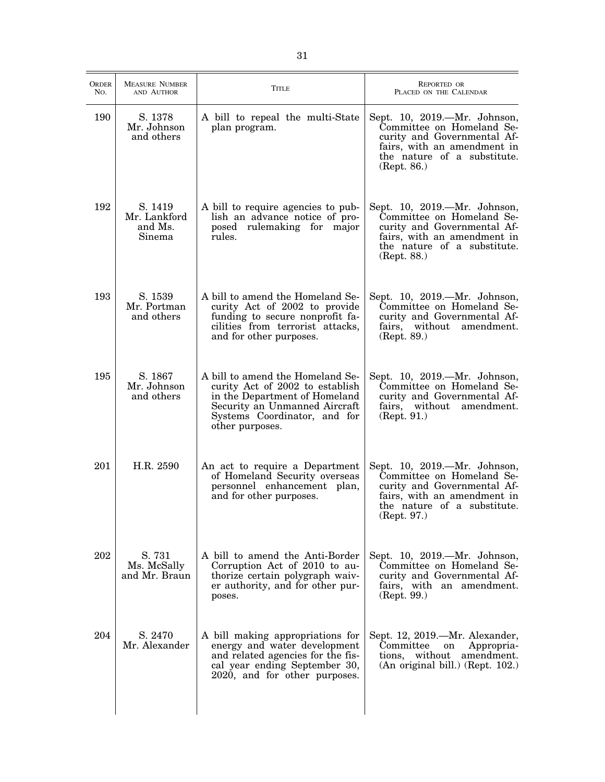| ORDER<br>No. | <b>MEASURE NUMBER</b><br>AND AUTHOR          | Title                                                                                                                                                                                    | <b>REPORTED OR</b><br>PLACED ON THE CALENDAR                                                                                                                          |
|--------------|----------------------------------------------|------------------------------------------------------------------------------------------------------------------------------------------------------------------------------------------|-----------------------------------------------------------------------------------------------------------------------------------------------------------------------|
| 190          | S. 1378<br>Mr. Johnson<br>and others         | A bill to repeal the multi-State<br>plan program.                                                                                                                                        | Sept. 10, 2019.—Mr. Johnson,<br>Committee on Homeland Se-<br>curity and Governmental Af-<br>fairs, with an amendment in<br>the nature of a substitute.<br>(Rept. 86.) |
| 192          | S. 1419<br>Mr. Lankford<br>and Ms.<br>Sinema | A bill to require agencies to pub-<br>lish an advance notice of pro-<br>posed rulemaking for major<br>rules.                                                                             | Sept. 10, 2019.—Mr. Johnson,<br>Committee on Homeland Se-<br>curity and Governmental Af-<br>fairs, with an amendment in<br>the nature of a substitute.<br>(Rept. 88.) |
| 193          | S. 1539<br>Mr. Portman<br>and others         | A bill to amend the Homeland Se-<br>curity Act of 2002 to provide<br>funding to secure nonprofit fa-<br>cilities from terrorist attacks,<br>and for other purposes.                      | Sept. 10, 2019.—Mr. Johnson,<br>Committee on Homeland Se-<br>curity and Governmental Af-<br>fairs,<br>without amendment.<br>(Rept. 89.)                               |
| 195          | S. 1867<br>Mr. Johnson<br>and others         | A bill to amend the Homeland Se-<br>curity Act of 2002 to establish<br>in the Department of Homeland<br>Security an Unmanned Aircraft<br>Systems Coordinator, and for<br>other purposes. | Sept. 10, 2019.—Mr. Johnson,<br>Committee on Homeland Se-<br>curity and Governmental Af-<br>fairs, without amendment.<br>(Rept. 91.)                                  |
| 201          | H.R. 2590                                    | An act to require a Department<br>of Homeland Security overseas<br>personnel enhancement plan,<br>and for other purposes.                                                                | Sept. 10, 2019.—Mr. Johnson,<br>Committee on Homeland Se-<br>curity and Governmental Af-<br>fairs, with an amendment in<br>the nature of a substitute.<br>(Rept. 97.) |
| 202          | S. 731<br>Ms. McSally<br>and Mr. Braun       | A bill to amend the Anti-Border<br>Corruption Act of 2010 to au-<br>thorize certain polygraph waiv-<br>er authority, and for other pur-<br>poses.                                        | Sept. 10, 2019.—Mr. Johnson,<br>Committee on Homeland Se-<br>curity and Governmental Af-<br>fairs, with an amendment.<br>(Rept. 99.)                                  |
| 204          | S. 2470<br>Mr. Alexander                     | A bill making appropriations for<br>energy and water development<br>and related agencies for the fis-<br>cal year ending September 30,<br>2020, and for other purposes.                  | Sept. 12, 2019.—Mr. Alexander,<br>Committee<br>Appropria-<br>on<br>tions, without<br>amendment.<br>(An original bill.) (Rept. 102.)                                   |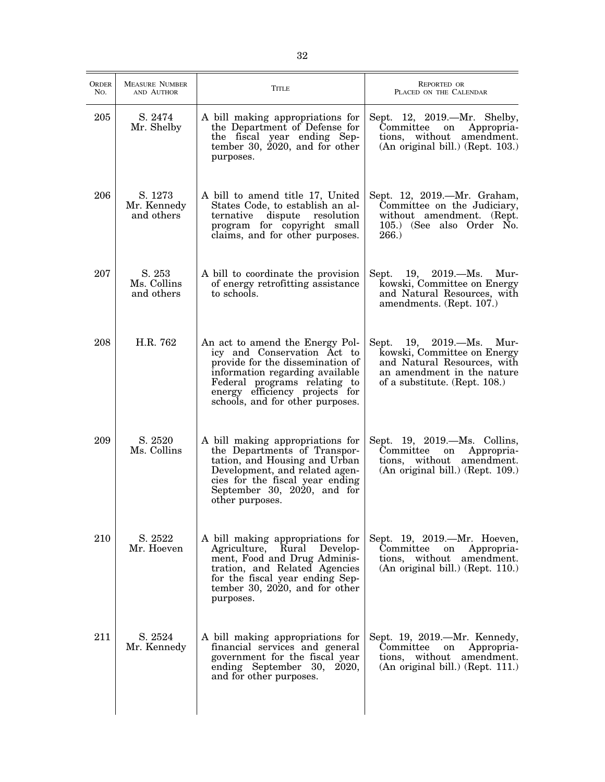| <b>ORDER</b><br>No. | <b>MEASURE NUMBER</b><br>AND AUTHOR  | Title                                                                                                                                                                                                                                       | <b>REPORTED OR</b><br>PLACED ON THE CALENDAR                                                                                                             |
|---------------------|--------------------------------------|---------------------------------------------------------------------------------------------------------------------------------------------------------------------------------------------------------------------------------------------|----------------------------------------------------------------------------------------------------------------------------------------------------------|
| 205                 | S. 2474<br>Mr. Shelby                | A bill making appropriations for<br>the Department of Defense for<br>the fiscal year ending Sep-<br>tember 30, $2020$ , and for other<br>purposes.                                                                                          | Sept. 12, 2019.—Mr. Shelby,<br>Committee<br>Appropria-<br>on<br>tions, without<br>amendment.<br>(An original bill.) (Rept. 103.)                         |
| 206                 | S. 1273<br>Mr. Kennedy<br>and others | A bill to amend title 17, United<br>States Code, to establish an al-<br>ternative<br>dispute<br>resolution<br>program for copyright small<br>claims, and for other purposes.                                                                | Sept. 12, 2019.—Mr. Graham,<br>Committee on the Judiciary,<br>without amendment. (Rept.<br>105.) (See also Order No.<br>266.                             |
| 207                 | S. 253<br>Ms. Collins<br>and others  | A bill to coordinate the provision<br>of energy retrofitting assistance<br>to schools.                                                                                                                                                      | 19, $2019.-Ms.$<br>Sept.<br>Mur-<br>kowski, Committee on Energy<br>and Natural Resources, with<br>amendments. (Rept. 107.)                               |
| 208                 | H.R. 762                             | An act to amend the Energy Pol-<br>icy and Conservation Act to<br>provide for the dissemination of<br>information regarding available<br>Federal programs relating to<br>energy efficiency projects for<br>schools, and for other purposes. | Sept. 19, 2019.—Ms.<br>Mur-<br>kowski, Committee on Energy<br>and Natural Resources, with<br>an amendment in the nature<br>of a substitute. (Rept. 108.) |
| 209                 | S. 2520<br>Ms. Collins               | A bill making appropriations for<br>the Departments of Transpor-<br>tation, and Housing and Urban<br>Development, and related agen-<br>cies for the fiscal year ending<br>September 30, 2020, and for<br>other purposes.                    | Sept. 19, 2019.—Ms. Collins,<br>Committee<br>Appropria-<br>on<br>tions, without amendment.<br>(An original bill.) (Rept. 109.)                           |
| 210                 | S. 2522<br>Mr. Hoeven                | A bill making appropriations for<br>Agriculture, Rural<br>Develop-<br>ment, Food and Drug Adminis-<br>tration, and Related Agencies<br>for the fiscal year ending Sep-<br>tember 30, 2020, and for other<br>purposes.                       | Sept. 19, 2019.—Mr. Hoeven,<br>Committee<br>Appropria-<br>on<br>tions, without amendment.<br>(An original bill.) (Rept. 110.)                            |
| 211                 | S. 2524<br>Mr. Kennedy               | A bill making appropriations for<br>financial services and general<br>government for the fiscal year<br>ending September 30, 2020,<br>and for other purposes.                                                                               | Sept. 19, 2019.—Mr. Kennedy,<br>Committee<br>Appropria-<br>on<br>tions, without<br>amendment.<br>(An original bill.) (Rept. 111.)                        |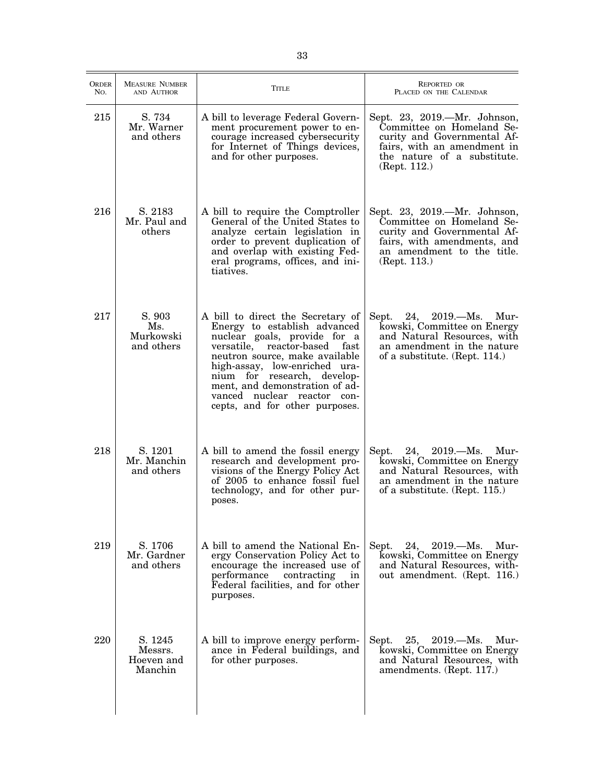| <b>ORDER</b><br>No. | <b>MEASURE NUMBER</b><br>AND AUTHOR         | TITLE                                                                                                                                                                                                                                                                                                                                      | REPORTED OR<br>PLACED ON THE CALENDAR                                                                                                                                  |
|---------------------|---------------------------------------------|--------------------------------------------------------------------------------------------------------------------------------------------------------------------------------------------------------------------------------------------------------------------------------------------------------------------------------------------|------------------------------------------------------------------------------------------------------------------------------------------------------------------------|
| 215                 | S. 734<br>Mr. Warner<br>and others          | A bill to leverage Federal Govern-<br>ment procurement power to en-<br>courage increased cybersecurity<br>for Internet of Things devices,<br>and for other purposes.                                                                                                                                                                       | Sept. 23, 2019.—Mr. Johnson,<br>Committee on Homeland Se-<br>curity and Governmental Af-<br>fairs, with an amendment in<br>the nature of a substitute.<br>(Rept. 112.) |
| 216                 | S. 2183<br>Mr. Paul and<br>others           | A bill to require the Comptroller<br>General of the United States to<br>analyze certain legislation in<br>order to prevent duplication of<br>and overlap with existing Fed-<br>eral programs, offices, and ini-<br>tiatives.                                                                                                               | Sept. 23, 2019.—Mr. Johnson,<br>Committee on Homeland Se-<br>curity and Governmental Af-<br>fairs, with amendments, and<br>an amendment to the title.<br>(Rept. 113.)  |
| 217                 | S. 903<br>Ms.<br>Murkowski<br>and others    | A bill to direct the Secretary of<br>Energy to establish advanced<br>nuclear goals, provide for a<br>versatile, reactor-based<br>fast<br>neutron source, make available<br>high-assay, low-enriched ura-<br>nium for research, develop-<br>ment, and demonstration of ad-<br>vanced nuclear reactor con-<br>cepts, and for other purposes. | Sept.<br>24,<br>$2019. - Ms.$<br>Mur-<br>kowski, Committee on Energy<br>and Natural Resources, with<br>an amendment in the nature<br>of a substitute. (Rept. 114.)     |
| 218                 | S. 1201<br>Mr. Manchin<br>and others        | A bill to amend the fossil energy<br>research and development pro-<br>visions of the Energy Policy Act<br>of 2005 to enhance fossil fuel<br>technology, and for other pur-<br>poses.                                                                                                                                                       | Sept. 24, 2019.—Ms. Mur-<br>kowski, Committee on Energy<br>and Natural Resources, with<br>an amendment in the nature<br>of a substitute. (Rept. 115.)                  |
| 219                 | S. 1706<br>Mr. Gardner<br>and others        | A bill to amend the National En-<br>ergy Conservation Policy Act to<br>encourage the increased use of<br>performance<br>contracting<br>in<br>Federal facilities, and for other<br>purposes.                                                                                                                                                | Sept.<br>24,<br>$2019. - Ms.$<br>Mur-<br>kowski, Committee on Energy<br>and Natural Resources, with-<br>out amendment. (Rept. 116.)                                    |
| 220                 | S. 1245<br>Messrs.<br>Hoeven and<br>Manchin | A bill to improve energy perform-<br>ance in Federal buildings, and<br>for other purposes.                                                                                                                                                                                                                                                 | $25, \quad 2019. - Ms.$<br>Mur-<br>Sept.<br>kowski, Committee on Energy<br>and Natural Resources, with<br>amendments. (Rept. 117.)                                     |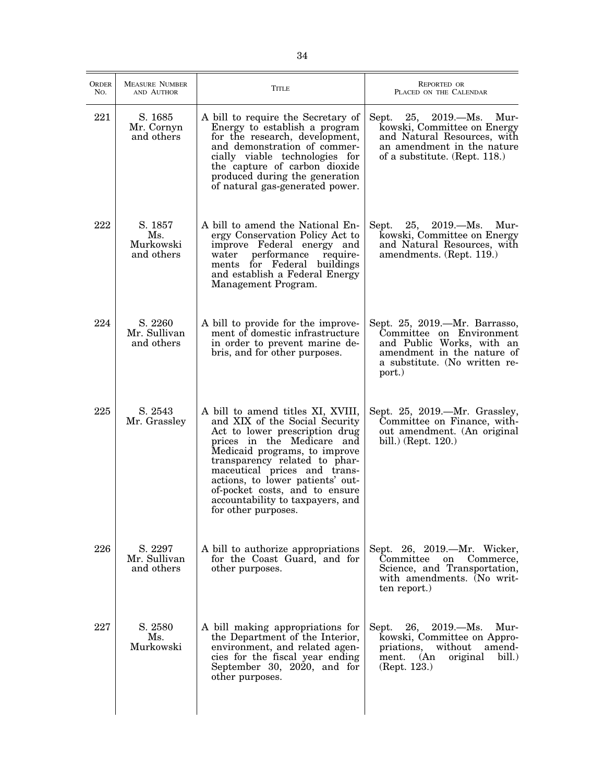| <b>ORDER</b><br>No. | <b>MEASURE NUMBER</b><br>AND AUTHOR       | TITLE                                                                                                                                                                                                                                                                                                                                                                  | <b>REPORTED OR</b><br>PLACED ON THE CALENDAR                                                                                                                       |
|---------------------|-------------------------------------------|------------------------------------------------------------------------------------------------------------------------------------------------------------------------------------------------------------------------------------------------------------------------------------------------------------------------------------------------------------------------|--------------------------------------------------------------------------------------------------------------------------------------------------------------------|
| 221                 | S. 1685<br>Mr. Cornyn<br>and others       | A bill to require the Secretary of<br>Energy to establish a program<br>for the research, development,<br>and demonstration of commer-<br>cially viable technologies for<br>the capture of carbon dioxide<br>produced during the generation<br>of natural gas-generated power.                                                                                          | $2019. - Ms.$<br>Sept.<br>25,<br>Mur-<br>kowski, Committee on Energy<br>and Natural Resources, with<br>an amendment in the nature<br>of a substitute. (Rept. 118.) |
| 222                 | S. 1857<br>Ms.<br>Murkowski<br>and others | A bill to amend the National En-<br>ergy Conservation Policy Act to<br>improve Federal energy and<br>performance<br>require-<br>water<br>ments for Federal buildings<br>and establish a Federal Energy<br>Management Program.                                                                                                                                          | Sept.<br>$25, \quad 2019. - Ms.$<br>Mur-<br>kowski, Committee on Energy<br>and Natural Resources, with<br>amendments. (Rept. 119.)                                 |
| 224                 | S. 2260<br>Mr. Sullivan<br>and others     | A bill to provide for the improve-<br>ment of domestic infrastructure<br>in order to prevent marine de-<br>bris, and for other purposes.                                                                                                                                                                                                                               | Sept. 25, 2019.—Mr. Barrasso,<br>Committee on Environment<br>and Public Works, with an<br>amendment in the nature of<br>a substitute. (No written re-<br>port.)    |
| 225                 | S. 2543<br>Mr. Grassley                   | A bill to amend titles XI, XVIII,<br>and XIX of the Social Security<br>Act to lower prescription drug<br>prices in the Medicare and<br>Medicaid programs, to improve<br>transparency related to phar-<br>maceutical prices and trans-<br>actions, to lower patients' out-<br>of-pocket costs, and to ensure<br>accountability to taxpayers, and<br>for other purposes. | Sept. 25, 2019.—Mr. Grassley,<br>Committee on Finance, with-<br>out amendment. (An original<br>bill.) (Rept. 120.)                                                 |
| 226                 | S. 2297<br>Mr. Sullivan<br>and others     | A bill to authorize appropriations<br>for the Coast Guard, and for<br>other purposes.                                                                                                                                                                                                                                                                                  | Sept. 26, 2019.—Mr. Wicker,<br>Committee<br>Commerce,<br>on<br>Science, and Transportation,<br>with amendments. (No writ-<br>ten report.)                          |
| 227                 | S. 2580<br>Ms.<br>Murkowski               | A bill making appropriations for<br>the Department of the Interior,<br>environment, and related agen-<br>cies for the fiscal year ending<br>September 30, 2020, and for<br>other purposes.                                                                                                                                                                             | 26,<br>$2019. - Ms.$<br>Mur-<br>Sept.<br>kowski, Committee on Appro-<br>priations,<br>without<br>amend-<br>bill.<br>ment.<br>(An)<br>original<br>(Rept. 123.)      |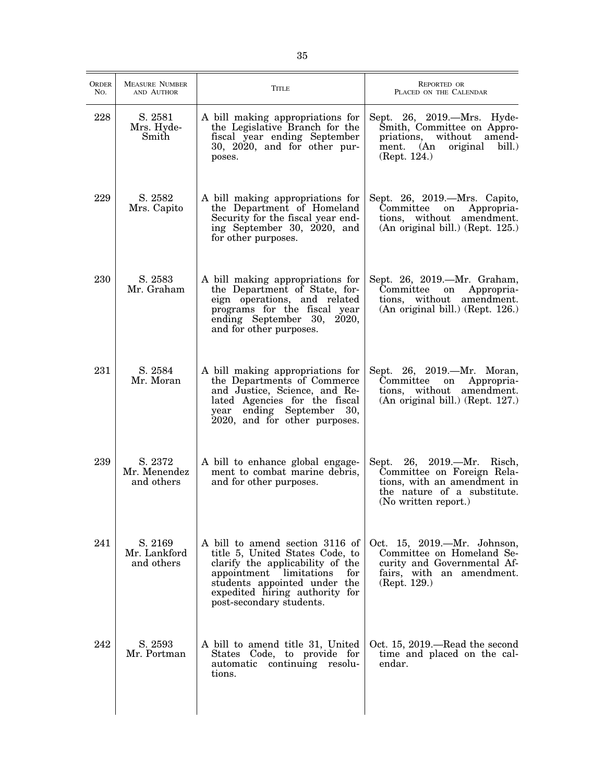| <b>ORDER</b><br>No. | <b>MEASURE NUMBER</b><br>AND AUTHOR   | <b>TITLE</b>                                                                                                                                                                                                                           | <b>REPORTED OR</b><br>PLACED ON THE CALENDAR                                                                                                     |
|---------------------|---------------------------------------|----------------------------------------------------------------------------------------------------------------------------------------------------------------------------------------------------------------------------------------|--------------------------------------------------------------------------------------------------------------------------------------------------|
| 228                 | S. 2581<br>Mrs. Hyde-<br>Smith        | A bill making appropriations for<br>the Legislative Branch for the<br>fiscal year ending September<br>30, 2020, and for other pur-<br>poses.                                                                                           | Sept. 26, 2019.—Mrs. Hyde-<br>Smith, Committee on Appro-<br>priations,<br>without<br>amend-<br>ment. (An<br>original<br>bill.)<br>(Rept. 124.)   |
| 229                 | S. 2582<br>Mrs. Capito                | A bill making appropriations for<br>the Department of Homeland<br>Security for the fiscal year end-<br>ing September 30, 2020, and<br>for other purposes.                                                                              | Sept. 26, 2019.—Mrs. Capito,<br>Committee<br>Appropria-<br>on<br>tions, without amendment.<br>(An original bill.) (Rept. 125.)                   |
| 230                 | S. 2583<br>Mr. Graham                 | A bill making appropriations for<br>the Department of State, for-<br>eign operations, and related<br>programs for the fiscal year<br>ending September 30, 2020,<br>and for other purposes.                                             | Sept. 26, 2019.—Mr. Graham,<br>Committee<br>Appropria-<br>on<br>tions, without amendment.<br>(An original bill.) (Rept. 126.)                    |
| 231                 | S. 2584<br>Mr. Moran                  | A bill making appropriations for<br>the Departments of Commerce<br>and Justice, Science, and Re-<br>lated Agencies for the fiscal<br>year ending September<br>30,<br>2020, and for other purposes.                                     | Sept. 26, 2019.—Mr. Moran,<br>Committee<br>Appropria-<br>on<br>tions, without amendment.<br>(An original bill.) (Rept. 127.)                     |
| 239                 | S. 2372<br>Mr. Menendez<br>and others | A bill to enhance global engage-<br>ment to combat marine debris,<br>and for other purposes.                                                                                                                                           | Sept. 26, 2019. - Mr. Risch,<br>Committee on Foreign Rela-<br>tions, with an amendment in<br>the nature of a substitute.<br>(No written report.) |
| 241                 | S. 2169<br>Mr. Lankford<br>and others | A bill to amend section 3116 of<br>title 5, United States Code, to<br>clarify the applicability of the<br>appointment limitations<br>for<br>students appointed under the<br>expedited hiring authority for<br>post-secondary students. | Oct. 15, 2019.—Mr. Johnson,<br>Committee on Homeland Se-<br>curity and Governmental Af-<br>fairs, with an amendment.<br>(Rept. 129.)             |
| 242                 | S. 2593<br>Mr. Portman                | A bill to amend title 31, United<br>States Code, to provide for<br>automatic continuing resolu-<br>tions.                                                                                                                              | Oct. 15, 2019.—Read the second<br>time and placed on the cal-<br>endar.                                                                          |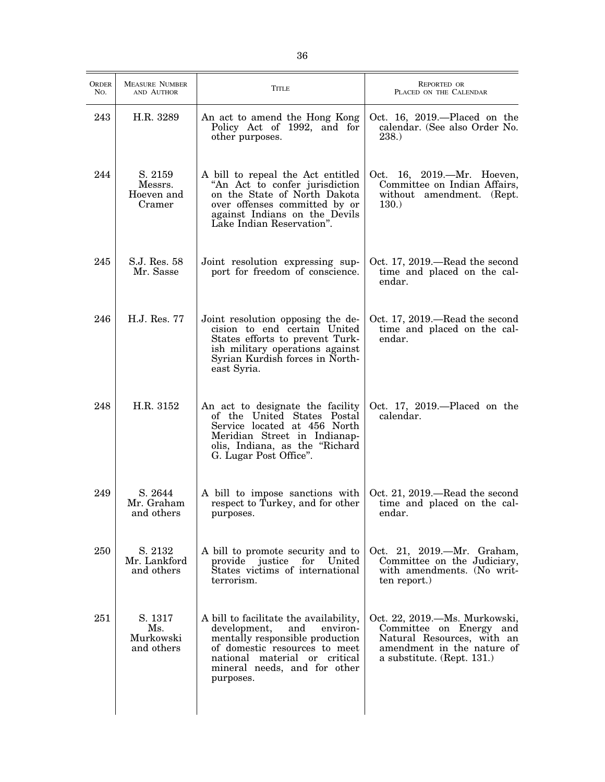| <b>ORDER</b><br>No. | <b>MEASURE NUMBER</b><br>AND AUTHOR        | TITLE                                                                                                                                                                                                                       | <b>REPORTED OR</b><br>PLACED ON THE CALENDAR                                                                                                       |
|---------------------|--------------------------------------------|-----------------------------------------------------------------------------------------------------------------------------------------------------------------------------------------------------------------------------|----------------------------------------------------------------------------------------------------------------------------------------------------|
| 243                 | H.R. 3289                                  | An act to amend the Hong Kong<br>Policy Act of 1992, and for<br>other purposes.                                                                                                                                             | Oct. 16, 2019.—Placed on the<br>calendar. (See also Order No.<br>238.)                                                                             |
| 244                 | S. 2159<br>Messrs.<br>Hoeven and<br>Cramer | A bill to repeal the Act entitled<br>"An Act to confer jurisdiction<br>on the State of North Dakota<br>over offenses committed by or<br>against Indians on the Devils<br>Lake Indian Reservation".                          | Oct. 16, 2019.—Mr. Hoeven,<br>Committee on Indian Affairs,<br>without amendment. (Rept.<br>130.                                                    |
| 245                 | S.J. Res. 58<br>Mr. Sasse                  | Joint resolution expressing sup-<br>port for freedom of conscience.                                                                                                                                                         | Oct. 17, 2019.—Read the second<br>time and placed on the cal-<br>endar.                                                                            |
| 246                 | H.J. Res. 77                               | Joint resolution opposing the de-<br>cision to end certain United<br>States efforts to prevent Turk-<br>ish military operations against<br>Syrian Kurdish forces in North-<br>east Syria.                                   | Oct. 17, 2019.—Read the second<br>time and placed on the cal-<br>endar.                                                                            |
| 248                 | H.R. 3152                                  | An act to designate the facility<br>of the United States Postal<br>Service located at 456 North<br>Meridian Street in Indianap-<br>olis, Indiana, as the "Richard<br>G. Lugar Post Office".                                 | Oct. 17, 2019.—Placed on the<br>calendar.                                                                                                          |
| 249                 | S. 2644<br>Mr. Graham<br>and others        | A bill to impose sanctions with<br>respect to Turkey, and for other<br>purposes.                                                                                                                                            | Oct. 21, 2019.—Read the second<br>time and placed on the cal-<br>endar.                                                                            |
| 250                 | S. 2132<br>Mr. Lankford<br>and others      | A bill to promote security and to<br>provide justice<br>for United<br>States victims of international<br>terrorism.                                                                                                         | Oct. 21, 2019.—Mr. Graham,<br>Committee on the Judiciary,<br>with amendments. (No writ-<br>ten report.)                                            |
| 251                 | S. 1317<br>Ms.<br>Murkowski<br>and others  | A bill to facilitate the availability,<br>development,<br>and<br>environ-<br>mentally responsible production<br>of domestic resources to meet<br>national material or critical<br>mineral needs, and for other<br>purposes. | Oct. 22, 2019.—Ms. Murkowski,<br>Committee on Energy and<br>Natural Resources, with an<br>amendment in the nature of<br>a substitute. (Rept. 131.) |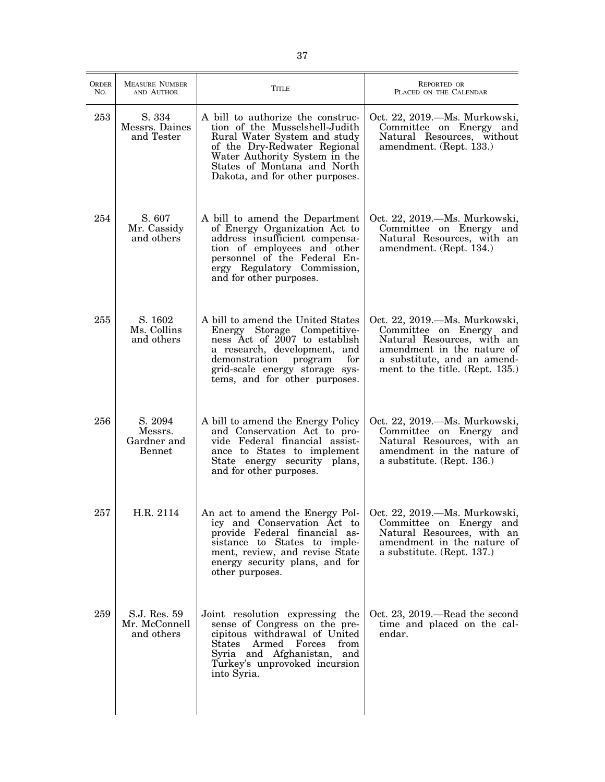| ORDER<br>No. | <b>MEASURE NUMBER</b><br>AND AUTHOR                | Title                                                                                                                                                                                                                                  | <b>REPORTED OR</b><br>PLACED ON THE CALENDAR                                                                                                                                           |
|--------------|----------------------------------------------------|----------------------------------------------------------------------------------------------------------------------------------------------------------------------------------------------------------------------------------------|----------------------------------------------------------------------------------------------------------------------------------------------------------------------------------------|
| 253          | S. 334<br>Messrs. Daines<br>and Tester             | A bill to authorize the construc-<br>tion of the Musselshell-Judith<br>Rural Water System and study<br>of the Dry-Redwater Regional<br>Water Authority System in the<br>States of Montana and North<br>Dakota, and for other purposes. | Oct. 22, 2019.—Ms. Murkowski,<br>Committee on Energy and<br>Natural Resources, without<br>amendment. (Rept. 133.)                                                                      |
| 254          | S. 607<br>Mr. Cassidy<br>and others                | A bill to amend the Department<br>of Energy Organization Act to<br>address insufficient compensa-<br>tion of employees and other<br>personnel of the Federal En-<br>ergy Regulatory Commission,<br>and for other purposes.             | Oct. 22, 2019.—Ms. Murkowski,<br>Committee on Energy and<br>Natural Resources, with an<br>amendment. (Rept. 134.)                                                                      |
| 255          | S. 1602<br>Ms. Collins<br>and others               | A bill to amend the United States<br>Energy Storage Competitive-<br>ness Act of 2007 to establish<br>a research, development, and<br>for<br>demonstration program<br>grid-scale energy storage sys-<br>tems, and for other purposes.   | Oct. 22, 2019.—Ms. Murkowski,<br>Committee on Energy and<br>Natural Resources, with an<br>amendment in the nature of<br>a substitute, and an amend-<br>ment to the title. (Rept. 135.) |
| 256          | S. 2094<br>Messrs.<br>Gardner and<br><b>Bennet</b> | A bill to amend the Energy Policy<br>and Conservation Act to pro-<br>vide Federal financial assist-<br>ance to States to implement<br>State energy security plans,<br>and for other purposes.                                          | Oct. 22, 2019.—Ms. Murkowski,<br>Committee on Energy and<br>Natural Resources, with an<br>amendment in the nature of<br>a substitute. (Rept. 136.)                                     |
| 257          | H.R. 2114                                          | An act to amend the Energy Pol-<br>icy and Conservation Act to<br>provide Federal financial as-<br>sistance to States to imple-<br>ment, review, and revise State<br>energy security plans, and for<br>other purposes.                 | Oct. 22, 2019. - Ms. Murkowski,<br>Committee on Energy and<br>Natural Resources, with an<br>amendment in the nature of<br>a substitute. (Rept. 137.)                                   |
| 259          | S.J. Res. 59<br>Mr. McConnell<br>and others        | Joint resolution expressing the<br>sense of Congress on the pre-<br>cipitous withdrawal of United<br>States Armed Forces from<br>Syria and Afghanistan, and<br>Turkey's unprovoked incursion<br>into Syria.                            | Oct. 23, 2019.—Read the second<br>time and placed on the cal-<br>endar.                                                                                                                |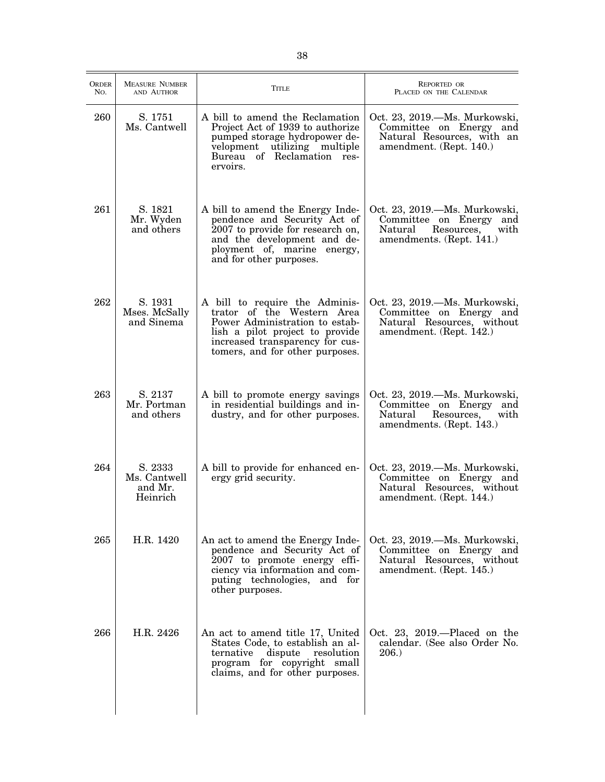| <b>ORDER</b><br>No. | <b>MEASURE NUMBER</b><br>AND AUTHOR            | <b>TITLE</b>                                                                                                                                                                                            | <b>REPORTED OR</b><br>PLACED ON THE CALENDAR                                                                          |
|---------------------|------------------------------------------------|---------------------------------------------------------------------------------------------------------------------------------------------------------------------------------------------------------|-----------------------------------------------------------------------------------------------------------------------|
| 260                 | S. 1751<br>Ms. Cantwell                        | A bill to amend the Reclamation<br>Project Act of 1939 to authorize<br>pumped storage hydropower de-<br>velopment utilizing multiple<br>Bureau of Reclamation res-<br>ervoirs.                          | Oct. 23, 2019.—Ms. Murkowski,<br>Committee on Energy and<br>Natural Resources, with an<br>amendment. (Rept. 140.)     |
| 261                 | S. 1821<br>Mr. Wyden<br>and others             | A bill to amend the Energy Inde-<br>pendence and Security Act of<br>2007 to provide for research on,<br>and the development and de-<br>ployment of, marine energy,<br>and for other purposes.           | Oct. 23, 2019. - Ms. Murkowski,<br>Committee on Energy and<br>Resources, with<br>Natural<br>amendments. (Rept. 141.)  |
| 262                 | S. 1931<br>Mses. McSally<br>and Sinema         | A bill to require the Adminis-<br>trator of the Western Area<br>Power Administration to estab-<br>lish a pilot project to provide<br>increased transparency for cus-<br>tomers, and for other purposes. | Oct. 23, 2019.—Ms. Murkowski,<br>Committee on Energy and<br>Natural Resources, without<br>amendment. (Rept. 142.)     |
| 263                 | S. 2137<br>Mr. Portman<br>and others           | A bill to promote energy savings<br>in residential buildings and in-<br>dustry, and for other purposes.                                                                                                 | Oct. 23, 2019.—Ms. Murkowski,<br>Committee on Energy and<br>Resources,<br>with<br>Natural<br>amendments. (Rept. 143.) |
| 264                 | S. 2333<br>Ms. Cantwell<br>and Mr.<br>Heinrich | A bill to provide for enhanced en-<br>ergy grid security.                                                                                                                                               | Oct. 23, 2019.—Ms. Murkowski,<br>Committee on Energy and<br>Natural Resources, without<br>amendment. (Rept. 144.)     |
| 265                 | H.R. 1420                                      | An act to amend the Energy Inde-<br>pendence and Security Act of<br>2007 to promote energy effi-<br>ciency via information and com-<br>puting technologies, and for<br>other purposes.                  | Oct. 23, 2019.—Ms. Murkowski,<br>Committee on Energy and<br>Natural Resources, without<br>amendment. (Rept. 145.)     |
| 266                 | H.R. 2426                                      | An act to amend title 17, United<br>States Code, to establish an al-<br>ternative<br>dispute resolution<br>program for copyright small<br>claims, and for other purposes.                               | Oct. 23, 2019.—Placed on the<br>calendar. (See also Order No.<br>206.                                                 |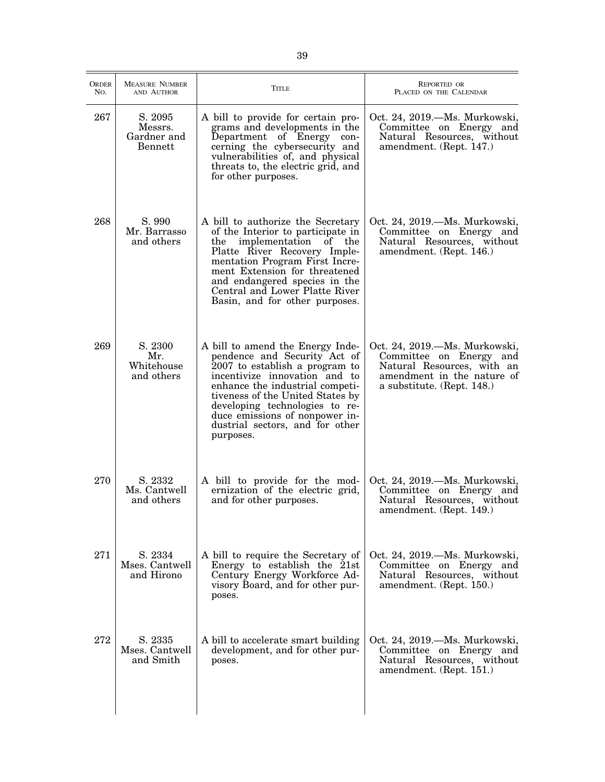| <b>ORDER</b><br>No. | <b>MEASURE NUMBER</b><br>AND AUTHOR          | <b>TITLE</b>                                                                                                                                                                                                                                                                                                                   | <b>REPORTED OR</b><br>PLACED ON THE CALENDAR                                                                                                       |
|---------------------|----------------------------------------------|--------------------------------------------------------------------------------------------------------------------------------------------------------------------------------------------------------------------------------------------------------------------------------------------------------------------------------|----------------------------------------------------------------------------------------------------------------------------------------------------|
| 267                 | S. 2095<br>Messrs.<br>Gardner and<br>Bennett | A bill to provide for certain pro-<br>grams and developments in the<br>Department of Energy con-<br>cerning the cybersecurity and<br>vulnerabilities of, and physical<br>threats to, the electric grid, and<br>for other purposes.                                                                                             | Oct. 24, 2019.—Ms. Murkowski,<br>Committee on Energy and<br>Natural Resources, without<br>amendment. (Rept. 147.)                                  |
| 268                 | S. 990<br>Mr. Barrasso<br>and others         | A bill to authorize the Secretary<br>of the Interior to participate in<br>implementation of the<br>the<br>Platte River Recovery Imple-<br>mentation Program First Incre-<br>ment Extension for threatened<br>and endangered species in the<br>Central and Lower Platte River<br>Basin, and for other purposes.                 | Oct. 24, 2019.—Ms. Murkowski,<br>Committee on Energy and<br>Natural Resources, without<br>amendment. (Rept. 146.)                                  |
| 269                 | S. 2300<br>Mr.<br>Whitehouse<br>and others   | A bill to amend the Energy Inde-<br>pendence and Security Act of<br>2007 to establish a program to<br>incentivize innovation and to<br>enhance the industrial competi-<br>tiveness of the United States by<br>developing technologies to re-<br>duce emissions of nonpower in-<br>dustrial sectors, and for other<br>purposes. | Oct. 24, 2019.—Ms. Murkowski,<br>Committee on Energy and<br>Natural Resources, with an<br>amendment in the nature of<br>a substitute. (Rept. 148.) |
| 270                 | S. 2332<br>Ms. Cantwell<br>and others        | A bill to provide for the mod-<br>ernization of the electric grid,<br>and for other purposes.                                                                                                                                                                                                                                  | Oct. 24, 2019.—Ms. Murkowski,<br>Committee on Energy and<br>Natural Resources, without<br>amendment. (Rept. 149.)                                  |
| 271                 | S. 2334<br>Mses. Cantwell<br>and Hirono      | A bill to require the Secretary of<br>Energy to establish the 21st<br>Century Energy Workforce Ad-<br>visory Board, and for other pur-<br>poses.                                                                                                                                                                               | Oct. 24, 2019.—Ms. Murkowski,<br>Committee on Energy and<br>Natural Resources, without<br>amendment. (Rept. 150.)                                  |
| 272                 | S. 2335<br>Mses. Cantwell<br>and Smith       | A bill to accelerate smart building<br>development, and for other pur-<br>poses.                                                                                                                                                                                                                                               | Oct. 24, 2019.—Ms. Murkowski,<br>Committee on Energy and<br>Natural Resources, without<br>amendment. (Rept. 151.)                                  |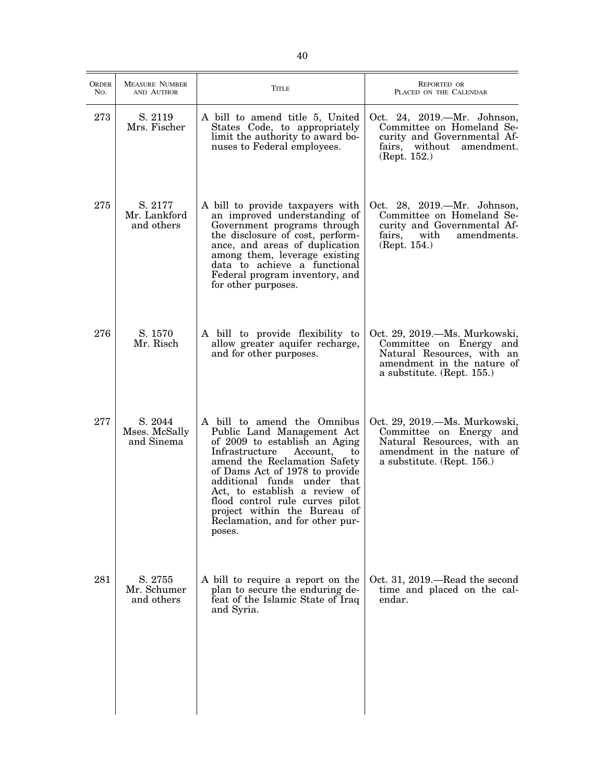| ORDER<br>N <sub>O</sub> . | <b>MEASURE NUMBER</b><br>AND AUTHOR    | TITLE                                                                                                                                                                                                                                                                                                                                                                            | <b>REPORTED OR</b><br>PLACED ON THE CALENDAR                                                                                                         |
|---------------------------|----------------------------------------|----------------------------------------------------------------------------------------------------------------------------------------------------------------------------------------------------------------------------------------------------------------------------------------------------------------------------------------------------------------------------------|------------------------------------------------------------------------------------------------------------------------------------------------------|
| 273                       | S. 2119<br>Mrs. Fischer                | A bill to amend title 5, United<br>States Code, to appropriately<br>limit the authority to award bo-<br>nuses to Federal employees.                                                                                                                                                                                                                                              | Oct. 24, 2019.—Mr. Johnson,<br>Committee on Homeland Se-<br>curity and Governmental Af-<br>fairs, without<br>amendment.<br>(Rept. 152.)              |
| 275                       | S. 2177<br>Mr. Lankford<br>and others  | A bill to provide taxpayers with<br>an improved understanding of<br>Government programs through<br>the disclosure of cost, perform-<br>ance, and areas of duplication<br>among them, leverage existing<br>data to achieve a functional<br>Federal program inventory, and<br>for other purposes.                                                                                  | Oct. 28, 2019. - Mr. Johnson,<br>Committee on Homeland Se-<br>curity and Governmental Af-<br>fairs,<br>with<br>amendments.<br>(Rept. 154.)           |
| 276                       | S. 1570<br>Mr. Risch                   | A bill to provide flexibility to<br>allow greater aquifer recharge,<br>and for other purposes.                                                                                                                                                                                                                                                                                   | Oct. 29, 2019. - Ms. Murkowski,<br>Committee on Energy and<br>Natural Resources, with an<br>amendment in the nature of<br>a substitute. (Rept. 155.) |
| 277                       | S. 2044<br>Mses. McSally<br>and Sinema | A bill to amend the Omnibus<br>Public Land Management Act<br>of 2009 to establish an Aging<br>Infrastructure<br>Account,<br>to<br>amend the Reclamation Safety<br>of Dams Act of 1978 to provide<br>additional funds under that<br>Act, to establish a review of<br>flood control rule curves pilot<br>project within the Bureau of<br>Reclamation, and for other pur-<br>poses. | Oct. 29, 2019.—Ms. Murkowski,<br>Committee on Energy and<br>Natural Resources, with an<br>amendment in the nature of<br>a substitute. (Rept. 156.)   |
| 281                       | S. 2755<br>Mr. Schumer<br>and others   | A bill to require a report on the<br>plan to secure the enduring de-<br>feat of the Islamic State of Iraq<br>and Syria.                                                                                                                                                                                                                                                          | Oct. 31, 2019.—Read the second<br>time and placed on the cal-<br>endar.                                                                              |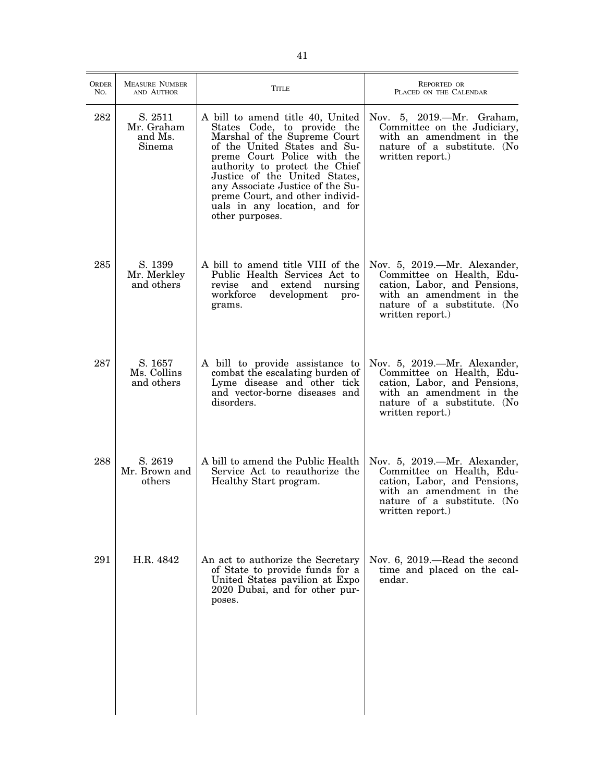| ORDER<br>No. | <b>MEASURE NUMBER</b><br>AND AUTHOR        | <b>TITLE</b>                                                                                                                                                                                                                                                                                                                                                 | <b>REPORTED OR</b><br>PLACED ON THE CALENDAR                                                                                                                             |
|--------------|--------------------------------------------|--------------------------------------------------------------------------------------------------------------------------------------------------------------------------------------------------------------------------------------------------------------------------------------------------------------------------------------------------------------|--------------------------------------------------------------------------------------------------------------------------------------------------------------------------|
| 282          | S. 2511<br>Mr. Graham<br>and Ms.<br>Sinema | A bill to amend title 40, United<br>States Code, to provide the<br>Marshal of the Supreme Court<br>of the United States and Su-<br>preme Court Police with the<br>authority to protect the Chief<br>Justice of the United States,<br>any Associate Justice of the Su-<br>preme Court, and other individ-<br>uals in any location, and for<br>other purposes. | Nov. 5, 2019.—Mr. Graham,<br>Committee on the Judiciary,<br>with an amendment in the<br>nature of a substitute. (No<br>written report.)                                  |
| 285          | S. 1399<br>Mr. Merkley<br>and others       | A bill to amend title VIII of the<br>Public Health Services Act to<br>and extend<br>nursing<br>revise<br>workforce<br>development<br>pro-<br>grams.                                                                                                                                                                                                          | Nov. 5, 2019.—Mr. Alexander,<br>Committee on Health, Edu-<br>cation, Labor, and Pensions,<br>with an amendment in the<br>nature of a substitute. (No<br>written report.) |
| 287          | S. 1657<br>Ms. Collins<br>and others       | A bill to provide assistance to<br>combat the escalating burden of<br>Lyme disease and other tick<br>and vector-borne diseases and<br>disorders.                                                                                                                                                                                                             | Nov. 5, 2019.—Mr. Alexander,<br>Committee on Health, Edu-<br>cation, Labor, and Pensions,<br>with an amendment in the<br>nature of a substitute. (No<br>written report.) |
| 288          | S. 2619<br>Mr. Brown and<br>others         | A bill to amend the Public Health<br>Service Act to reauthorize the<br>Healthy Start program.                                                                                                                                                                                                                                                                | Nov. 5, 2019.—Mr. Alexander,<br>Committee on Health, Edu-<br>cation, Labor, and Pensions,<br>with an amendment in the<br>nature of a substitute. (No<br>written report.) |
| 291          | H.R. 4842                                  | An act to authorize the Secretary<br>of State to provide funds for a<br>United States pavilion at Expo<br>2020 Dubai, and for other pur-<br>poses.                                                                                                                                                                                                           | Nov. 6, 2019.—Read the second<br>time and placed on the cal-<br>endar.                                                                                                   |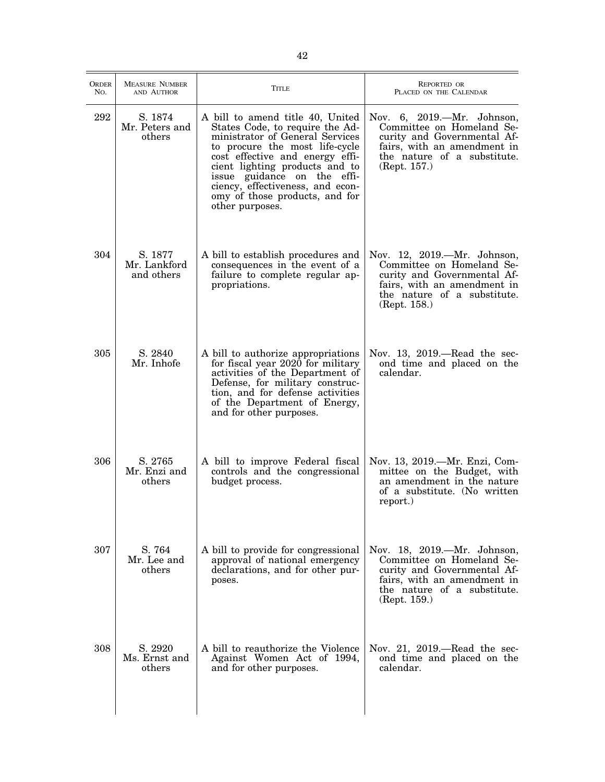| <b>ORDER</b><br>No. | <b>MEASURE NUMBER</b><br>AND AUTHOR   | Title                                                                                                                                                                                                                                                                                                                                 | <b>REPORTED OR</b><br>PLACED ON THE CALENDAR                                                                                                                          |
|---------------------|---------------------------------------|---------------------------------------------------------------------------------------------------------------------------------------------------------------------------------------------------------------------------------------------------------------------------------------------------------------------------------------|-----------------------------------------------------------------------------------------------------------------------------------------------------------------------|
| 292                 | S. 1874<br>Mr. Peters and<br>others   | A bill to amend title 40, United<br>States Code, to require the Ad-<br>ministrator of General Services<br>to procure the most life-cycle<br>cost effective and energy effi-<br>cient lighting products and to<br>issue guidance on the effi-<br>ciency, effectiveness, and econ-<br>omy of those products, and for<br>other purposes. | Nov. 6, 2019.—Mr. Johnson,<br>Committee on Homeland Se-<br>curity and Governmental Af-<br>fairs, with an amendment in<br>the nature of a substitute.<br>(Rept. 157.)  |
| 304                 | S. 1877<br>Mr. Lankford<br>and others | A bill to establish procedures and<br>consequences in the event of a<br>failure to complete regular ap-<br>propriations.                                                                                                                                                                                                              | Nov. 12, 2019.—Mr. Johnson,<br>Committee on Homeland Se-<br>curity and Governmental Af-<br>fairs, with an amendment in<br>the nature of a substitute.<br>(Rept. 158.) |
| 305                 | S. 2840<br>Mr. Inhofe                 | A bill to authorize appropriations<br>for fiscal year 2020 for military<br>activities of the Department of<br>Defense, for military construc-<br>tion, and for defense activities<br>of the Department of Energy,<br>and for other purposes.                                                                                          | Nov. 13, $2019$ —Read the sec-<br>ond time and placed on the<br>calendar.                                                                                             |
| 306                 | S. 2765<br>Mr. Enzi and<br>others     | A bill to improve Federal fiscal<br>controls and the congressional<br>budget process.                                                                                                                                                                                                                                                 | Nov. 13, 2019.—Mr. Enzi, Com-<br>mittee on the Budget, with<br>an amendment in the nature<br>of a substitute. (No written<br>report.)                                 |
| 307                 | S. 764<br>Mr. Lee and<br>others       | A bill to provide for congressional<br>approval of national emergency<br>declarations, and for other pur-<br>poses.                                                                                                                                                                                                                   | Nov. 18, 2019.—Mr. Johnson,<br>Committee on Homeland Se-<br>curity and Governmental Af-<br>fairs, with an amendment in<br>the nature of a substitute.<br>(Rept. 159.) |
| 308                 | S. 2920<br>Ms. Ernst and<br>others    | A bill to reauthorize the Violence<br>Against Women Act of 1994,<br>and for other purposes.                                                                                                                                                                                                                                           | Nov. 21, 2019.—Read the sec-<br>ond time and placed on the<br>calendar.                                                                                               |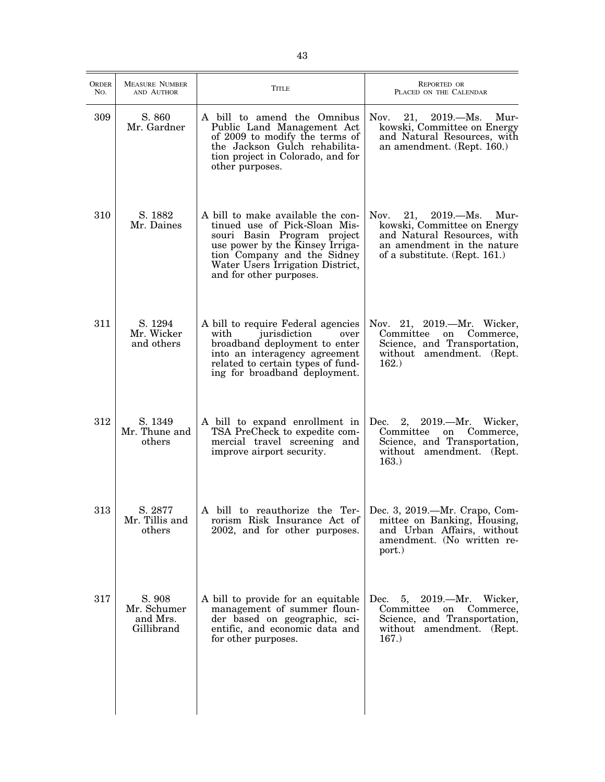| <b>ORDER</b><br>No. | <b>MEASURE NUMBER</b><br>AND AUTHOR             | <b>TITLE</b>                                                                                                                                                                                                                       | REPORTED OR<br>PLACED ON THE CALENDAR                                                                                                                             |
|---------------------|-------------------------------------------------|------------------------------------------------------------------------------------------------------------------------------------------------------------------------------------------------------------------------------------|-------------------------------------------------------------------------------------------------------------------------------------------------------------------|
| 309                 | S. 860<br>Mr. Gardner                           | A bill to amend the Omnibus<br>Public Land Management Act<br>of 2009 to modify the terms of<br>the Jackson Gulch rehabilita-<br>tion project in Colorado, and for<br>other purposes.                                               | Nov.<br>21,<br>2019. Ms. Mur-<br>kowski, Committee on Energy<br>and Natural Resources, with<br>an amendment. (Rept. 160.)                                         |
| 310                 | S. 1882<br>Mr. Daines                           | A bill to make available the con-<br>tinued use of Pick-Sloan Mis-<br>souri Basin Program project<br>use power by the Kinsey Irriga-<br>tion Company and the Sidney<br>Water Users Irrigation District,<br>and for other purposes. | Nov.<br>$2019. - Ms.$<br>21,<br>Mur-<br>kowski, Committee on Energy<br>and Natural Resources, with<br>an amendment in the nature<br>of a substitute. (Rept. 161.) |
| 311                 | S. 1294<br>Mr. Wicker<br>and others             | A bill to require Federal agencies<br>jurisdiction<br>with<br>over<br>broadband deployment to enter<br>into an interagency agreement<br>related to certain types of fund-<br>ing for broadband deployment.                         | Nov. 21, 2019.—Mr. Wicker,<br>Committee<br>on<br>Commerce,<br>Science, and Transportation,<br>without amendment. (Rept.<br>162.)                                  |
| 312                 | S. 1349<br>Mr. Thune and<br>others              | A bill to expand enrollment in<br>TSA PreCheck to expedite com-<br>mercial travel screening and<br>improve airport security.                                                                                                       | 2, 2019.—Mr. Wicker,<br>Dec.<br>Committee<br>on Commerce,<br>Science, and Transportation,<br>without amendment. (Rept.<br>163.)                                   |
| 313                 | S. 2877<br>Mr. Tillis and<br>others             | A bill to reauthorize the Ter-<br>rorism Risk Insurance Act of<br>2002, and for other purposes.                                                                                                                                    | Dec. 3, 2019.—Mr. Crapo, Com-<br>mittee on Banking, Housing,<br>and Urban Affairs, without<br>amendment. (No written re-<br>port.)                                |
| 317                 | S. 908<br>Mr. Schumer<br>and Mrs.<br>Gillibrand | A bill to provide for an equitable<br>management of summer floun-<br>der based on geographic, sci-<br>entific, and economic data and<br>for other purposes.                                                                        | 5, 2019.—Mr. Wicker,<br>Dec.<br>Committee<br>on<br>Commerce,<br>Science, and Transportation,<br>without amendment. (Rept.<br>167.)                                |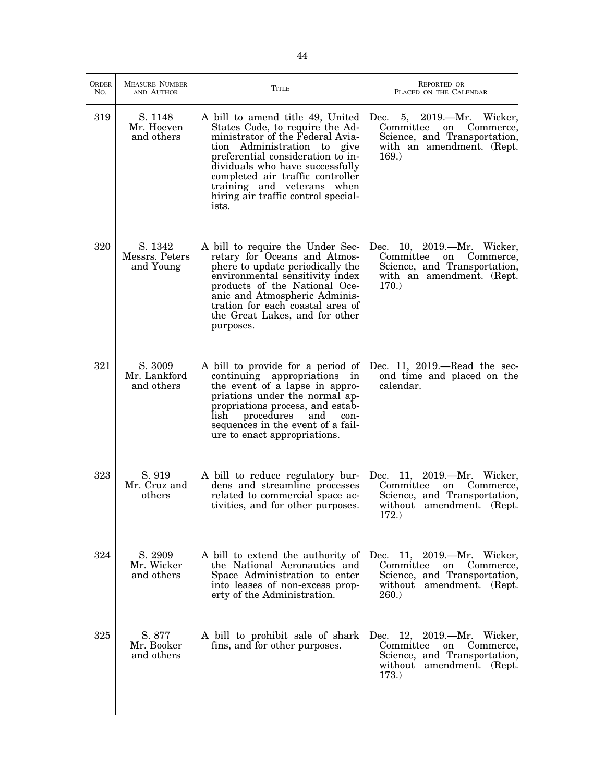| <b>ORDER</b><br>No. | <b>MEASURE NUMBER</b><br>AND AUTHOR    | <b>TITLE</b>                                                                                                                                                                                                                                                                                                                     | REPORTED OR<br>PLACED ON THE CALENDAR                                                                                             |
|---------------------|----------------------------------------|----------------------------------------------------------------------------------------------------------------------------------------------------------------------------------------------------------------------------------------------------------------------------------------------------------------------------------|-----------------------------------------------------------------------------------------------------------------------------------|
| 319                 | S. 1148<br>Mr. Hoeven<br>and others    | A bill to amend title 49, United<br>States Code, to require the Ad-<br>ministrator of the Federal Avia-<br>tion Administration to give<br>preferential consideration to in-<br>dividuals who have successfully<br>completed air traffic controller<br>training and veterans when<br>hiring air traffic control special-<br>ists. | Dec.<br>5, 2019.—Mr. Wicker,<br>Committee<br>Commerce,<br>on<br>Science, and Transportation,<br>with an amendment. (Rept.<br>169. |
| 320                 | S. 1342<br>Messrs. Peters<br>and Young | A bill to require the Under Sec-<br>retary for Oceans and Atmos-<br>phere to update periodically the<br>environmental sensitivity index<br>products of the National Oce-<br>anic and Atmospheric Adminis-<br>tration for each coastal area of<br>the Great Lakes, and for other<br>purposes.                                     | Dec. 10, 2019.—Mr. Wicker,<br>Committee<br>on Commerce,<br>Science, and Transportation,<br>with an amendment. (Rept.<br>170.      |
| 321                 | S. 3009<br>Mr. Lankford<br>and others  | A bill to provide for a period of<br>continuing appropriations in<br>the event of a lapse in appro-<br>priations under the normal ap-<br>propriations process, and estab-<br>lish<br>procedures<br>and<br>con-<br>sequences in the event of a fail-<br>ure to enact appropriations.                                              | Dec. 11, $2019$ .—Read the sec-<br>ond time and placed on the<br>calendar.                                                        |
| 323                 | S. 919<br>Mr. Cruz and<br>others       | A bill to reduce regulatory bur-<br>dens and streamline processes<br>related to commercial space ac-<br>tivities, and for other purposes.                                                                                                                                                                                        | Dec. 11, 2019.—Mr. Wicker,<br>Committee<br>on<br>Commerce,<br>Science, and Transportation,<br>without amendment. (Rept.<br>172.)  |
| 324                 | S. 2909<br>Mr. Wicker<br>and others    | A bill to extend the authority of<br>the National Aeronautics and<br>Space Administration to enter<br>into leases of non-excess prop-<br>erty of the Administration.                                                                                                                                                             | Dec. 11, 2019.—Mr. Wicker,<br>Committee<br>Commerce,<br>on<br>Science, and Transportation,<br>without amendment. (Rept.<br>260.   |
| 325                 | S. 877<br>Mr. Booker<br>and others     | A bill to prohibit sale of shark<br>fins, and for other purposes.                                                                                                                                                                                                                                                                | Dec. 12, 2019.—Mr. Wicker,<br>Committee<br>on<br>Commerce,<br>Science, and Transportation,<br>without amendment. (Rept.<br>173.   |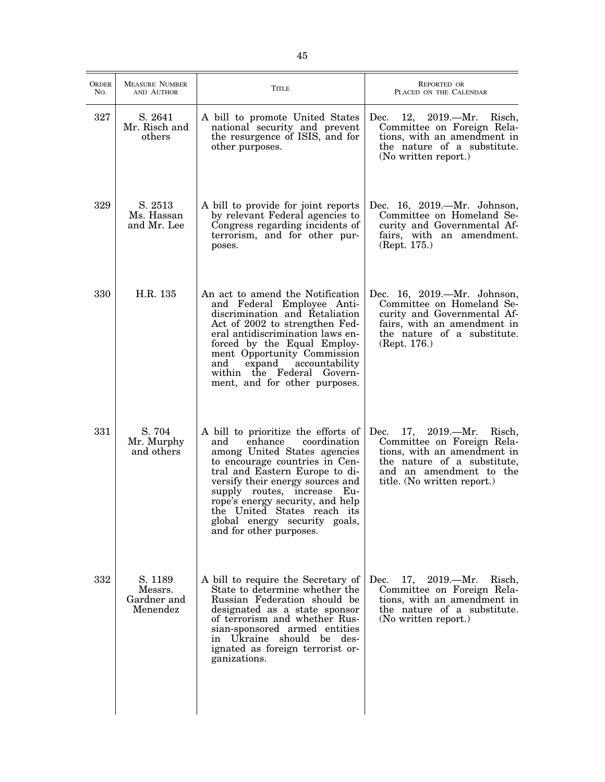| <b>ORDER</b><br>No. | <b>MEASURE NUMBER</b><br>AND AUTHOR           | <b>TITLE</b>                                                                                                                                                                                                                                                                                                                                                                | <b>REPORTED OR</b><br>PLACED ON THE CALENDAR                                                                                                                                              |
|---------------------|-----------------------------------------------|-----------------------------------------------------------------------------------------------------------------------------------------------------------------------------------------------------------------------------------------------------------------------------------------------------------------------------------------------------------------------------|-------------------------------------------------------------------------------------------------------------------------------------------------------------------------------------------|
| 327                 | S. 2641<br>Mr. Risch and<br>others            | A bill to promote United States<br>national security and prevent<br>the resurgence of ISIS, and for<br>other purposes.                                                                                                                                                                                                                                                      | 12, 2019.—Mr. Risch,<br>Dec.<br>Committee on Foreign Rela-<br>tions, with an amendment in<br>the nature of a substitute.<br>(No written report.)                                          |
| 329                 | S. 2513<br>Ms. Hassan<br>and Mr. Lee          | A bill to provide for joint reports<br>by relevant Federal agencies to<br>Congress regarding incidents of<br>terrorism, and for other pur-<br>poses.                                                                                                                                                                                                                        | Dec. 16, 2019.—Mr. Johnson,<br>Committee on Homeland Se-<br>curity and Governmental Af-<br>fairs, with an amendment.<br>(Rept. 175.)                                                      |
| 330                 | H.R. 135                                      | An act to amend the Notification<br>and Federal Employee Anti-<br>discrimination and Retaliation<br>Act of 2002 to strengthen Fed-<br>eral antidiscrimination laws en-<br>forced by the Equal Employ-<br>ment Opportunity Commission<br>expand<br>accountability<br>and<br>within the Federal Govern-<br>ment, and for other purposes.                                      | Dec. 16, 2019.—Mr. Johnson,<br>Committee on Homeland Se-<br>curity and Governmental Af-<br>fairs, with an amendment in<br>the nature of a substitute.<br>(Rept. 176.)                     |
| 331                 | S. 704<br>Mr. Murphy<br>and others            | A bill to prioritize the efforts of<br>enhance<br>coordination<br>and<br>among United States agencies<br>to encourage countries in Cen-<br>tral and Eastern Europe to di-<br>versify their energy sources and<br>supply routes, increase Eu-<br>rope's energy security, and help<br>the United States reach its<br>global energy security goals,<br>and for other purposes. | 17, $2019. - Mr.$<br>Dec.<br>Risch,<br>Committee on Foreign Rela-<br>tions, with an amendment in<br>the nature of a substitute,<br>and an amendment to the<br>title. (No written report.) |
| 332                 | S. 1189<br>Messrs.<br>Gardner and<br>Menendez | A bill to require the Secretary of<br>State to determine whether the<br>Russian Federation should be<br>designated as a state sponsor<br>of terrorism and whether Rus-<br>sian-sponsored armed entities<br>in Ukraine should be des-<br>ignated as foreign terrorist or-<br>ganizations.                                                                                    | 17, 2019. - Mr.<br>Dec.<br>Risch,<br>Committee on Foreign Rela-<br>tions, with an amendment in<br>the nature of a substitute.<br>(No written report.)                                     |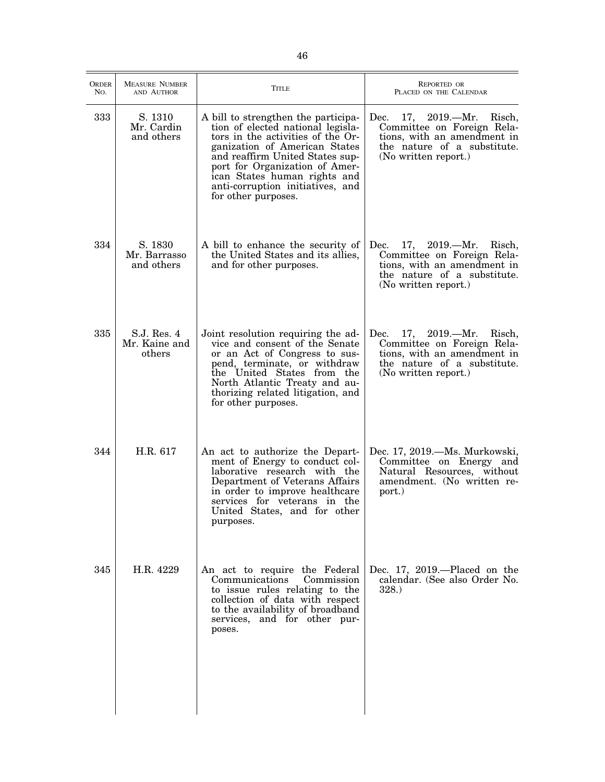| <b>ORDER</b><br>No. | <b>MEASURE NUMBER</b><br>AND AUTHOR    | TITLE                                                                                                                                                                                                                                                                                                          | REPORTED OR<br>PLACED ON THE CALENDAR                                                                                                                      |
|---------------------|----------------------------------------|----------------------------------------------------------------------------------------------------------------------------------------------------------------------------------------------------------------------------------------------------------------------------------------------------------------|------------------------------------------------------------------------------------------------------------------------------------------------------------|
| 333                 | S. 1310<br>Mr. Cardin<br>and others    | A bill to strengthen the participa-<br>tion of elected national legisla-<br>tors in the activities of the Or-<br>ganization of American States<br>and reaffirm United States sup-<br>port for Organization of Amer-<br>ican States human rights and<br>anti-corruption initiatives, and<br>for other purposes. | Dec.<br>$2019. - Mr.$<br>17,<br>Risch,<br>Committee on Foreign Rela-<br>tions, with an amendment in<br>the nature of a substitute.<br>(No written report.) |
| 334                 | S. 1830<br>Mr. Barrasso<br>and others  | A bill to enhance the security of<br>the United States and its allies,<br>and for other purposes.                                                                                                                                                                                                              | 17, 2019.—Mr. Risch,<br>Dec.<br>Committee on Foreign Rela-<br>tions, with an amendment in<br>the nature of a substitute.<br>(No written report.)           |
| 335                 | S.J. Res. 4<br>Mr. Kaine and<br>others | Joint resolution requiring the ad-<br>vice and consent of the Senate<br>or an Act of Congress to sus-<br>pend, terminate, or withdraw<br>the United States from the<br>North Atlantic Treaty and au-<br>thorizing related litigation, and<br>for other purposes.                                               | 17, 2019.—Mr. Risch,<br>Dec.<br>Committee on Foreign Rela-<br>tions, with an amendment in<br>the nature of a substitute.<br>(No written report.)           |
| 344                 | H.R. 617                               | An act to authorize the Depart-<br>ment of Energy to conduct col-<br>laborative research with the<br>Department of Veterans Affairs<br>in order to improve healthcare<br>services for veterans in the<br>United States, and for other<br>purposes.                                                             | Dec. 17, 2019.—Ms. Murkowski,<br>Committee on Energy and<br>Natural Resources, without<br>amendment. (No written re-<br>port.)                             |
| 345                 | H.R. 4229                              | An act to require the Federal<br>Communications<br>Commission<br>to issue rules relating to the<br>collection of data with respect<br>to the availability of broadband<br>services, and for other pur-<br>poses.                                                                                               | Dec. 17, 2019.—Placed on the<br>calendar. (See also Order No.<br>328.                                                                                      |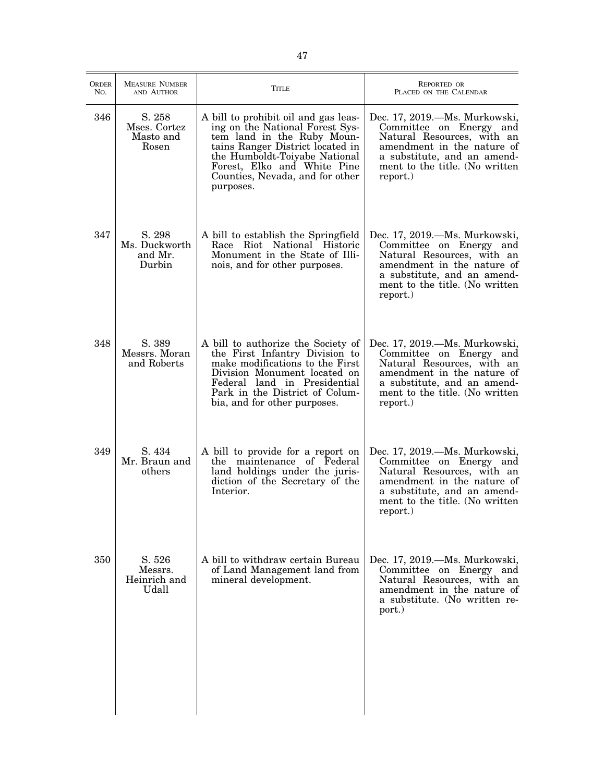| <b>ORDER</b><br>No. | <b>MEASURE NUMBER</b><br>AND AUTHOR          | TITLE                                                                                                                                                                                                                                                     | <b>REPORTED OR</b><br>PLACED ON THE CALENDAR                                                                                                                                                      |
|---------------------|----------------------------------------------|-----------------------------------------------------------------------------------------------------------------------------------------------------------------------------------------------------------------------------------------------------------|---------------------------------------------------------------------------------------------------------------------------------------------------------------------------------------------------|
| 346                 | S. 258<br>Mses. Cortez<br>Masto and<br>Rosen | A bill to prohibit oil and gas leas-<br>ing on the National Forest Sys-<br>tem land in the Ruby Moun-<br>tains Ranger District located in<br>the Humboldt-Toiyabe National<br>Forest, Elko and White Pine<br>Counties, Nevada, and for other<br>purposes. | Dec. 17, 2019.—Ms. Murkowski,<br>Committee on Energy and<br>Natural Resources, with an<br>amendment in the nature of<br>a substitute, and an amend-<br>ment to the title. (No written<br>report.) |
| 347                 | S. 298<br>Ms. Duckworth<br>and Mr.<br>Durbin | A bill to establish the Springfield<br>Race Riot National Historic<br>Monument in the State of Illi-<br>nois, and for other purposes.                                                                                                                     | Dec. 17, 2019.—Ms. Murkowski,<br>Committee on Energy and<br>Natural Resources, with an<br>amendment in the nature of<br>a substitute, and an amend-<br>ment to the title. (No written<br>report.) |
| 348                 | S. 389<br>Messrs. Moran<br>and Roberts       | A bill to authorize the Society of<br>the First Infantry Division to<br>make modifications to the First<br>Division Monument located on<br>Federal land in Presidential<br>Park in the District of Colum-<br>bia, and for other purposes.                 | Dec. 17, 2019.—Ms. Murkowski,<br>Committee on Energy and<br>Natural Resources, with an<br>amendment in the nature of<br>a substitute, and an amend-<br>ment to the title. (No written<br>report.) |
| 349                 | S. 434<br>Mr. Braun and<br>others            | A bill to provide for a report on<br>the maintenance of Federal<br>land holdings under the juris-<br>diction of the Secretary of the<br>Interior.                                                                                                         | Dec. 17, 2019.—Ms. Murkowski,<br>Committee on Energy and<br>Natural Resources, with an<br>amendment in the nature of<br>a substitute, and an amend-<br>ment to the title. (No written<br>report.) |
| 350                 | S. 526<br>Messrs.<br>Heinrich and<br>Udall   | A bill to withdraw certain Bureau<br>of Land Management land from<br>mineral development.                                                                                                                                                                 | Dec. 17, 2019.—Ms. Murkowski,<br>Committee on Energy and<br>Natural Resources, with an<br>amendment in the nature of<br>a substitute. (No written re-<br>port.)                                   |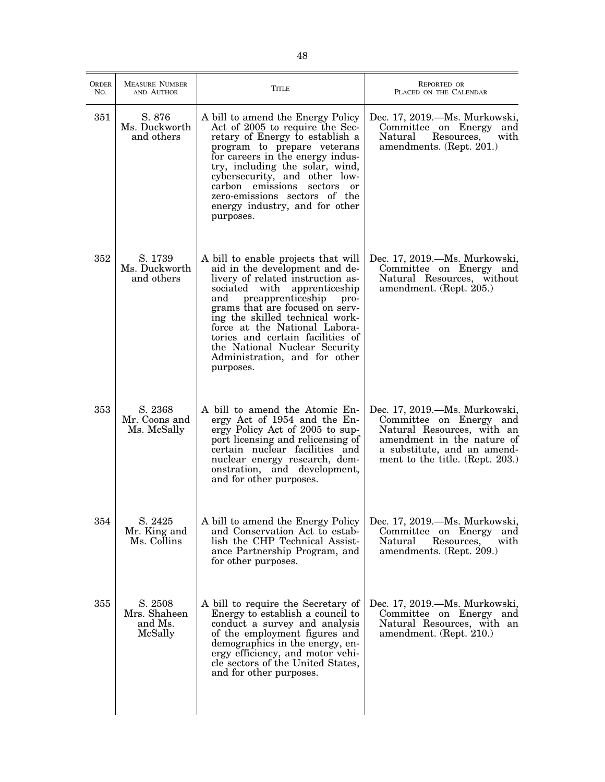| <b>ORDER</b><br>No. | <b>MEASURE NUMBER</b><br>AND AUTHOR           | <b>TITLE</b>                                                                                                                                                                                                                                                                                                                                                                                                | REPORTED OR<br>PLACED ON THE CALENDAR                                                                                                                                                  |
|---------------------|-----------------------------------------------|-------------------------------------------------------------------------------------------------------------------------------------------------------------------------------------------------------------------------------------------------------------------------------------------------------------------------------------------------------------------------------------------------------------|----------------------------------------------------------------------------------------------------------------------------------------------------------------------------------------|
| 351                 | S. 876<br>Ms. Duckworth<br>and others         | A bill to amend the Energy Policy<br>Act of 2005 to require the Sec-<br>retary of Energy to establish a<br>program to prepare veterans<br>for careers in the energy indus-<br>try, including the solar, wind,<br>cybersecurity, and other low-<br>carbon emissions sectors or<br>zero-emissions sectors of the<br>energy industry, and for other<br>purposes.                                               | Dec. 17, 2019.—Ms. Murkowski,<br>Committee on Energy and<br>Resources,<br>with<br>Natural<br>amendments. (Rept. 201.)                                                                  |
| 352                 | S. 1739<br>Ms. Duckworth<br>and others        | A bill to enable projects that will<br>aid in the development and de-<br>livery of related instruction as-<br>with apprenticeship<br>sociated<br>and<br>preapprenticeship<br>pro-<br>grams that are focused on serv-<br>ing the skilled technical work-<br>force at the National Labora-<br>tories and certain facilities of<br>the National Nuclear Security<br>Administration, and for other<br>purposes. | Dec. 17, 2019.—Ms. Murkowski,<br>Committee on Energy and<br>Natural Resources, without<br>amendment. (Rept. 205.)                                                                      |
| 353                 | S. 2368<br>Mr. Coons and<br>Ms. McSally       | A bill to amend the Atomic En-<br>ergy Act of 1954 and the En-<br>ergy Policy Act of 2005 to sup-<br>port licensing and relicensing of<br>certain nuclear facilities and<br>nuclear energy research, dem-<br>onstration, and development,<br>and for other purposes.                                                                                                                                        | Dec. 17, 2019.—Ms. Murkowski,<br>Committee on Energy and<br>Natural Resources, with an<br>amendment in the nature of<br>a substitute, and an amend-<br>ment to the title. (Rept. 203.) |
| 354                 | S. 2425<br>Mr. King and<br>Ms. Collins        | A bill to amend the Energy Policy<br>and Conservation Act to estab-<br>lish the CHP Technical Assist-<br>ance Partnership Program, and<br>for other purposes.                                                                                                                                                                                                                                               | Dec. 17, 2019.—Ms. Murkowski,<br>Committee on Energy<br>and<br>Natural<br>Resources,<br>with<br>amendments. (Rept. 209.)                                                               |
| 355                 | S. 2508<br>Mrs. Shaheen<br>and Ms.<br>McSally | A bill to require the Secretary of<br>Energy to establish a council to<br>conduct a survey and analysis<br>of the employment figures and<br>demographics in the energy, en-<br>ergy efficiency, and motor vehi-<br>cle sectors of the United States,<br>and for other purposes.                                                                                                                             | Dec. 17, 2019.—Ms. Murkowski,<br>Committee on Energy and<br>Natural Resources, with an<br>amendment. (Rept. 210.)                                                                      |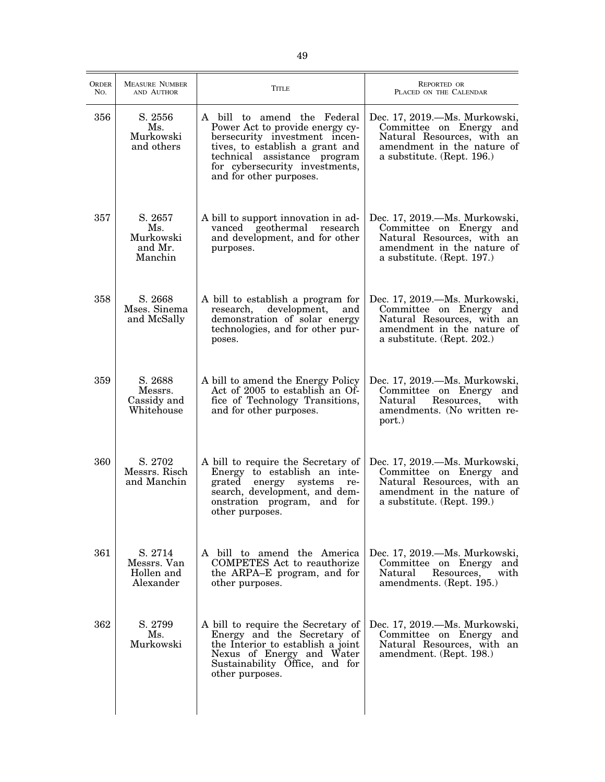| ORDER<br>No. | <b>MEASURE NUMBER</b><br>AND AUTHOR               | <b>TITLE</b>                                                                                                                                                                                                                    | <b>REPORTED OR</b><br>PLACED ON THE CALENDAR                                                                                                       |
|--------------|---------------------------------------------------|---------------------------------------------------------------------------------------------------------------------------------------------------------------------------------------------------------------------------------|----------------------------------------------------------------------------------------------------------------------------------------------------|
| 356          | S. 2556<br>Ms.<br>Murkowski<br>and others         | A bill to amend the Federal<br>Power Act to provide energy cy-<br>bersecurity investment incen-<br>tives, to establish a grant and<br>technical assistance program<br>for cybersecurity investments,<br>and for other purposes. | Dec. 17, 2019.—Ms. Murkowski,<br>Committee on Energy and<br>Natural Resources, with an<br>amendment in the nature of<br>a substitute. (Rept. 196.) |
| 357          | S. 2657<br>Ms.<br>Murkowski<br>and Mr.<br>Manchin | A bill to support innovation in ad-<br>vanced geothermal research<br>and development, and for other<br>purposes.                                                                                                                | Dec. 17, 2019.—Ms. Murkowski,<br>Committee on Energy and<br>Natural Resources, with an<br>amendment in the nature of<br>a substitute. (Rept. 197.) |
| 358          | S. 2668<br>Mses. Sinema<br>and McSally            | A bill to establish a program for<br>development,<br>research,<br>and<br>demonstration of solar energy<br>technologies, and for other pur-<br>poses.                                                                            | Dec. 17, 2019.—Ms. Murkowski,<br>Committee on Energy and<br>Natural Resources, with an<br>amendment in the nature of<br>a substitute. (Rept. 202.) |
| 359          | S. 2688<br>Messrs.<br>Cassidy and<br>Whitehouse   | A bill to amend the Energy Policy<br>Act of 2005 to establish an Of-<br>fice of Technology Transitions,<br>and for other purposes.                                                                                              | Dec. 17, 2019.—Ms. Murkowski,<br>Committee on Energy<br>and<br>Resources,<br>with<br>Natural<br>amendments. (No written re-<br>port.)              |
| 360          | S. 2702<br>Messrs. Risch<br>and Manchin           | A bill to require the Secretary of<br>Energy to establish an inte-<br>systems<br>grated<br>energy<br>re-<br>search, development, and dem-<br>onstration program, and for<br>other purposes.                                     | Dec. 17, 2019.—Ms. Murkowski,<br>Committee on Energy and<br>Natural Resources, with an<br>amendment in the nature of<br>a substitute. (Rept. 199.) |
| 361          | S. 2714<br>Messrs. Van<br>Hollen and<br>Alexander | A bill to amend the America<br><b>COMPETES</b> Act to reauthorize<br>the ARPA-E program, and for<br>other purposes.                                                                                                             | Dec. 17, 2019. - Ms. Murkowski,<br>Committee on Energy<br>and<br>Resources,<br>with<br>Natural<br>amendments. (Rept. 195.)                         |
| 362          | S. 2799<br>Ms.<br>Murkowski                       | A bill to require the Secretary of<br>Energy and the Secretary of<br>the Interior to establish a joint<br>Nexus of Energy and Water<br>Sustainability Office, and for<br>other purposes.                                        | Dec. 17, 2019.—Ms. Murkowski,<br>Committee on Energy and<br>Natural Resources, with an<br>amendment. (Rept. 198.)                                  |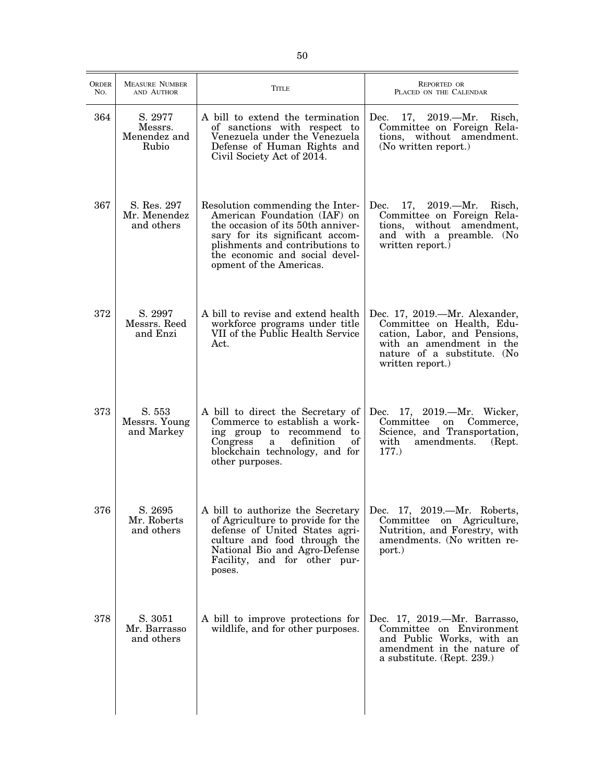| <b>ORDER</b><br>No. | <b>MEASURE NUMBER</b><br>AND AUTHOR         | <b>TITLE</b>                                                                                                                                                                                                                             | REPORTED OR<br>PLACED ON THE CALENDAR                                                                                                                                     |
|---------------------|---------------------------------------------|------------------------------------------------------------------------------------------------------------------------------------------------------------------------------------------------------------------------------------------|---------------------------------------------------------------------------------------------------------------------------------------------------------------------------|
| 364                 | S. 2977<br>Messrs.<br>Menendez and<br>Rubio | A bill to extend the termination<br>of sanctions with respect to<br>Venezuela under the Venezuela<br>Defense of Human Rights and<br>Civil Society Act of 2014.                                                                           | Dec. 17, 2019.—Mr. Risch,<br>Committee on Foreign Rela-<br>tions, without amendment.<br>(No written report.)                                                              |
| 367                 | S. Res. 297<br>Mr. Menendez<br>and others   | Resolution commending the Inter-<br>American Foundation (IAF) on<br>the occasion of its 50th anniver-<br>sary for its significant accom-<br>plishments and contributions to<br>the economic and social devel-<br>opment of the Americas. | 17, 2019.—Mr. Risch,<br>Dec.<br>Committee on Foreign Rela-<br>tions, without amendment,<br>and with a preamble. (No<br>written report.)                                   |
| 372                 | S. 2997<br>Messrs. Reed<br>and Enzi         | A bill to revise and extend health<br>workforce programs under title<br>VII of the Public Health Service<br>Act.                                                                                                                         | Dec. 17, 2019.—Mr. Alexander,<br>Committee on Health, Edu-<br>cation, Labor, and Pensions,<br>with an amendment in the<br>nature of a substitute. (No<br>written report.) |
| 373                 | S. 553<br>Messrs. Young<br>and Markey       | A bill to direct the Secretary of<br>Commerce to establish a work-<br>ing group to recommend to<br>Congress<br>definition<br>οf<br>a<br>blockchain technology, and for<br>other purposes.                                                | Dec. 17, 2019.—Mr. Wicker,<br>Committee<br>on<br>Commerce,<br>Science, and Transportation,<br>amendments.<br>with<br>(Rept.)<br>177.                                      |
| 376                 | S. 2695<br>Mr. Roberts<br>and others        | A bill to authorize the Secretary<br>of Agriculture to provide for the<br>defense of United States agri-<br>culture and food through the<br>National Bio and Agro-Defense<br>Facility, and for other pur-<br>poses.                      | Dec. 17, 2019.-Mr. Roberts,<br>Committee on Agriculture,<br>Nutrition, and Forestry, with<br>amendments. (No written re-<br>port.)                                        |
| 378                 | S. 3051<br>Mr. Barrasso<br>and others       | A bill to improve protections for<br>wildlife, and for other purposes.                                                                                                                                                                   | Dec. 17, 2019.—Mr. Barrasso,<br>Committee on Environment<br>and Public Works, with an<br>amendment in the nature of<br>a substitute. (Rept. 239.)                         |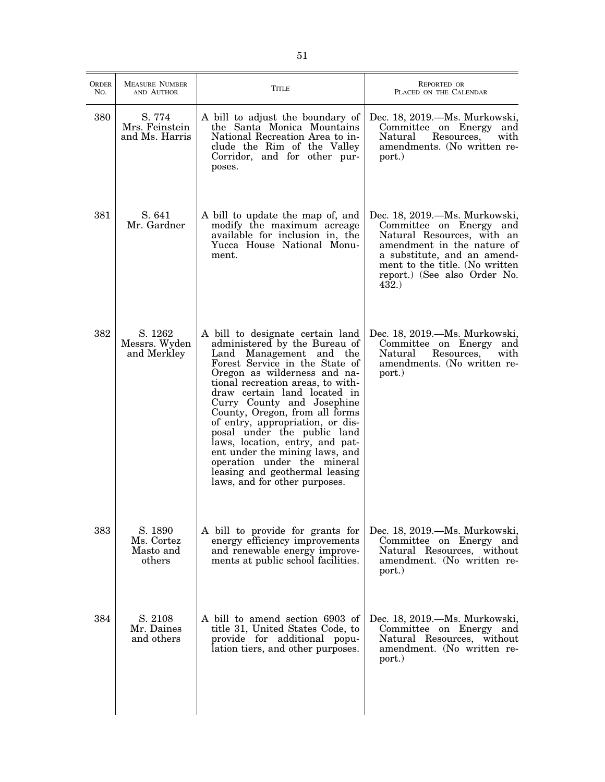| <b>ORDER</b><br>No. | <b>MEASURE NUMBER</b><br>AND AUTHOR          | <b>TITLE</b>                                                                                                                                                                                                                                                                                                                                                                                                                                                                                                                                  | <b>REPORTED OR</b><br>PLACED ON THE CALENDAR                                                                                                                                                                                  |
|---------------------|----------------------------------------------|-----------------------------------------------------------------------------------------------------------------------------------------------------------------------------------------------------------------------------------------------------------------------------------------------------------------------------------------------------------------------------------------------------------------------------------------------------------------------------------------------------------------------------------------------|-------------------------------------------------------------------------------------------------------------------------------------------------------------------------------------------------------------------------------|
| 380                 | S. 774<br>Mrs. Feinstein<br>and Ms. Harris   | A bill to adjust the boundary of<br>the Santa Monica Mountains<br>National Recreation Area to in-<br>clude the Rim of the Valley<br>Corridor, and for other pur-<br>poses.                                                                                                                                                                                                                                                                                                                                                                    | Dec. 18, 2019.—Ms. Murkowski,<br>Committee on Energy and<br>Resources,<br>with<br>Natural<br>amendments. (No written re-<br>port.)                                                                                            |
| 381                 | S. 641<br>Mr. Gardner                        | A bill to update the map of, and<br>modify the maximum acreage<br>available for inclusion in, the<br>Yucca House National Monu-<br>ment.                                                                                                                                                                                                                                                                                                                                                                                                      | Dec. 18, 2019.—Ms. Murkowski,<br>Committee on Energy and<br>Natural Resources, with an<br>amendment in the nature of<br>a substitute, and an amend-<br>ment to the title. (No written<br>report.) (See also Order No.<br>432. |
| 382                 | S. 1262<br>Messrs. Wyden<br>and Merkley      | A bill to designate certain land<br>administered by the Bureau of<br>Land Management and the<br>Forest Service in the State of<br>Oregon as wilderness and na-<br>tional recreation areas, to with-<br>draw certain land located in<br>Curry County and Josephine<br>County, Oregon, from all forms<br>of entry, appropriation, or dis-<br>posal under the public land<br>laws, location, entry, and pat-<br>ent under the mining laws, and<br>operation under the mineral<br>leasing and geothermal leasing<br>laws, and for other purposes. | Dec. 18, 2019.—Ms. Murkowski,<br>Committee on Energy and<br>Natural<br>Resources,<br>with<br>amendments. (No written re-<br>port.)                                                                                            |
| 383                 | S. 1890<br>Ms. Cortez<br>Masto and<br>others | A bill to provide for grants for<br>energy efficiency improvements<br>and renewable energy improve-<br>ments at public school facilities.                                                                                                                                                                                                                                                                                                                                                                                                     | Dec. 18, 2019.—Ms. Murkowski,<br>Committee on Energy and<br>Natural Resources, without<br>amendment. (No written re-<br>port.)                                                                                                |
| 384                 | S. 2108<br>Mr. Daines<br>and others          | A bill to amend section 6903 of<br>title 31, United States Code, to<br>provide for additional popu-<br>lation tiers, and other purposes.                                                                                                                                                                                                                                                                                                                                                                                                      | Dec. 18, 2019.—Ms. Murkowski,<br>Committee on Energy and<br>Natural Resources, without<br>amendment. (No written re-<br>port.)                                                                                                |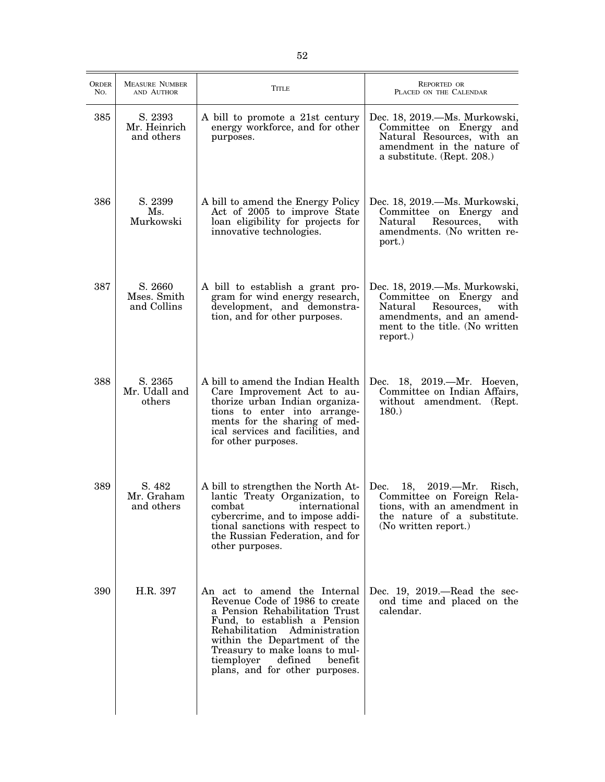| ORDER<br>No. | <b>MEASURE NUMBER</b><br>AND AUTHOR   | <b>TITLE</b>                                                                                                                                                                                                                                                                                                          | <b>REPORTED OR</b><br>PLACED ON THE CALENDAR                                                                                                                            |
|--------------|---------------------------------------|-----------------------------------------------------------------------------------------------------------------------------------------------------------------------------------------------------------------------------------------------------------------------------------------------------------------------|-------------------------------------------------------------------------------------------------------------------------------------------------------------------------|
| 385          | S. 2393<br>Mr. Heinrich<br>and others | A bill to promote a 21st century<br>energy workforce, and for other<br>purposes.                                                                                                                                                                                                                                      | Dec. 18, 2019.—Ms. Murkowski,<br>Committee on Energy and<br>Natural Resources, with an<br>amendment in the nature of<br>a substitute. (Rept. 208.)                      |
| 386          | S. 2399<br>Ms.<br>Murkowski           | A bill to amend the Energy Policy<br>Act of 2005 to improve State<br>loan eligibility for projects for<br>innovative technologies.                                                                                                                                                                                    | Dec. 18, 2019.—Ms. Murkowski,<br>Committee on Energy and<br>Resources,<br>Natural<br>with<br>amendments. (No written re-<br>port.)                                      |
| 387          | S. 2660<br>Mses. Smith<br>and Collins | A bill to establish a grant pro-<br>gram for wind energy research,<br>development, and demonstra-<br>tion, and for other purposes.                                                                                                                                                                                    | Dec. 18, 2019.—Ms. Murkowski,<br>Committee on Energy<br>and<br>Resources,<br>Natural<br>with<br>amendments, and an amend-<br>ment to the title. (No written<br>report.) |
| 388          | S. 2365<br>Mr. Udall and<br>others    | A bill to amend the Indian Health<br>Care Improvement Act to au-<br>thorize urban Indian organiza-<br>tions to enter into arrange-<br>ments for the sharing of med-<br>ical services and facilities, and<br>for other purposes.                                                                                       | Dec. 18, 2019.—Mr. Hoeven,<br>Committee on Indian Affairs,<br>without amendment. (Rept.<br>180.                                                                         |
| 389          | S. 482<br>Mr. Graham<br>and others    | A bill to strengthen the North At-<br>lantic Treaty Organization, to<br>combat international<br>cybercrime, and to impose addi-<br>tional sanctions with respect to<br>the Russian Federation, and for<br>other purposes.                                                                                             | 18, 2019. - Mr.<br>Dec.<br>Risch,<br>Committee on Foreign Rela-<br>tions, with an amendment in<br>the nature of a substitute.<br>(No written report.)                   |
| 390          | H.R. 397                              | An act to amend the Internal<br>Revenue Code of 1986 to create<br>a Pension Rehabilitation Trust<br>Fund, to establish a Pension<br>Administration<br>Rehabilitation<br>within the Department of the<br>Treasury to make loans to mul-<br>$\bold{defined}$<br>tiemployer<br>benefit<br>plans, and for other purposes. | Dec. $19, 2019$ .—Read the sec-<br>ond time and placed on the<br>calendar.                                                                                              |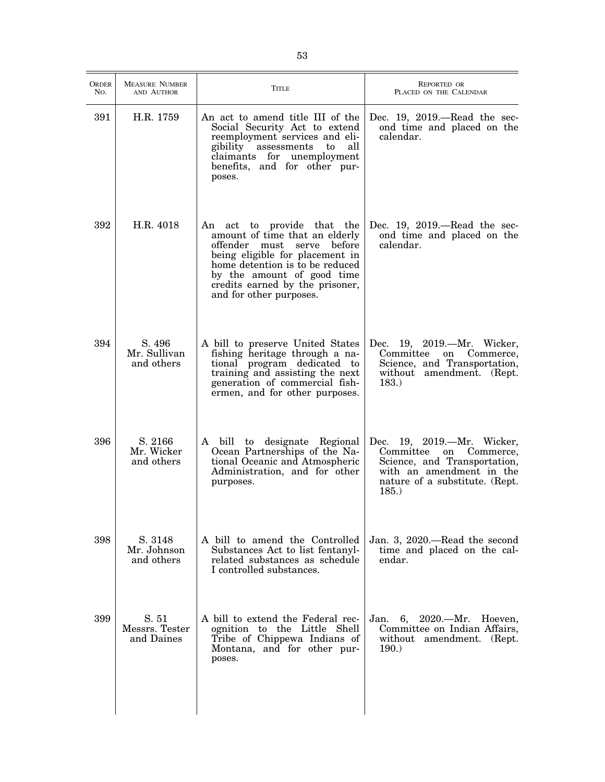| <b>ORDER</b><br>No. | <b>MEASURE NUMBER</b><br>AND AUTHOR   | <b>TITLE</b>                                                                                                                                                                                                                                                       | <b>REPORTED OR</b><br>PLACED ON THE CALENDAR                                                                                                               |
|---------------------|---------------------------------------|--------------------------------------------------------------------------------------------------------------------------------------------------------------------------------------------------------------------------------------------------------------------|------------------------------------------------------------------------------------------------------------------------------------------------------------|
| 391                 | H.R. 1759                             | An act to amend title III of the<br>Social Security Act to extend<br>reemployment services and eli-<br>gibility assessments to<br>all<br>claimants for unemployment<br>benefits, and for other pur-<br>poses.                                                      | Dec. 19, $2019$ .—Read the sec-<br>ond time and placed on the<br>calendar.                                                                                 |
| 392                 | H.R. 4018                             | An act to provide that the<br>amount of time that an elderly<br>offender must<br>before<br>serve<br>being eligible for placement in<br>home detention is to be reduced<br>by the amount of good time<br>credits earned by the prisoner,<br>and for other purposes. | Dec. $19, 2019$ .—Read the sec-<br>ond time and placed on the<br>calendar.                                                                                 |
| 394                 | S. 496<br>Mr. Sullivan<br>and others  | A bill to preserve United States<br>fishing heritage through a na-<br>tional program dedicated to<br>training and assisting the next<br>generation of commercial fish-<br>ermen, and for other purposes.                                                           | Dec. 19, 2019.-Mr. Wicker,<br>Committee on<br>Commerce,<br>Science, and Transportation,<br>without amendment. (Rept.<br>183.)                              |
| 396                 | S. 2166<br>Mr. Wicker<br>and others   | A bill to designate Regional<br>Ocean Partnerships of the Na-<br>tional Oceanic and Atmospheric<br>Administration, and for other<br>purposes.                                                                                                                      | Dec. 19, 2019.-Mr. Wicker,<br>Committee on Commerce,<br>Science, and Transportation,<br>with an amendment in the<br>nature of a substitute. (Rept.<br>185. |
| 398                 | S. 3148<br>Mr. Johnson<br>and others  | A bill to amend the Controlled<br>Substances Act to list fentanyl-<br>related substances as schedule<br>I controlled substances.                                                                                                                                   | Jan. 3, 2020.—Read the second<br>time and placed on the cal-<br>endar.                                                                                     |
| 399                 | S. 51<br>Messrs. Tester<br>and Daines | A bill to extend the Federal rec-<br>ognition to the Little Shell<br>Tribe of Chippewa Indians of<br>Montana, and for other pur-<br>poses.                                                                                                                         | Jan.<br>6, 2020.—Mr. Hoeven,<br>Committee on Indian Affairs,<br>without amendment. (Rept.<br>190.                                                          |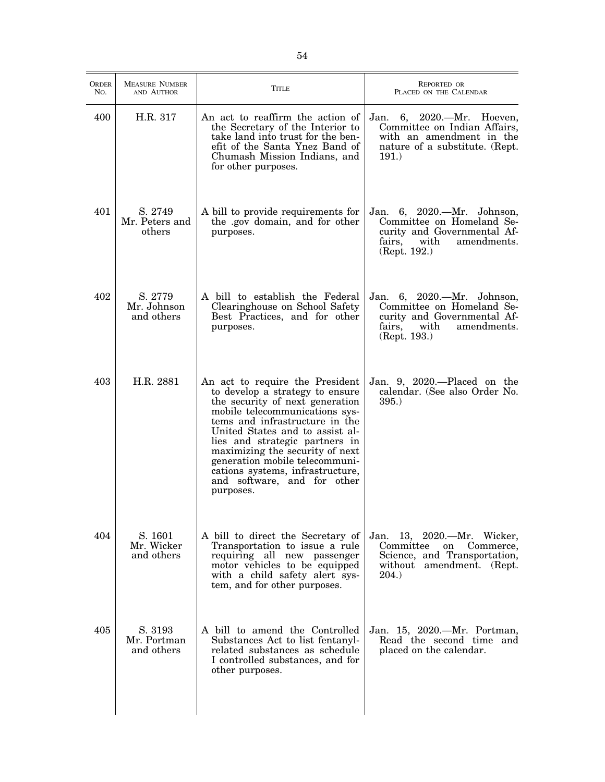| <b>ORDER</b><br>No. | <b>MEASURE NUMBER</b><br>AND AUTHOR  | Title                                                                                                                                                                                                                                                                                                                                                                                               | <b>REPORTED OR</b><br>PLACED ON THE CALENDAR                                                                                            |
|---------------------|--------------------------------------|-----------------------------------------------------------------------------------------------------------------------------------------------------------------------------------------------------------------------------------------------------------------------------------------------------------------------------------------------------------------------------------------------------|-----------------------------------------------------------------------------------------------------------------------------------------|
| 400                 | H.R. 317                             | An act to reaffirm the action of<br>the Secretary of the Interior to<br>take land into trust for the ben-<br>efit of the Santa Ynez Band of<br>Chumash Mission Indians, and<br>for other purposes.                                                                                                                                                                                                  | Jan. 6, 2020.—Mr. Hoeven,<br>Committee on Indian Affairs,<br>with an amendment in the<br>nature of a substitute. (Rept.<br>191.)        |
| 401                 | S. 2749<br>Mr. Peters and<br>others  | A bill to provide requirements for<br>the .gov domain, and for other<br>purposes.                                                                                                                                                                                                                                                                                                                   | Jan. 6, 2020.—Mr. Johnson,<br>Committee on Homeland Se-<br>curity and Governmental Af-<br>fairs,<br>with<br>amendments.<br>(Rept. 192.) |
| 402                 | S. 2779<br>Mr. Johnson<br>and others | A bill to establish the Federal<br>Clearinghouse on School Safety<br>Best Practices, and for other<br>purposes.                                                                                                                                                                                                                                                                                     | Jan. 6, 2020.—Mr. Johnson,<br>Committee on Homeland Se-<br>curity and Governmental Af-<br>fairs,<br>with<br>amendments.<br>(Rept. 193.) |
| 403                 | H.R. 2881                            | An act to require the President<br>to develop a strategy to ensure<br>the security of next generation<br>mobile telecommunications sys-<br>tems and infrastructure in the<br>United States and to assist al-<br>lies and strategic partners in<br>maximizing the security of next<br>generation mobile telecommuni-<br>cations systems, infrastructure,<br>and software, and for other<br>purposes. | Jan. 9, 2020.—Placed on the<br>calendar. (See also Order No.<br>$395.$ )                                                                |
| 404                 | S. 1601<br>Mr. Wicker<br>and others  | A bill to direct the Secretary of<br>Transportation to issue a rule<br>requiring all new passenger<br>motor vehicles to be equipped<br>with a child safety alert sys-<br>tem, and for other purposes.                                                                                                                                                                                               | Jan. 13, 2020.—Mr. Wicker,<br>Committee<br>on<br>Commerce,<br>Science, and Transportation,<br>without amendment. (Rept.<br>204.         |
| 405                 | S. 3193<br>Mr. Portman<br>and others | A bill to amend the Controlled<br>Substances Act to list fentanyl-<br>related substances as schedule<br>I controlled substances, and for<br>other purposes.                                                                                                                                                                                                                                         | Jan. 15, 2020.—Mr. Portman,<br>Read the second time and<br>placed on the calendar.                                                      |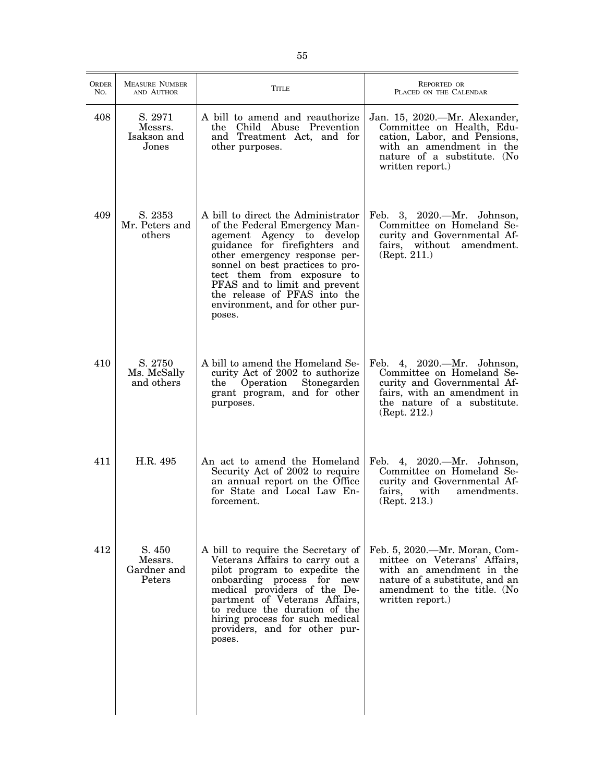| <b>ORDER</b><br>No. | <b>MEASURE NUMBER</b><br>AND AUTHOR        | <b>TITLE</b>                                                                                                                                                                                                                                                                                                                                       | <b>REPORTED OR</b><br>PLACED ON THE CALENDAR                                                                                                                                   |
|---------------------|--------------------------------------------|----------------------------------------------------------------------------------------------------------------------------------------------------------------------------------------------------------------------------------------------------------------------------------------------------------------------------------------------------|--------------------------------------------------------------------------------------------------------------------------------------------------------------------------------|
| 408                 | S. 2971<br>Messrs.<br>Isakson and<br>Jones | A bill to amend and reauthorize<br>the Child Abuse Prevention<br>and Treatment Act, and for<br>other purposes.                                                                                                                                                                                                                                     | Jan. 15, 2020.—Mr. Alexander,<br>Committee on Health, Edu-<br>cation, Labor, and Pensions,<br>with an amendment in the<br>nature of a substitute. (No<br>written report.)      |
| 409                 | S. 2353<br>Mr. Peters and<br>others        | A bill to direct the Administrator<br>of the Federal Emergency Man-<br>agement Agency to develop<br>guidance for firefighters and<br>other emergency response per-<br>sonnel on best practices to pro-<br>tect them from exposure to<br>PFAS and to limit and prevent<br>the release of PFAS into the<br>environment, and for other pur-<br>poses. | Feb. 3, 2020.—Mr. Johnson,<br>Committee on Homeland Se-<br>curity and Governmental Af-<br>fairs, without<br>amendment.<br>(Rept. 211.)                                         |
| 410                 | S. 2750<br>Ms. McSally<br>and others       | A bill to amend the Homeland Se-<br>curity Act of 2002 to authorize<br>Operation<br>Stonegarden<br>the<br>grant program, and for other<br>purposes.                                                                                                                                                                                                | 4, 2020. Mr. Johnson,<br>Feb.<br>Committee on Homeland Se-<br>curity and Governmental Af-<br>fairs, with an amendment in<br>the nature of a substitute.<br>(Rept. 212.)        |
| 411                 | H.R. 495                                   | An act to amend the Homeland<br>Security Act of 2002 to require<br>an annual report on the Office<br>for State and Local Law En-<br>forcement.                                                                                                                                                                                                     | Feb. 4, 2020.—Mr. Johnson,<br>Committee on Homeland Se-<br>curity and Governmental Af-<br>fairs,<br>with<br>amendments.<br>(Rept. 213.)                                        |
| 412                 | S. 450<br>Messrs.<br>Gardner and<br>Peters | A bill to require the Secretary of<br>Veterans Affairs to carry out a<br>pilot program to expedite the<br>onboarding process for new<br>medical providers of the De-<br>partment of Veterans Affairs,<br>to reduce the duration of the<br>hiring process for such medical<br>providers, and for other pur-<br>poses.                               | Feb. 5, 2020.—Mr. Moran, Com-<br>mittee on Veterans' Affairs,<br>with an amendment in the<br>nature of a substitute, and an<br>amendment to the title. (No<br>written report.) |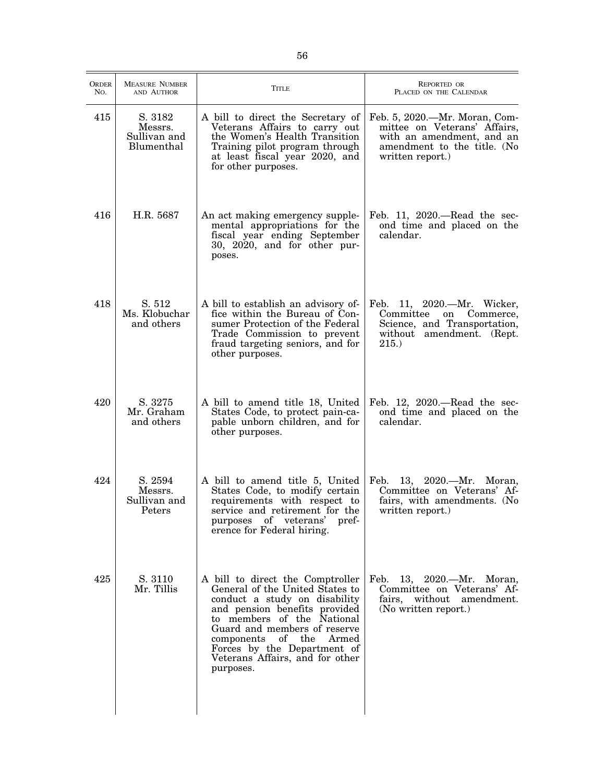| ORDER<br>No. | <b>MEASURE NUMBER</b><br>AND AUTHOR              | <b>TITLE</b>                                                                                                                                                                                                                                                                                                     | REPORTED OR<br>PLACED ON THE CALENDAR                                                                                                         |
|--------------|--------------------------------------------------|------------------------------------------------------------------------------------------------------------------------------------------------------------------------------------------------------------------------------------------------------------------------------------------------------------------|-----------------------------------------------------------------------------------------------------------------------------------------------|
| 415          | S. 3182<br>Messrs.<br>Sullivan and<br>Blumenthal | A bill to direct the Secretary of<br>Veterans Affairs to carry out<br>the Women's Health Transition<br>Training pilot program through<br>at least fiscal year 2020, and<br>for other purposes.                                                                                                                   | Feb. 5, 2020.—Mr. Moran, Com-<br>mittee on Veterans' Affairs,<br>with an amendment, and an<br>amendment to the title. (No<br>written report.) |
| 416          | H.R. 5687                                        | An act making emergency supple-<br>mental appropriations for the<br>fiscal year ending September<br>30, 2020, and for other pur-<br>poses.                                                                                                                                                                       | Feb. 11, $2020$ .—Read the sec-<br>ond time and placed on the<br>calendar.                                                                    |
| 418          | S. 512<br>Ms. Klobuchar<br>and others            | A bill to establish an advisory of-<br>fice within the Bureau of Con-<br>sumer Protection of the Federal<br>Trade Commission to prevent<br>fraud targeting seniors, and for<br>other purposes.                                                                                                                   | Feb. 11, 2020.—Mr. Wicker,<br>Committee<br>Commerce,<br>on<br>Science, and Transportation,<br>without amendment. (Rept.<br>215.               |
| 420          | S. 3275<br>Mr. Graham<br>and others              | A bill to amend title 18, United<br>States Code, to protect pain-ca-<br>pable unborn children, and for<br>other purposes.                                                                                                                                                                                        | Feb. $12$ , $2020$ .—Read the sec-<br>ond time and placed on the<br>calendar.                                                                 |
| 424          | S. 2594<br>Messrs.<br>Sullivan and<br>Peters     | A bill to amend title 5, United<br>States Code, to modify certain<br>requirements with respect to<br>service and retirement for the<br>purposes of veterans'<br>pref-<br>erence for Federal hiring.                                                                                                              | Feb.<br>13, $2020$ . - Mr.<br>Moran,<br>Committee on Veterans' Af-<br>fairs, with amendments. (No<br>written report.)                         |
| 425          | S. 3110<br>Mr. Tillis                            | A bill to direct the Comptroller<br>General of the United States to<br>conduct a study on disability<br>and pension benefits provided<br>to members of the National<br>Guard and members of reserve<br>components of the<br>Armed<br>Forces by the Department of<br>Veterans Affairs, and for other<br>purposes. | 13, 2020.—Mr. Moran,<br>Feb.<br>Committee on Veterans' Af-<br>fairs, without amendment.<br>(No written report.)                               |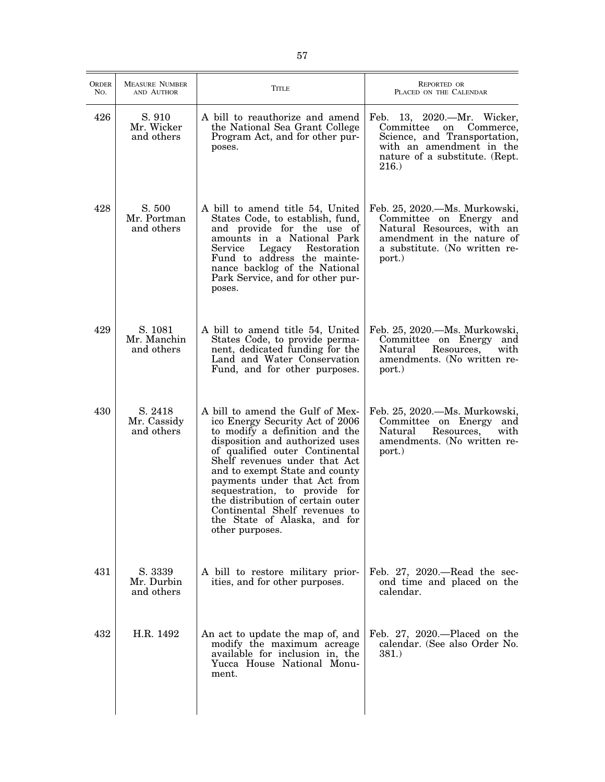| <b>ORDER</b><br>No. | <b>MEASURE NUMBER</b><br>AND AUTHOR  | Title                                                                                                                                                                                                                                                                                                                                                                                                                                   | <b>REPORTED OR</b><br>PLACED ON THE CALENDAR                                                                                                                              |
|---------------------|--------------------------------------|-----------------------------------------------------------------------------------------------------------------------------------------------------------------------------------------------------------------------------------------------------------------------------------------------------------------------------------------------------------------------------------------------------------------------------------------|---------------------------------------------------------------------------------------------------------------------------------------------------------------------------|
| 426                 | S. 910<br>Mr. Wicker<br>and others   | A bill to reauthorize and amend<br>the National Sea Grant College<br>Program Act, and for other pur-<br>poses.                                                                                                                                                                                                                                                                                                                          | Feb. 13, 2020.—Mr. Wicker,<br>Committee<br>Commerce,<br>on<br>Science, and Transportation,<br>with an amendment in the<br>nature of a substitute. (Rept.<br><b>216.</b> ) |
| 428                 | S. 500<br>Mr. Portman<br>and others  | A bill to amend title 54, United<br>States Code, to establish, fund,<br>and provide for the use of<br>amounts in a National Park<br>Service<br>Legacy<br>Restoration<br>Fund to address the mainte-<br>nance backlog of the National<br>Park Service, and for other pur-<br>poses.                                                                                                                                                      | Feb. 25, 2020.—Ms. Murkowski,<br>Committee on Energy and<br>Natural Resources, with an<br>amendment in the nature of<br>a substitute. (No written re-<br>port.)           |
| 429                 | S. 1081<br>Mr. Manchin<br>and others | A bill to amend title 54, United<br>States Code, to provide perma-<br>nent, dedicated funding for the<br>Land and Water Conservation<br>Fund, and for other purposes.                                                                                                                                                                                                                                                                   | Feb. 25, 2020.—Ms. Murkowski,<br>Committee on Energy<br>and<br>with<br>Natural<br>Resources,<br>amendments. (No written re-<br>port.)                                     |
| 430                 | S. 2418<br>Mr. Cassidy<br>and others | A bill to amend the Gulf of Mex-<br>ico Energy Security Act of 2006<br>to modify a definition and the<br>disposition and authorized uses<br>of qualified outer Continental<br>Shelf revenues under that Act<br>and to exempt State and county<br>payments under that Act from<br>sequestration, to provide for<br>the distribution of certain outer<br>Continental Shelf revenues to<br>the State of Alaska, and for<br>other purposes. | Feb. 25, 2020. - Ms. Murkowski,<br>Committee on Energy<br>and<br>Natural<br>Resources,<br>with<br>amendments. (No written re-<br>port.)                                   |
| 431                 | S. 3339<br>Mr. Durbin<br>and others  | A bill to restore military prior-<br>ities, and for other purposes.                                                                                                                                                                                                                                                                                                                                                                     | Feb. $27, 2020$ . Read the sec-<br>ond time and placed on the<br>calendar.                                                                                                |
| 432                 | H.R. 1492                            | An act to update the map of, and<br>modify the maximum acreage<br>available for inclusion in, the<br>Yucca House National Monu-<br>ment.                                                                                                                                                                                                                                                                                                | Feb. $27, 2020$ . - Placed on the<br>calendar. (See also Order No.<br>381.                                                                                                |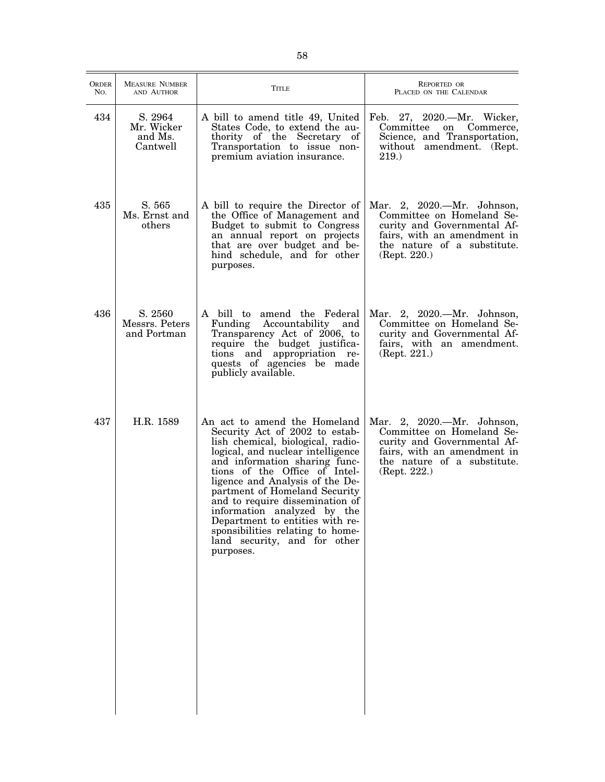| ORDER<br>No. | <b>MEASURE NUMBER</b><br>AND AUTHOR          | <b>TITLE</b>                                                                                                                                                                                                                                                                                                                                                                                                                                                         | REPORTED OR<br>PLACED ON THE CALENDAR                                                                                                                                |
|--------------|----------------------------------------------|----------------------------------------------------------------------------------------------------------------------------------------------------------------------------------------------------------------------------------------------------------------------------------------------------------------------------------------------------------------------------------------------------------------------------------------------------------------------|----------------------------------------------------------------------------------------------------------------------------------------------------------------------|
| 434          | S. 2964<br>Mr. Wicker<br>and Ms.<br>Cantwell | A bill to amend title 49, United<br>States Code, to extend the au-<br>thority of the Secretary of<br>Transportation to issue non-<br>premium aviation insurance.                                                                                                                                                                                                                                                                                                     | Feb. 27, 2020.—Mr. Wicker,<br>Committee<br>on<br>Commerce,<br>Science, and Transportation,<br>without amendment. (Rept.<br><b>219.</b>                               |
| 435          | S. 565<br>Ms. Ernst and<br>others            | A bill to require the Director of<br>the Office of Management and<br>Budget to submit to Congress<br>an annual report on projects<br>that are over budget and be-<br>hind schedule, and for other<br>purposes.                                                                                                                                                                                                                                                       | Mar. 2, 2020.—Mr. Johnson,<br>Committee on Homeland Se-<br>curity and Governmental Af-<br>fairs, with an amendment in<br>the nature of a substitute.<br>(Rept. 220.) |
| 436          | S. 2560<br>Messrs. Peters<br>and Portman     | A bill to amend the Federal<br>Funding<br>Accountability and<br>Transparency Act of 2006, to<br>require the budget justifica-<br>tions and appropriation re-<br>quests of agencies be made<br>publicly available.                                                                                                                                                                                                                                                    | Mar. 2, 2020. - Mr. Johnson,<br>Committee on Homeland Se-<br>curity and Governmental Af-<br>fairs, with an amendment.<br>(Rept. 221.)                                |
| 437          | H.R. 1589                                    | An act to amend the Homeland<br>Security Act of 2002 to estab-<br>lish chemical, biological, radio-<br>logical, and nuclear intelligence<br>and information sharing func-<br>tions of the Office of Intel-<br>ligence and Analysis of the De-<br>partment of Homeland Security<br>and to require dissemination of<br>information analyzed by the<br>Department to entities with re-<br>sponsibilities relating to home-<br>land security, and for other<br>purposes. | Mar. 2, 2020.—Mr. Johnson,<br>Committee on Homeland Se-<br>curity and Governmental Af-<br>fairs, with an amendment in<br>the nature of a substitute.<br>(Rept. 222.) |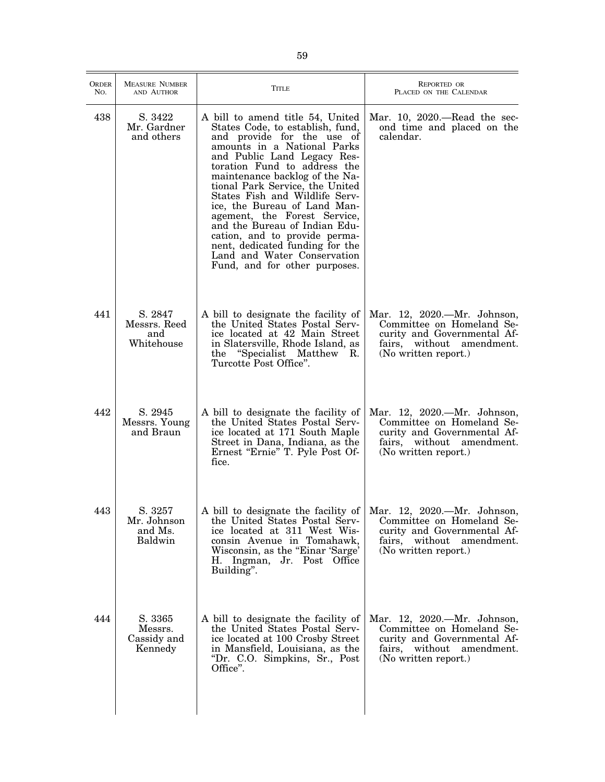| <b>ORDER</b><br>No. | <b>MEASURE NUMBER</b><br>AND AUTHOR          | TITLE                                                                                                                                                                                                                                                                                                                                                                                                                                                                                                                                        | <b>REPORTED OR</b><br>PLACED ON THE CALENDAR                                                                                                 |
|---------------------|----------------------------------------------|----------------------------------------------------------------------------------------------------------------------------------------------------------------------------------------------------------------------------------------------------------------------------------------------------------------------------------------------------------------------------------------------------------------------------------------------------------------------------------------------------------------------------------------------|----------------------------------------------------------------------------------------------------------------------------------------------|
| 438                 | S. 3422<br>Mr. Gardner<br>and others         | A bill to amend title 54, United<br>States Code, to establish, fund,<br>and provide for the use of<br>amounts in a National Parks<br>and Public Land Legacy Res-<br>toration Fund to address the<br>maintenance backlog of the Na-<br>tional Park Service, the United<br>States Fish and Wildlife Serv-<br>ice, the Bureau of Land Man-<br>agement, the Forest Service,<br>and the Bureau of Indian Edu-<br>cation, and to provide perma-<br>nent, dedicated funding for the<br>Land and Water Conservation<br>Fund, and for other purposes. | Mar. 10, 2020.—Read the sec-<br>ond time and placed on the<br>calendar.                                                                      |
| 441                 | S. 2847<br>Messrs. Reed<br>and<br>Whitehouse | A bill to designate the facility of<br>the United States Postal Serv-<br>ice located at 42 Main Street<br>in Slatersville, Rhode Island, as<br>the "Specialist Matthew R.<br>Turcotte Post Office".                                                                                                                                                                                                                                                                                                                                          | Mar. 12, 2020.—Mr. Johnson,<br>Committee on Homeland Se-<br>curity and Governmental Af-<br>fairs, without amendment.<br>(No written report.) |
| 442                 | S. 2945<br>Messrs. Young<br>and Braun        | A bill to designate the facility of<br>the United States Postal Serv-<br>ice located at 171 South Maple<br>Street in Dana, Indiana, as the<br>Ernest "Ernie" T. Pyle Post Of-<br>fice.                                                                                                                                                                                                                                                                                                                                                       | Mar. 12, 2020.—Mr. Johnson,<br>Committee on Homeland Se-<br>curity and Governmental Af-<br>fairs, without amendment.<br>(No written report.) |
| 443                 | S. 3257<br>Mr. Johnson<br>and Ms.<br>Baldwin | A bill to designate the facility of<br>the United States Postal Serv-<br>ice located at 311 West Wis-<br>consin Avenue in Tomahawk,<br>Wisconsin, as the "Einar 'Sarge'<br>H. Ingman, Jr. Post Office<br>Building".                                                                                                                                                                                                                                                                                                                          | Mar. 12, 2020.—Mr. Johnson,<br>Committee on Homeland Se-<br>curity and Governmental Af-<br>fairs, without amendment.<br>(No written report.) |
| 444                 | S. 3365<br>Messrs.<br>Cassidy and<br>Kennedy | A bill to designate the facility of<br>the United States Postal Serv-<br>ice located at 100 Crosby Street<br>in Mansfield, Louisiana, as the<br>"Dr. C.O. Simpkins, Sr., Post<br>Office".                                                                                                                                                                                                                                                                                                                                                    | Mar. 12, 2020.—Mr. Johnson,<br>Committee on Homeland Se-<br>curity and Governmental Af-<br>fairs, without amendment.<br>(No written report.) |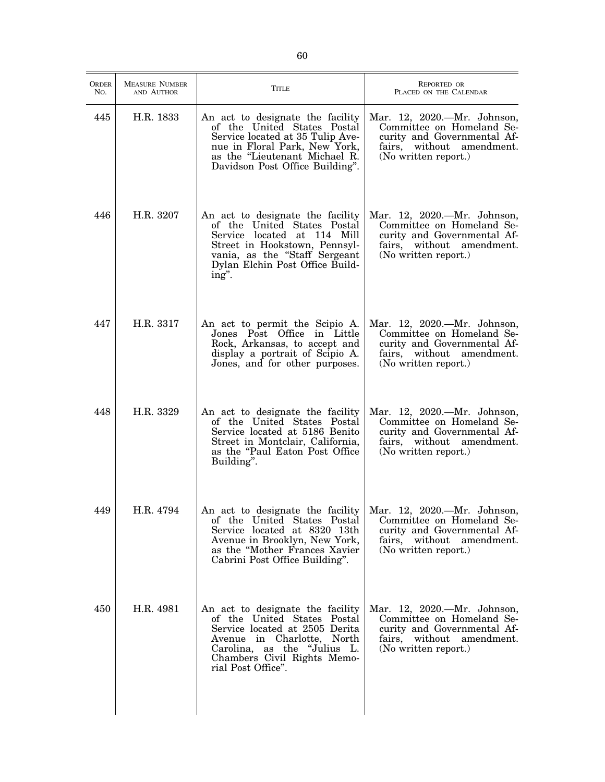| <b>ORDER</b><br>No. | <b>MEASURE NUMBER</b><br>AND AUTHOR | <b>TITLE</b>                                                                                                                                                                                                        | <b>REPORTED OR</b><br>PLACED ON THE CALENDAR                                                                                                 |
|---------------------|-------------------------------------|---------------------------------------------------------------------------------------------------------------------------------------------------------------------------------------------------------------------|----------------------------------------------------------------------------------------------------------------------------------------------|
| 445                 | H.R. 1833                           | An act to designate the facility<br>of the United States Postal<br>Service located at 35 Tulip Ave-<br>nue in Floral Park, New York,<br>as the "Lieutenant Michael R.<br>Davidson Post Office Building".            | Mar. 12, 2020.—Mr. Johnson,<br>Committee on Homeland Se-<br>curity and Governmental Af-<br>fairs, without amendment.<br>(No written report.) |
| 446                 | H.R. 3207                           | An act to designate the facility<br>of the United States Postal<br>Service located at 114 Mill<br>Street in Hookstown, Pennsyl-<br>vania, as the "Staff Sergeant<br>Dylan Elchin Post Office Build-<br>ing".        | Mar. 12, 2020.-Mr. Johnson,<br>Committee on Homeland Se-<br>curity and Governmental Af-<br>fairs, without amendment.<br>(No written report.) |
| 447                 | H.R. 3317                           | An act to permit the Scipio A.<br>Jones Post Office in Little<br>Rock, Arkansas, to accept and<br>display a portrait of Scipio A.<br>Jones, and for other purposes.                                                 | Mar. 12, 2020.—Mr. Johnson,<br>Committee on Homeland Se-<br>curity and Governmental Af-<br>fairs, without amendment.<br>(No written report.) |
| 448                 | H.R. 3329                           | An act to designate the facility<br>of the United States Postal<br>Service located at 5186 Benito<br>Street in Montclair, California,<br>as the "Paul Eaton Post Office<br>Building".                               | Mar. 12, 2020.—Mr. Johnson,<br>Committee on Homeland Se-<br>curity and Governmental Af-<br>fairs, without amendment.<br>(No written report.) |
| 449                 | H.R. 4794                           | An act to designate the facility<br>of the United States Postal<br>Service located at 8320 13th<br>Avenue in Brooklyn, New York,<br>as the "Mother Frances Xavier"<br>Cabrini Post Office Building".                | Mar. 12, 2020.-Mr. Johnson,<br>Committee on Homeland Se-<br>curity and Governmental Af-<br>fairs, without amendment.<br>(No written report.) |
| 450                 | H.R. 4981                           | An act to designate the facility<br>of the United States Postal<br>Service located at 2505 Derita<br>Avenue in Charlotte, North<br>Carolina, as the "Julius L.<br>Chambers Civil Rights Memo-<br>rial Post Office". | Mar. 12, 2020.—Mr. Johnson,<br>Committee on Homeland Se-<br>curity and Governmental Af-<br>fairs, without amendment.<br>(No written report.) |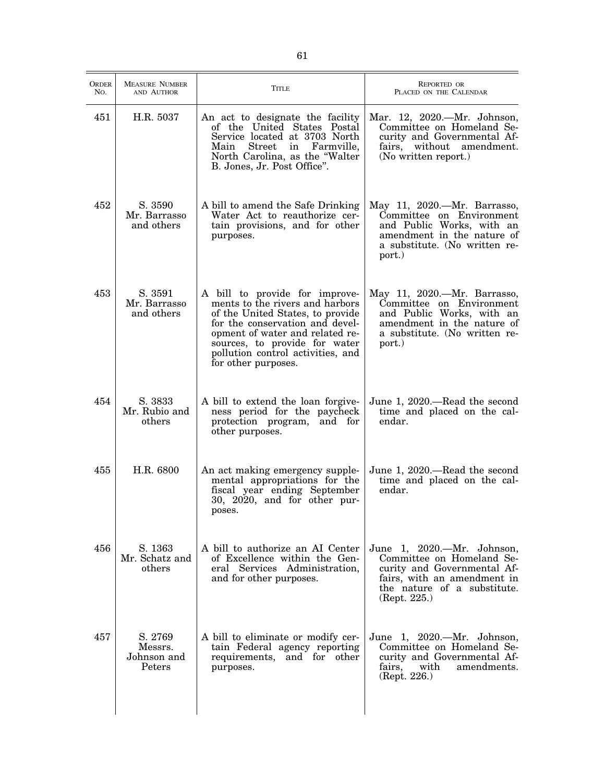| ORDER<br>No. | <b>MEASURE NUMBER</b><br>AND AUTHOR         | Title                                                                                                                                                                                                                                                                    | <b>REPORTED OR</b><br>PLACED ON THE CALENDAR                                                                                                                         |
|--------------|---------------------------------------------|--------------------------------------------------------------------------------------------------------------------------------------------------------------------------------------------------------------------------------------------------------------------------|----------------------------------------------------------------------------------------------------------------------------------------------------------------------|
| 451          | H.R. 5037                                   | An act to designate the facility<br>of the United States Postal<br>Service located at 3703 North<br>Street in Farmville,<br>Main<br>North Carolina, as the "Walter<br>B. Jones, Jr. Post Office".                                                                        | Mar. 12, 2020.—Mr. Johnson,<br>Committee on Homeland Se-<br>curity and Governmental Af-<br>fairs, without amendment.<br>(No written report.)                         |
| 452          | S. 3590<br>Mr. Barrasso<br>and others       | A bill to amend the Safe Drinking<br>Water Act to reauthorize cer-<br>tain provisions, and for other<br>purposes.                                                                                                                                                        | May 11, 2020.—Mr. Barrasso,<br>Committee on Environment<br>and Public Works, with an<br>amendment in the nature of<br>a substitute. (No written re-<br>port.)        |
| 453          | S. 3591<br>Mr. Barrasso<br>and others       | A bill to provide for improve-<br>ments to the rivers and harbors<br>of the United States, to provide<br>for the conservation and devel-<br>opment of water and related re-<br>sources, to provide for water<br>pollution control activities, and<br>for other purposes. | May 11, 2020.—Mr. Barrasso,<br>Committee on Environment<br>and Public Works, with an<br>amendment in the nature of<br>a substitute. (No written re-<br>port.)        |
| 454          | S. 3833<br>Mr. Rubio and<br>others          | A bill to extend the loan forgive-<br>ness period for the paycheck<br>protection program, and for<br>other purposes.                                                                                                                                                     | June 1, 2020.—Read the second<br>time and placed on the cal-<br>endar.                                                                                               |
| 455          | H.R. 6800                                   | An act making emergency supple-<br>mental appropriations for the<br>fiscal year ending September<br>30, 2020, and for other pur-<br>poses.                                                                                                                               | June 1, 2020.—Read the second<br>time and placed on the cal-<br>endar.                                                                                               |
| 456          | S. 1363<br>Mr. Schatz and<br>others         | A bill to authorize an AI Center<br>of Excellence within the Gen-<br>eral Services Administration,<br>and for other purposes.                                                                                                                                            | June 1, 2020.-Mr. Johnson,<br>Committee on Homeland Se-<br>curity and Governmental Af-<br>fairs, with an amendment in<br>the nature of a substitute.<br>(Rept. 225.) |
| 457          | S. 2769<br>Messrs.<br>Johnson and<br>Peters | A bill to eliminate or modify cer-<br>tain Federal agency reporting<br>requirements, and for other<br>purposes.                                                                                                                                                          | June 1, 2020.-Mr. Johnson,<br>Committee on Homeland Se-<br>curity and Governmental Af-<br>fairs,<br>with<br>amendments.<br>(Rept. 226.)                              |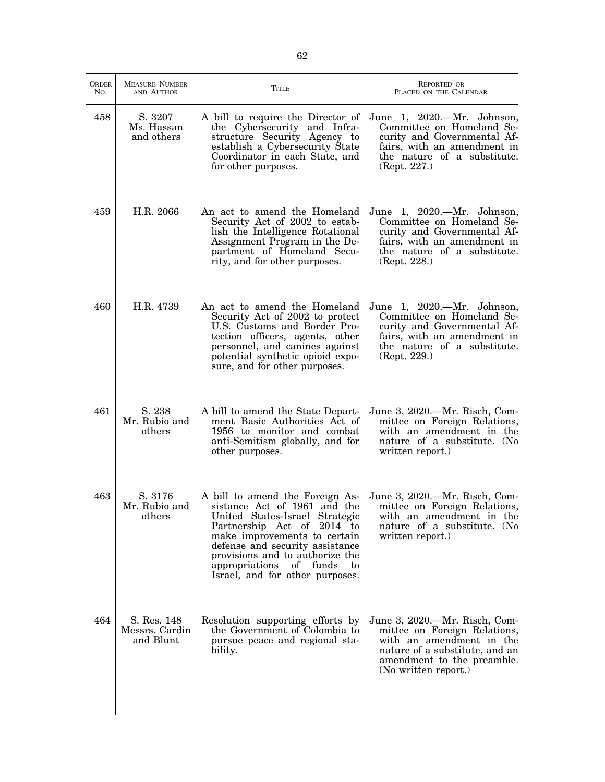| <b>ORDER</b><br>No. | <b>MEASURE NUMBER</b><br>AND AUTHOR        | Title                                                                                                                                                                                                                                                                                                     | <b>REPORTED OR</b><br>PLACED ON THE CALENDAR                                                                                                                                      |
|---------------------|--------------------------------------------|-----------------------------------------------------------------------------------------------------------------------------------------------------------------------------------------------------------------------------------------------------------------------------------------------------------|-----------------------------------------------------------------------------------------------------------------------------------------------------------------------------------|
| 458                 | S. 3207<br>Ms. Hassan<br>and others        | A bill to require the Director of<br>the Cybersecurity and Infra-<br>structure Security Agency to<br>establish a Cybersecurity State<br>Coordinator in each State, and<br>for other purposes.                                                                                                             | June 1, 2020.—Mr. Johnson,<br>Committee on Homeland Se-<br>curity and Governmental Af-<br>fairs, with an amendment in<br>the nature of a substitute.<br>(Rept. 227.)              |
| 459                 | H.R. 2066                                  | An act to amend the Homeland<br>Security Act of 2002 to estab-<br>lish the Intelligence Rotational<br>Assignment Program in the De-<br>partment of Homeland Secu-<br>rity, and for other purposes.                                                                                                        | June 1, 2020.—Mr. Johnson,<br>Committee on Homeland Se-<br>curity and Governmental Af-<br>fairs, with an amendment in<br>the nature of a substitute.<br>(Rept. 228.)              |
| 460                 | H.R. 4739                                  | An act to amend the Homeland<br>Security Act of 2002 to protect<br>U.S. Customs and Border Pro-<br>tection officers, agents, other<br>personnel, and canines against<br>potential synthetic opioid expo-<br>sure, and for other purposes.                                                                 | June 1, 2020.—Mr. Johnson,<br>Committee on Homeland Se-<br>curity and Governmental Af-<br>fairs, with an amendment in<br>the nature of a substitute.<br>(Rept. 229.)              |
| 461                 | S. 238<br>Mr. Rubio and<br>others          | A bill to amend the State Depart-<br>ment Basic Authorities Act of<br>1956 to monitor and combat<br>anti-Semitism globally, and for<br>other purposes.                                                                                                                                                    | June 3, 2020.—Mr. Risch, Com-<br>mittee on Foreign Relations,<br>with an amendment in the<br>nature of a substitute. (No<br>written report.)                                      |
| 463                 | S. 3176<br>Mr. Rubio and<br>others         | A bill to amend the Foreign As-<br>sistance Act of 1961 and the<br>United States-Israel Strategic<br>Partnership Act of 2014 to<br>make improvements to certain<br>defense and security assistance<br>provisions and to authorize the<br>appropriations of funds<br>to<br>Israel, and for other purposes. | June 3, 2020.—Mr. Risch, Com-<br>mittee on Foreign Relations,<br>with an amendment in the<br>nature of a substitute. (No<br>written report.)                                      |
| 464                 | S. Res. 148<br>Messrs. Cardin<br>and Blunt | Resolution supporting efforts by<br>the Government of Colombia to<br>pursue peace and regional sta-<br>bility.                                                                                                                                                                                            | June 3, 2020.—Mr. Risch, Com-<br>mittee on Foreign Relations,<br>with an amendment in the<br>nature of a substitute, and an<br>amendment to the preamble.<br>(No written report.) |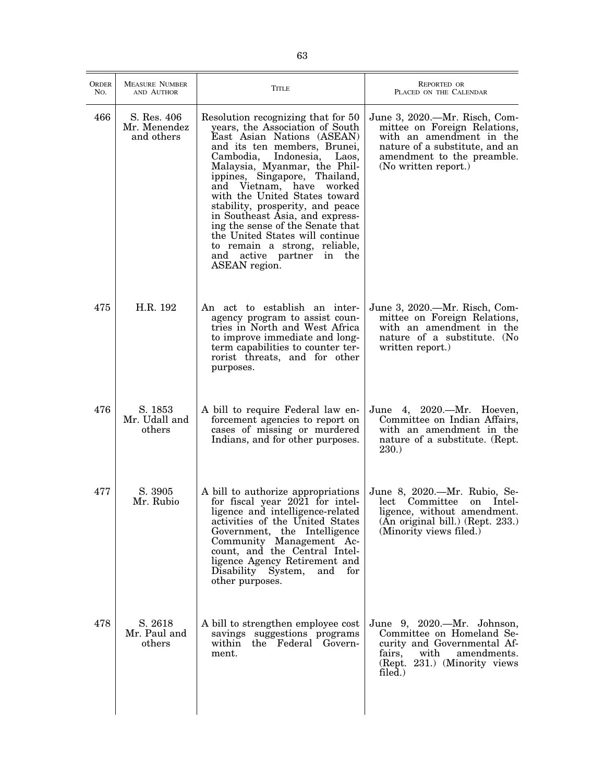| <b>ORDER</b><br>No. | <b>MEASURE NUMBER</b><br>AND AUTHOR       | TITLE                                                                                                                                                                                                                                                                                                                                                                                                                                                                                                                              | REPORTED OR<br>PLACED ON THE CALENDAR                                                                                                                                             |
|---------------------|-------------------------------------------|------------------------------------------------------------------------------------------------------------------------------------------------------------------------------------------------------------------------------------------------------------------------------------------------------------------------------------------------------------------------------------------------------------------------------------------------------------------------------------------------------------------------------------|-----------------------------------------------------------------------------------------------------------------------------------------------------------------------------------|
| 466                 | S. Res. 406<br>Mr. Menendez<br>and others | Resolution recognizing that for 50<br>years, the Association of South<br>East Asian Nations (ASEAN)<br>and its ten members, Brunei,<br>Cambodia, Indonesia,<br>Laos,<br>Malaysia, Myanmar, the Phil-<br>ippines, Singapore, Thailand,<br>and Vietnam, have worked<br>with the United States toward<br>stability, prosperity, and peace<br>in Southeast Asia, and express-<br>ing the sense of the Senate that<br>the United States will continue<br>to remain a strong, reliable,<br>and active partner in<br>the<br>ASEAN region. | June 3, 2020.—Mr. Risch, Com-<br>mittee on Foreign Relations,<br>with an amendment in the<br>nature of a substitute, and an<br>amendment to the preamble.<br>(No written report.) |
| 475                 | H.R. 192                                  | An act to establish an inter-<br>agency program to assist coun-<br>tries in North and West Africa<br>to improve immediate and long-<br>term capabilities to counter ter-<br>rorist threats, and for other<br>purposes.                                                                                                                                                                                                                                                                                                             | June 3, 2020.—Mr. Risch, Com-<br>mittee on Foreign Relations,<br>with an amendment in the<br>nature of a substitute. (No<br>written report.)                                      |
| 476                 | S. 1853<br>Mr. Udall and<br>others        | A bill to require Federal law en-<br>forcement agencies to report on<br>cases of missing or murdered<br>Indians, and for other purposes.                                                                                                                                                                                                                                                                                                                                                                                           | June 4, 2020.—Mr. Hoeven,<br>Committee on Indian Affairs,<br>with an amendment in the<br>nature of a substitute. (Rept.<br><b>230.</b> )                                          |
| 477                 | S. 3905<br>Mr. Rubio                      | A bill to authorize appropriations<br>for fiscal year 2021 for intel-<br>ligence and intelligence-related<br>activities of the United States<br>Government, the Intelligence<br>Community Management Ac-<br>count, and the Central Intel-<br>ligence Agency Retirement and<br>Disability System,<br>and for<br>other purposes.                                                                                                                                                                                                     | June 8, 2020.—Mr. Rubio, Se-<br>lect Committee<br>on Intel-<br>ligence, without amendment.<br>(An original bill.) (Rept. 233.)<br>(Minority views filed.)                         |
| 478                 | S. 2618<br>Mr. Paul and<br>others         | A bill to strengthen employee cost<br>savings suggestions programs<br>within the Federal Govern-<br>ment.                                                                                                                                                                                                                                                                                                                                                                                                                          | June 9, 2020.—Mr. Johnson,<br>Committee on Homeland Se-<br>curity and Governmental Af-<br>$\quad$ with<br>fairs,<br>amendments.<br>(Rept. 231.) (Minority views)<br>filed.)       |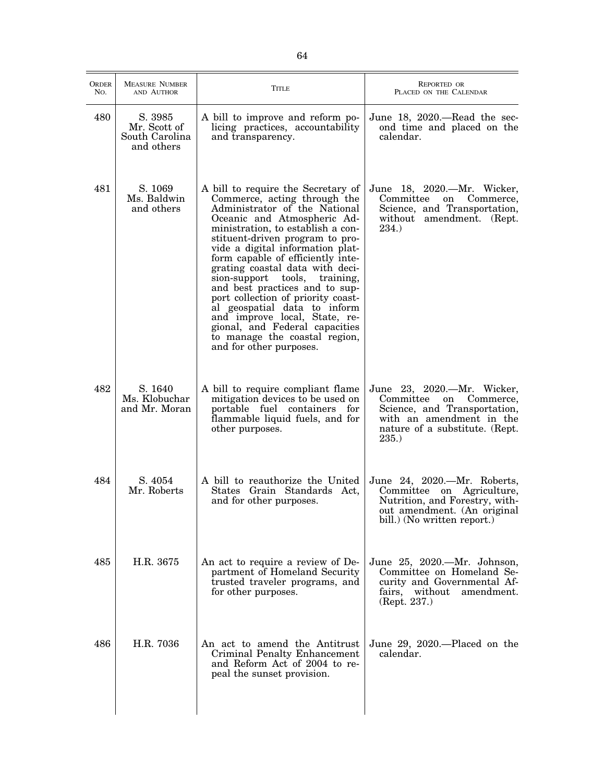| <b>MEASURE NUMBER</b><br>ORDER<br>REPORTED OR<br>Title<br>No.<br>AND AUTHOR<br>PLACED ON THE CALENDAR<br>480<br>S. 3985<br>A bill to improve and reform po-<br>June 18, 2020.—Read the sec-<br>Mr. Scott of<br>licing practices, accountability<br>ond time and placed on the<br>South Carolina<br>calendar.<br>and transparency.<br>and others<br>481<br>S. 1069<br>A bill to require the Secretary of<br>Ms. Baldwin<br>Commerce, acting through the<br>Committee<br>Commerce,<br>on<br>and others<br>Administrator of the National<br>Oceanic and Atmospheric Ad-<br>amendment. (Rept.<br>without<br>234.)<br>ministration, to establish a con-<br>stituent-driven program to pro-<br>vide a digital information plat-<br>form capable of efficiently inte-<br>grating coastal data with deci-<br>sion-support<br>tools,<br>training,<br>and best practices and to sup-<br>port collection of priority coast-<br>al geospatial data to inform<br>and improve local, State, re-<br>gional, and Federal capacities<br>to manage the coastal region,<br>and for other purposes.<br>482<br>S. 1640<br>A bill to require compliant flame<br>Ms. Klobuchar<br>mitigation devices to be used on<br>Committee<br>on<br>and Mr. Moran<br>portable fuel containers for<br>Science, and Transportation,<br>flammable liquid fuels, and for<br>with an amendment in the<br>nature of a substitute. (Rept.<br>other purposes.<br>235.<br>484<br>S. 4054<br>A bill to reauthorize the United<br>Mr. Roberts<br>States Grain Standards Act,<br>Committee on Agriculture,<br>and for other purposes.<br>Nutrition, and Forestry, with-<br>out amendment. (An original<br>bill.) (No written report.)<br>485<br>H.R. 3675<br>An act to require a review of De-<br>partment of Homeland Security<br>Committee on Homeland Se-<br>trusted traveler programs, and<br>curity and Governmental Af-<br>for other purposes.<br>fairs, without amendment.<br>(Rept. 237.)<br>H.R. 7036<br>486<br>An act to amend the Antitrust<br>June 29, 2020.—Placed on the<br>Criminal Penalty Enhancement<br>calendar.<br>and Reform Act of 2004 to re-<br>peal the sunset provision. |  |  |
|------------------------------------------------------------------------------------------------------------------------------------------------------------------------------------------------------------------------------------------------------------------------------------------------------------------------------------------------------------------------------------------------------------------------------------------------------------------------------------------------------------------------------------------------------------------------------------------------------------------------------------------------------------------------------------------------------------------------------------------------------------------------------------------------------------------------------------------------------------------------------------------------------------------------------------------------------------------------------------------------------------------------------------------------------------------------------------------------------------------------------------------------------------------------------------------------------------------------------------------------------------------------------------------------------------------------------------------------------------------------------------------------------------------------------------------------------------------------------------------------------------------------------------------------------------------------------------------------------------------------------------------------------------------------------------------------------------------------------------------------------------------------------------------------------------------------------------------------------------------------------------------------------------------------------------------------------------------------------------------------------------------------------------------------------------------------------------------------------------------------------------------------------|--|--|
| June 18, 2020.—Mr. Wicker,<br>Science, and Transportation,<br>June 23, 2020.—Mr. Wicker,<br>Commerce,<br>June 24, 2020.—Mr. Roberts,<br>June 25, 2020.—Mr. Johnson,                                                                                                                                                                                                                                                                                                                                                                                                                                                                                                                                                                                                                                                                                                                                                                                                                                                                                                                                                                                                                                                                                                                                                                                                                                                                                                                                                                                                                                                                                                                                                                                                                                                                                                                                                                                                                                                                                                                                                                                  |  |  |
|                                                                                                                                                                                                                                                                                                                                                                                                                                                                                                                                                                                                                                                                                                                                                                                                                                                                                                                                                                                                                                                                                                                                                                                                                                                                                                                                                                                                                                                                                                                                                                                                                                                                                                                                                                                                                                                                                                                                                                                                                                                                                                                                                      |  |  |
|                                                                                                                                                                                                                                                                                                                                                                                                                                                                                                                                                                                                                                                                                                                                                                                                                                                                                                                                                                                                                                                                                                                                                                                                                                                                                                                                                                                                                                                                                                                                                                                                                                                                                                                                                                                                                                                                                                                                                                                                                                                                                                                                                      |  |  |
|                                                                                                                                                                                                                                                                                                                                                                                                                                                                                                                                                                                                                                                                                                                                                                                                                                                                                                                                                                                                                                                                                                                                                                                                                                                                                                                                                                                                                                                                                                                                                                                                                                                                                                                                                                                                                                                                                                                                                                                                                                                                                                                                                      |  |  |
|                                                                                                                                                                                                                                                                                                                                                                                                                                                                                                                                                                                                                                                                                                                                                                                                                                                                                                                                                                                                                                                                                                                                                                                                                                                                                                                                                                                                                                                                                                                                                                                                                                                                                                                                                                                                                                                                                                                                                                                                                                                                                                                                                      |  |  |
|                                                                                                                                                                                                                                                                                                                                                                                                                                                                                                                                                                                                                                                                                                                                                                                                                                                                                                                                                                                                                                                                                                                                                                                                                                                                                                                                                                                                                                                                                                                                                                                                                                                                                                                                                                                                                                                                                                                                                                                                                                                                                                                                                      |  |  |
|                                                                                                                                                                                                                                                                                                                                                                                                                                                                                                                                                                                                                                                                                                                                                                                                                                                                                                                                                                                                                                                                                                                                                                                                                                                                                                                                                                                                                                                                                                                                                                                                                                                                                                                                                                                                                                                                                                                                                                                                                                                                                                                                                      |  |  |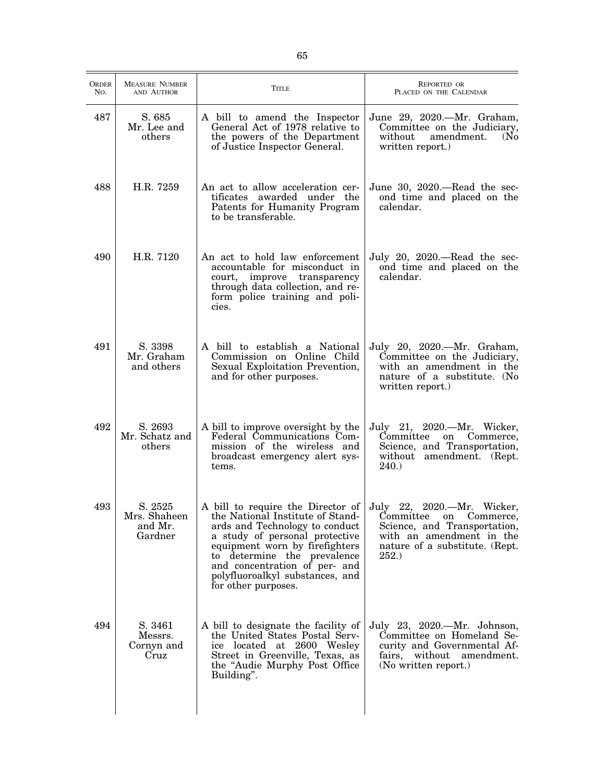| ORDER<br>No. | <b>MEASURE NUMBER</b><br>AND AUTHOR           | Title                                                                                                                                                                                                                                                                                                                            | <b>REPORTED OR</b><br>PLACED ON THE CALENDAR                                                                                                 |
|--------------|-----------------------------------------------|----------------------------------------------------------------------------------------------------------------------------------------------------------------------------------------------------------------------------------------------------------------------------------------------------------------------------------|----------------------------------------------------------------------------------------------------------------------------------------------|
| 487          | S. 685<br>Mr. Lee and<br>others               | A bill to amend the Inspector<br>General Act of 1978 relative to<br>the powers of the Department<br>of Justice Inspector General.                                                                                                                                                                                                | June 29, 2020.—Mr. Graham,<br>Committee on the Judiciary,<br>without<br>amendment.<br>(N <sub>0</sub> )<br>written report.)                  |
| 488          | H.R. 7259                                     | An act to allow acceleration cer-<br>tificates awarded under the<br>Patents for Humanity Program<br>to be transferable.                                                                                                                                                                                                          | June 30, 2020.—Read the sec-<br>ond time and placed on the<br>calendar.                                                                      |
| 490          | H.R. 7120                                     | An act to hold law enforcement<br>accountable for misconduct in<br>court, improve transparency<br>through data collection, and re-<br>form police training and poli-<br>cies.                                                                                                                                                    | July 20, 2020.—Read the sec-<br>ond time and placed on the<br>calendar.                                                                      |
| 491          | S. 3398<br>Mr. Graham<br>and others           | A bill to establish a National<br>Commission on Online Child<br>Sexual Exploitation Prevention,<br>and for other purposes.                                                                                                                                                                                                       | July 20, 2020.—Mr. Graham,<br>Committee on the Judiciary,<br>with an amendment in the<br>nature of a substitute. (No<br>written report.)     |
| 492          | S. 2693<br>Mr. Schatz and<br>others           | A bill to improve oversight by the<br>Federal Communications Com-<br>mission of the wireless and<br>broadcast emergency alert sys-<br>tems.                                                                                                                                                                                      | July 21, 2020.—Mr. Wicker,<br>Committee on Commerce,<br>Science, and Transportation,<br>without amendment. (Rept.<br><b>240.</b>             |
| 493          | S. 2525<br>Mrs. Shaheen<br>and Mr.<br>Gardner | A bill to require the Director of July 22, 2020.—Mr. Wicker,<br>the National Institute of Stand-<br>ards and Technology to conduct<br>a study of personal protective<br>equipment worn by firefighters<br>to determine the prevalence<br>and concentration of per- and<br>polyfluoroalkyl substances, and<br>for other purposes. | Committee on Commerce,<br>Science, and Transportation,<br>with an amendment in the<br>nature of a substitute. (Rept.<br>252.)                |
| 494          | S. 3461<br>Messrs.<br>Cornyn and<br>Cruz      | A bill to designate the facility of<br>the United States Postal Serv-<br>ice located at 2600 Wesley<br>Street in Greenville, Texas, as<br>the "Audie Murphy Post Office"<br>Building".                                                                                                                                           | July 23, 2020.—Mr. Johnson,<br>Committee on Homeland Se-<br>curity and Governmental Af-<br>fairs, without amendment.<br>(No written report.) |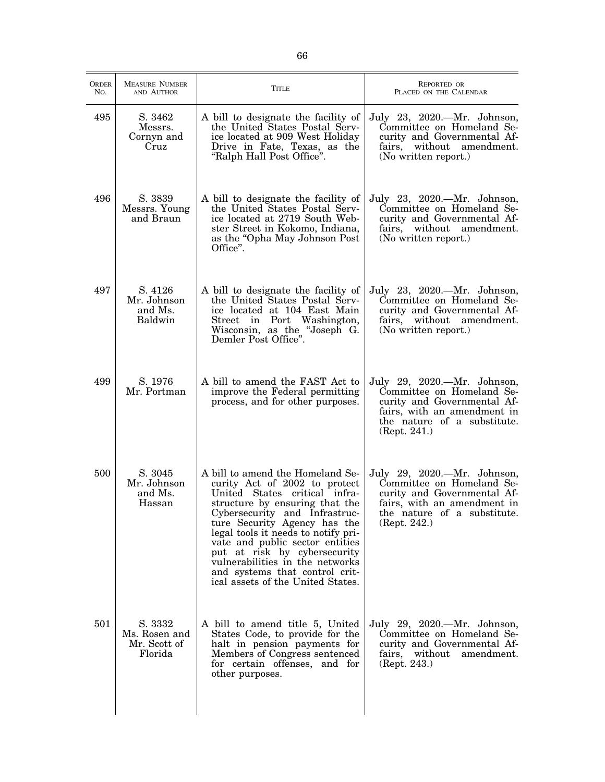| <b>ORDER</b><br>No. | <b>MEASURE NUMBER</b><br>AND AUTHOR                 | <b>TITLE</b>                                                                                                                                                                                                                                                                                                                                                                                                              | <b>REPORTED OR</b><br>PLACED ON THE CALENDAR                                                                                                                          |
|---------------------|-----------------------------------------------------|---------------------------------------------------------------------------------------------------------------------------------------------------------------------------------------------------------------------------------------------------------------------------------------------------------------------------------------------------------------------------------------------------------------------------|-----------------------------------------------------------------------------------------------------------------------------------------------------------------------|
| 495                 | S. 3462<br>Messrs.<br>Cornyn and<br>Cruz            | A bill to designate the facility of<br>the United States Postal Serv-<br>ice located at 909 West Holiday<br>Drive in Fate, Texas, as the<br>"Ralph Hall Post Office".                                                                                                                                                                                                                                                     | July 23, 2020.—Mr. Johnson,<br>Committee on Homeland Se-<br>curity and Governmental Af-<br>fairs, without amendment.<br>(No written report.)                          |
| 496                 | S. 3839<br>Messrs. Young<br>and Braun               | A bill to designate the facility of<br>the United States Postal Serv-<br>ice located at 2719 South Web-<br>ster Street in Kokomo, Indiana,<br>as the "Opha May Johnson Post<br>Office".                                                                                                                                                                                                                                   | July 23, 2020.—Mr. Johnson,<br>Committee on Homeland Se-<br>curity and Governmental Af-<br>fairs, without amendment.<br>(No written report.)                          |
| 497                 | S. 4126<br>Mr. Johnson<br>and Ms.<br>Baldwin        | A bill to designate the facility of<br>the United States Postal Serv-<br>ice located at 104 East Main<br>Street in Port Washington,<br>Wisconsin, as the "Joseph G.<br>Demler Post Office".                                                                                                                                                                                                                               | July 23, 2020.—Mr. Johnson,<br>Committee on Homeland Se-<br>curity and Governmental Af-<br>fairs, without amendment.<br>(No written report.)                          |
| 499                 | S. 1976<br>Mr. Portman                              | A bill to amend the FAST Act to<br>improve the Federal permitting<br>process, and for other purposes.                                                                                                                                                                                                                                                                                                                     | July 29, 2020.—Mr. Johnson,<br>Committee on Homeland Se-<br>curity and Governmental Af-<br>fairs, with an amendment in<br>the nature of a substitute.<br>(Rept. 241.) |
| 500                 | S. 3045<br>Mr. Johnson<br>and Ms.<br>Hassan         | A bill to amend the Homeland Se-<br>curity Act of 2002 to protect<br>United States critical infra-<br>structure by ensuring that the<br>Cybersecurity and Infrastruc-<br>ture Security Agency has the<br>legal tools it needs to notify pri-<br>vate and public sector entities<br>put at risk by cybersecurity<br>vulnerabilities in the networks<br>and systems that control crit-<br>ical assets of the United States. | July 29, 2020.—Mr. Johnson,<br>Committee on Homeland Se-<br>curity and Governmental Af-<br>fairs, with an amendment in<br>the nature of a substitute.<br>(Rept. 242.) |
| 501                 | S. 3332<br>Ms. Rosen and<br>Mr. Scott of<br>Florida | A bill to amend title 5, United<br>States Code, to provide for the<br>halt in pension payments for<br>Members of Congress sentenced<br>for certain offenses, and for<br>other purposes.                                                                                                                                                                                                                                   | July 29, 2020.—Mr. Johnson,<br>Committee on Homeland Se-<br>curity and Governmental Af-<br>fairs,<br>without<br>amendment.<br>(Rept. 243.)                            |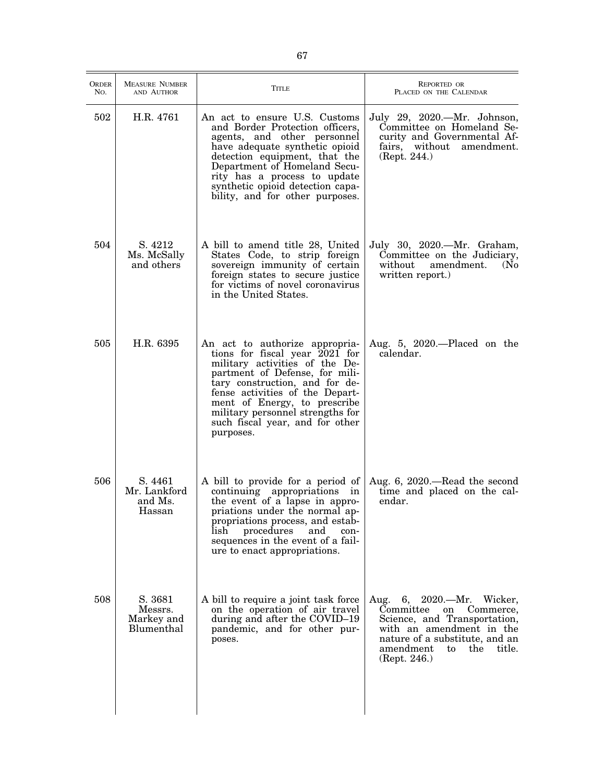| <b>ORDER</b><br>No. | <b>MEASURE NUMBER</b><br>AND AUTHOR            | Title                                                                                                                                                                                                                                                                                                                         | <b>REPORTED OR</b><br>PLACED ON THE CALENDAR                                                                                                                                                                   |
|---------------------|------------------------------------------------|-------------------------------------------------------------------------------------------------------------------------------------------------------------------------------------------------------------------------------------------------------------------------------------------------------------------------------|----------------------------------------------------------------------------------------------------------------------------------------------------------------------------------------------------------------|
| 502                 | H.R. 4761                                      | An act to ensure U.S. Customs<br>and Border Protection officers,<br>agents, and other personnel<br>have adequate synthetic opioid<br>detection equipment, that the<br>Department of Homeland Secu-<br>rity has a process to update<br>synthetic opioid detection capa-<br>bility, and for other purposes.                     | July 29, 2020.—Mr. Johnson,<br>Committee on Homeland Se-<br>curity and Governmental Af-<br>fairs, without<br>amendment.<br>(Rept. 244.)                                                                        |
| 504                 | S. 4212<br>Ms. McSally<br>and others           | A bill to amend title 28, United<br>States Code, to strip foreign<br>sovereign immunity of certain<br>foreign states to secure justice<br>for victims of novel coronavirus<br>in the United States.                                                                                                                           | July 30, 2020.—Mr. Graham,<br>Committee on the Judiciary,<br>without<br>amendment.<br>(N <sub>0</sub> )<br>written report.)                                                                                    |
| 505                 | H.R. 6395                                      | An act to authorize appropria-<br>tions for fiscal year 2021 for<br>military activities of the De-<br>partment of Defense, for mili-<br>tary construction, and for de-<br>fense activities of the Depart-<br>ment of Energy, to prescribe<br>military personnel strengths for<br>such fiscal year, and for other<br>purposes. | Aug. 5, 2020.-Placed on the<br>calendar.                                                                                                                                                                       |
| 506                 | S. 4461<br>Mr. Lankford<br>and Ms.<br>Hassan   | A bill to provide for a period of<br>continuing appropriations in<br>the event of a lapse in appro-<br>priations under the normal ap-<br>propriations process, and estab-<br>lish<br>procedures<br>and<br>con-<br>sequences in the event of a fail-<br>ure to enact appropriations.                                           | Aug. 6, 2020.—Read the second<br>time and placed on the cal-<br>endar.                                                                                                                                         |
| 508                 | S. 3681<br>Messrs.<br>Markey and<br>Blumenthal | A bill to require a joint task force<br>on the operation of air travel<br>during and after the COVID-19<br>pandemic, and for other pur-<br>poses.                                                                                                                                                                             | 6, 2020.—Mr. Wicker,<br>Aug.<br>Committee<br>Commerce,<br>on<br>Science, and Transportation,<br>with an amendment in the<br>nature of a substitute, and an<br>amendment<br>the<br>title.<br>to<br>(Rept. 246.) |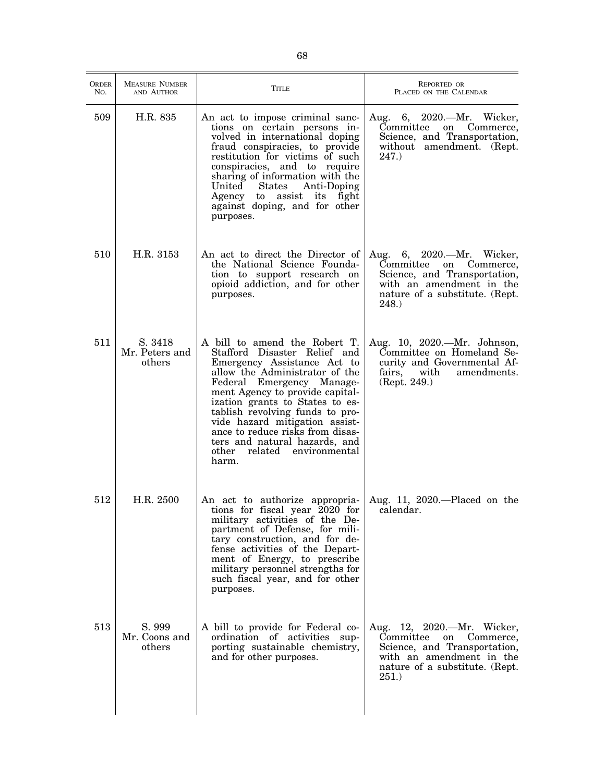| <b>ORDER</b><br>No. | <b>MEASURE NUMBER</b><br>AND AUTHOR | <b>TITLE</b>                                                                                                                                                                                                                                                                                                                                                                                                              | <b>REPORTED OR</b><br>PLACED ON THE CALENDAR                                                                                                                       |
|---------------------|-------------------------------------|---------------------------------------------------------------------------------------------------------------------------------------------------------------------------------------------------------------------------------------------------------------------------------------------------------------------------------------------------------------------------------------------------------------------------|--------------------------------------------------------------------------------------------------------------------------------------------------------------------|
| 509                 | H.R. 835                            | An act to impose criminal sanc-<br>tions on certain persons in-<br>volved in international doping<br>fraud conspiracies, to provide<br>restitution for victims of such<br>conspiracies, and to require<br>sharing of information with the<br>United States<br>Anti-Doping<br>Agency to assist its fight<br>against doping, and for other<br>purposes.                                                                     | Aug. 6, 2020.—Mr. Wicker,<br>Committee<br>on Commerce,<br>Science, and Transportation,<br>without amendment. (Rept.<br>247.)                                       |
| 510                 | H.R. 3153                           | An act to direct the Director of<br>the National Science Founda-<br>tion to support research on<br>opioid addiction, and for other<br>purposes.                                                                                                                                                                                                                                                                           | Aug. 6, 2020.—Mr. Wicker,<br>Committee on Commerce,<br>Science, and Transportation,<br>with an amendment in the<br>nature of a substitute. (Rept.<br><b>248.</b> ) |
| 511                 | S. 3418<br>Mr. Peters and<br>others | A bill to amend the Robert T.<br>Stafford Disaster Relief and<br>Emergency Assistance Act to<br>allow the Administrator of the<br>Federal Emergency Manage-<br>ment Agency to provide capital-<br>ization grants to States to es-<br>tablish revolving funds to pro-<br>vide hazard mitigation assist-<br>ance to reduce risks from disas-<br>ters and natural hazards, and<br>other<br>environmental<br>related<br>harm. | Aug. 10, 2020.—Mr. Johnson,<br>Committee on Homeland Se-<br>curity and Governmental Af-<br>fairs,<br>with<br>amendments.<br>(Rept. 249.)                           |
| 512                 | H.R. 2500                           | An act to authorize appropria- Aug. 11, 2020.—Placed on the<br>tions for fiscal year 2020 for<br>military activities of the De-<br>partment of Defense, for mili-<br>tary construction, and for de-<br>fense activities of the Depart-<br>ment of Energy, to prescribe<br>military personnel strengths for<br>such fiscal year, and for other<br>purposes.                                                                | calendar.                                                                                                                                                          |
| 513                 | S. 999<br>Mr. Coons and<br>others   | A bill to provide for Federal co-<br>ordination of activities sup-<br>porting sustainable chemistry,<br>and for other purposes.                                                                                                                                                                                                                                                                                           | Aug. 12, 2020.—Mr. Wicker,<br>Committee<br>on Commerce,<br>Science, and Transportation,<br>with an amendment in the<br>nature of a substitute. (Rept.<br>251.)     |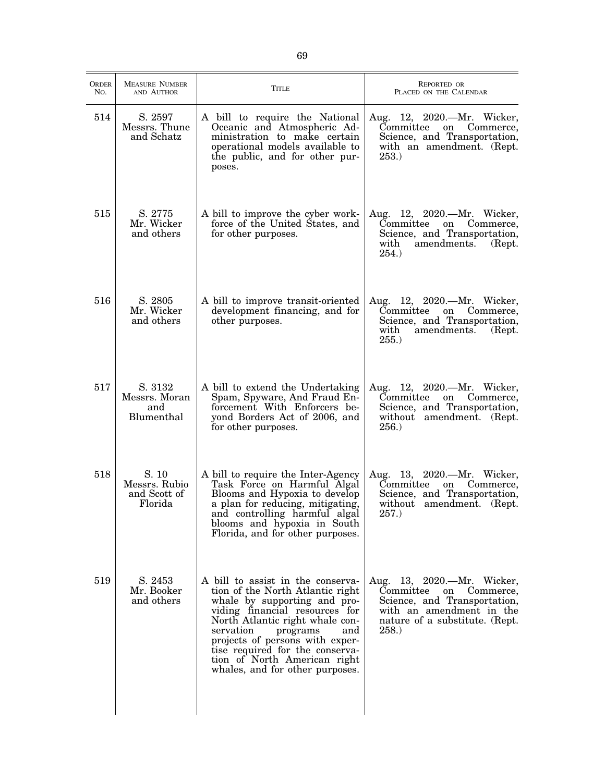| <b>ORDER</b><br>No. | <b>MEASURE NUMBER</b><br>AND AUTHOR               | <b>TITLE</b>                                                                                                                                                                                                                                                                                                                                        | REPORTED OR<br>PLACED ON THE CALENDAR                                                                                                                                   |
|---------------------|---------------------------------------------------|-----------------------------------------------------------------------------------------------------------------------------------------------------------------------------------------------------------------------------------------------------------------------------------------------------------------------------------------------------|-------------------------------------------------------------------------------------------------------------------------------------------------------------------------|
| 514                 | S. 2597<br>Messrs. Thune<br>and Schatz            | A bill to require the National<br>Oceanic and Atmospheric Ad-<br>ministration to make certain<br>operational models available to<br>the public, and for other pur-<br>poses.                                                                                                                                                                        | Aug. 12, 2020.—Mr. Wicker,<br>Commerce,<br>Committee<br>on<br>Science, and Transportation,<br>with an amendment. (Rept.<br><b>253.</b>                                  |
| 515                 | S. 2775<br>Mr. Wicker<br>and others               | A bill to improve the cyber work-<br>force of the United States, and<br>for other purposes.                                                                                                                                                                                                                                                         | Aug. 12, 2020.—Mr. Wicker,<br>Committee<br>Commerce,<br>on<br>Science, and Transportation,<br>with<br>amendments.<br>(Rept.)<br>254.)                                   |
| 516                 | S. 2805<br>Mr. Wicker<br>and others               | A bill to improve transit-oriented<br>development financing, and for<br>other purposes.                                                                                                                                                                                                                                                             | Aug. 12, 2020.—Mr. Wicker,<br>Commerce,<br>Committee<br>on<br>Science, and Transportation,<br>with<br>amendments.<br>(Rept.)<br>255.                                    |
| 517                 | S. 3132<br>Messrs. Moran<br>and<br>Blumenthal     | A bill to extend the Undertaking<br>Spam, Spyware, And Fraud En-<br>forcement With Enforcers be-<br>yond Borders Act of 2006, and<br>for other purposes.                                                                                                                                                                                            | Aug. 12, 2020.—Mr. Wicker,<br>Committee<br>Commerce,<br>on<br>Science, and Transportation,<br>without amendment. (Rept.<br>256.                                         |
| 518                 | S. 10<br>Messrs. Rubio<br>and Scott of<br>Florida | A bill to require the Inter-Agency<br>Task Force on Harmful Algal<br>Blooms and Hypoxia to develop<br>a plan for reducing, mitigating,<br>and controlling harmful algal<br>blooms and hypoxia in South<br>Florida, and for other purposes.                                                                                                          | Aug. 13, 2020.—Mr. Wicker,<br>Committee<br>Commerce,<br>on<br>Science, and Transportation,<br>without amendment. (Rept.<br>257.                                         |
| 519                 | S. 2453<br>Mr. Booker<br>and others               | A bill to assist in the conserva-<br>tion of the North Atlantic right<br>whale by supporting and pro-<br>viding financial resources for<br>North Atlantic right whale con-<br>servation<br>and<br>programs<br>projects of persons with exper-<br>tise required for the conserva-<br>tion of North American right<br>whales, and for other purposes. | Aug. 13, 2020.—Mr. Wicker,<br>Committee<br>Commerce,<br>on<br>Science, and Transportation,<br>with an amendment in the<br>nature of a substitute. (Rept.<br><b>258.</b> |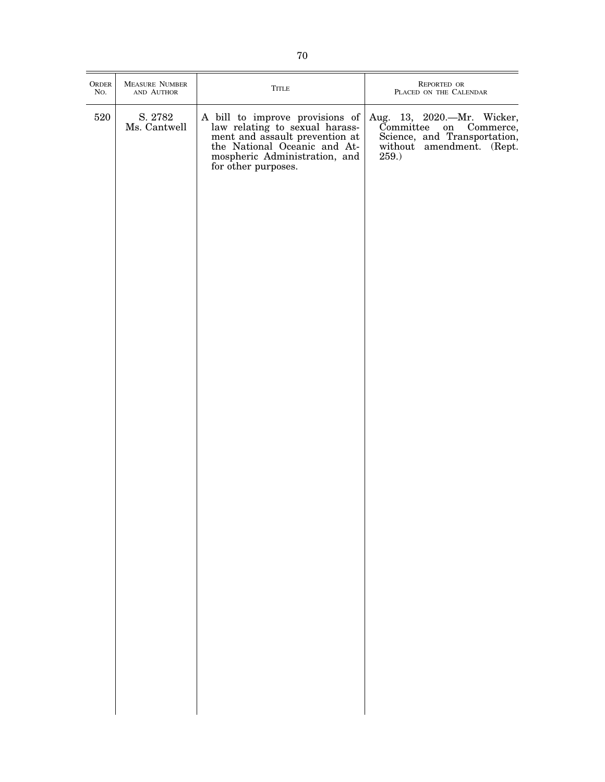| ORDER<br>No. | <b>MEASURE NUMBER</b><br>AND AUTHOR | ${\sf TITLE}$                                                                                                                                                                               | REPORTED OR<br>PLACED ON THE CALENDAR                                                                                                     |
|--------------|-------------------------------------|---------------------------------------------------------------------------------------------------------------------------------------------------------------------------------------------|-------------------------------------------------------------------------------------------------------------------------------------------|
| 520          | S. 2782<br>Ms. Cantwell             | A bill to improve provisions of<br>law relating to sexual harass-<br>ment and assault prevention at<br>the National Oceanic and At-<br>mospheric Administration, and<br>for other purposes. | Aug. 13, 2020. - Mr. Wicker,<br>Committee<br>Committee on Commerce,<br>Science, and Transportation,<br>without amendment. (Rept.<br>259.) |
|              |                                     |                                                                                                                                                                                             |                                                                                                                                           |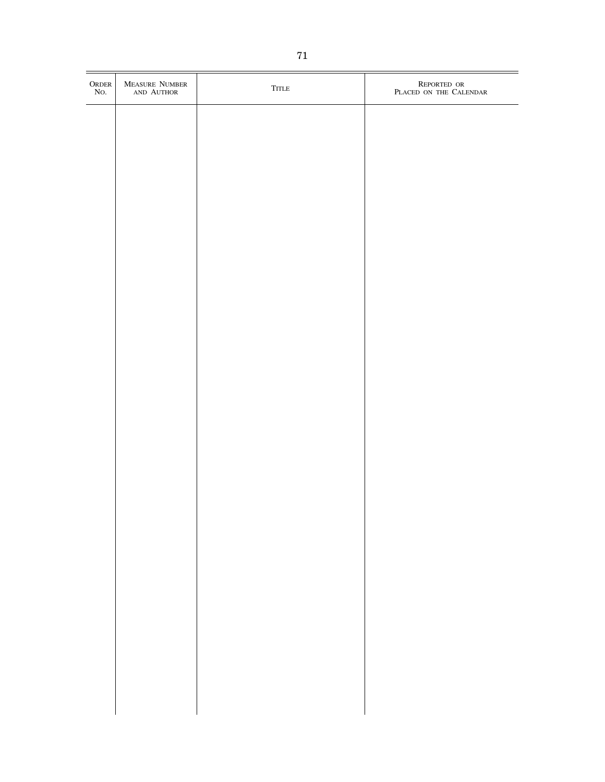| $\begin{array}{c} \text{ORDER} \\ \text{No.} \end{array}$ | MEASURE NUMBER<br>AND AUTHOR | ${\sf TITLE}$ | REPORTED OR PLACED ON THE CALENDAR |
|-----------------------------------------------------------|------------------------------|---------------|------------------------------------|
|                                                           |                              |               |                                    |
|                                                           |                              |               |                                    |
|                                                           |                              |               |                                    |
|                                                           |                              |               |                                    |
|                                                           |                              |               |                                    |
|                                                           |                              |               |                                    |
|                                                           |                              |               |                                    |
|                                                           |                              |               |                                    |
|                                                           |                              |               |                                    |
|                                                           |                              |               |                                    |
|                                                           |                              |               |                                    |
|                                                           |                              |               |                                    |
|                                                           |                              |               |                                    |
|                                                           |                              |               |                                    |
|                                                           |                              |               |                                    |
|                                                           |                              |               |                                    |
|                                                           |                              |               |                                    |
|                                                           |                              |               |                                    |
|                                                           |                              |               |                                    |
|                                                           |                              |               |                                    |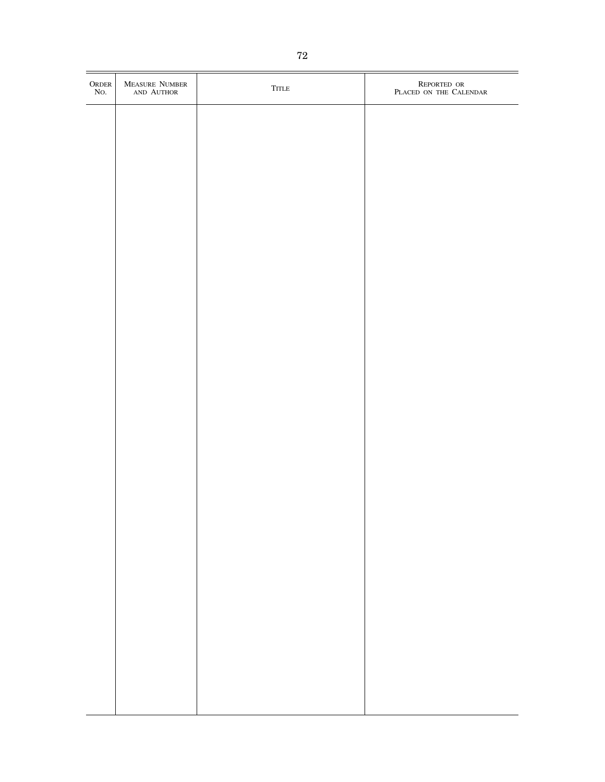| ORDER NO. | MEASURE NUMBER<br>AND AUTHOR | <b>TITLE</b> | REPORTED OR PLACED ON THE CALENDAR |
|-----------|------------------------------|--------------|------------------------------------|
|           |                              |              |                                    |
|           |                              |              |                                    |
|           |                              |              |                                    |
|           |                              |              |                                    |
|           |                              |              |                                    |
|           |                              |              |                                    |
|           |                              |              |                                    |
|           |                              |              |                                    |
|           |                              |              |                                    |
|           |                              |              |                                    |
|           |                              |              |                                    |
|           |                              |              |                                    |
|           |                              |              |                                    |
|           |                              |              |                                    |
|           |                              |              |                                    |
|           |                              |              |                                    |
|           |                              |              |                                    |
|           |                              |              |                                    |
|           |                              |              |                                    |
|           |                              |              |                                    |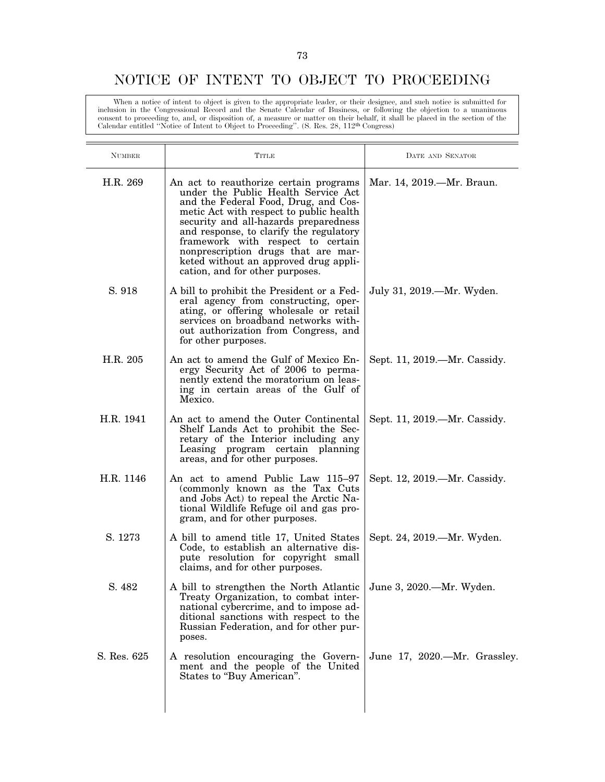#### NOTICE OF INTENT TO OBJECT TO PROCEEDING

When a notice of intent to object is given to the appropriate leader, or their designee, and such notice is submitted for inclusion in the Congressional Record and the Senate Calendar of Business, or following the objection to a unanimous consent to proceeding to, and, or disposition of, a measure or matter on their behalf, it shall be placed in the section of the Calendar entitled ''Notice of Intent to Object to Proceeding''. (S. Res. 28, 112th Congress)

| <b>NUMBER</b> | Title                                                                                                                                                                                                                                                                                                                                                                                                        | DATE AND SENATOR             |
|---------------|--------------------------------------------------------------------------------------------------------------------------------------------------------------------------------------------------------------------------------------------------------------------------------------------------------------------------------------------------------------------------------------------------------------|------------------------------|
| H.R. 269      | An act to reauthorize certain programs<br>under the Public Health Service Act<br>and the Federal Food, Drug, and Cos-<br>metic Act with respect to public health<br>security and all-hazards preparedness<br>and response, to clarify the regulatory<br>framework with respect to certain<br>nonprescription drugs that are mar-<br>keted without an approved drug appli-<br>cation, and for other purposes. | Mar. 14, 2019.—Mr. Braun.    |
| S. 918        | A bill to prohibit the President or a Fed-<br>eral agency from constructing, oper-<br>ating, or offering wholesale or retail<br>services on broadband networks with-<br>out authorization from Congress, and<br>for other purposes.                                                                                                                                                                          | July 31, 2019.—Mr. Wyden.    |
| H.R. 205      | An act to amend the Gulf of Mexico En-<br>ergy Security Act of 2006 to perma-<br>nently extend the moratorium on leas-<br>ing in certain areas of the Gulf of<br>Mexico.                                                                                                                                                                                                                                     | Sept. 11, 2019.—Mr. Cassidy. |
| H.R. 1941     | An act to amend the Outer Continental<br>Shelf Lands Act to prohibit the Sec-<br>retary of the Interior including any<br>Leasing program certain planning<br>areas, and for other purposes.                                                                                                                                                                                                                  | Sept. 11, 2019.—Mr. Cassidy. |
| H.R. 1146     | An act to amend Public Law 115-97<br>(commonly known as the Tax Cuts<br>and Jobs Act) to repeal the Arctic Na-<br>tional Wildlife Refuge oil and gas pro-<br>gram, and for other purposes.                                                                                                                                                                                                                   | Sept. 12, 2019.—Mr. Cassidy. |
| S. 1273       | A bill to amend title 17, United States<br>Code, to establish an alternative dis-<br>pute resolution for copyright small<br>claims, and for other purposes.                                                                                                                                                                                                                                                  | Sept. 24, 2019.—Mr. Wyden.   |
| S. 482        | A bill to strengthen the North Atlantic June 3, 2020.—Mr. Wyden.<br>Treaty Organization, to combat inter-<br>national cybercrime, and to impose ad-<br>ditional sanctions with respect to the<br>Russian Federation, and for other pur-<br>poses.                                                                                                                                                            |                              |
| S. Res. 625   | A resolution encouraging the Govern-<br>ment and the people of the United<br>States to "Buy American".                                                                                                                                                                                                                                                                                                       | June 17, 2020.—Mr. Grassley. |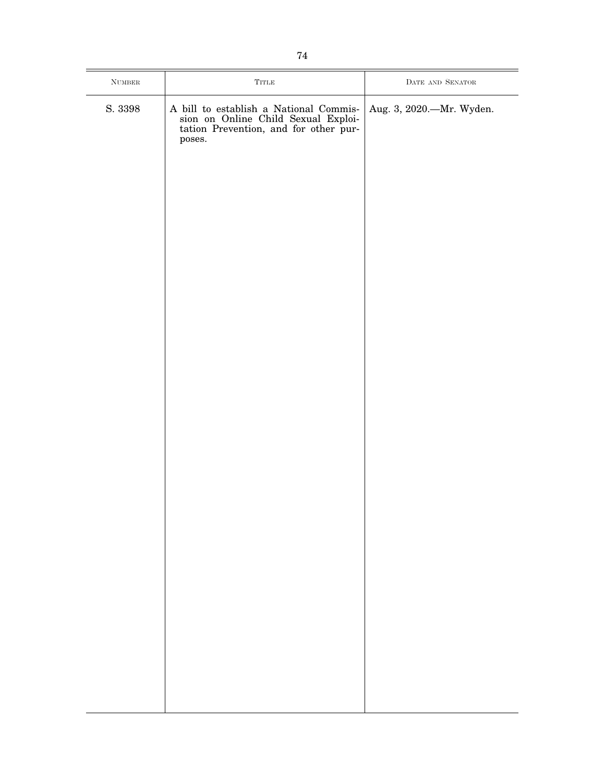| $\rm{NUMBER}$                          | ${\rm TITLE}$                                                                                                          | $\rm{DATE}$ and $\rm{SENATOR}$ |
|----------------------------------------|------------------------------------------------------------------------------------------------------------------------|--------------------------------|
| $\ensuremath{\mathrm{S}}\xspace.$ 3398 | A bill to establish a National Commission on Online Child Sexual Exploitation Prevention, and for other pur-<br>poses. | Aug. 3, 2020.-Mr. Wyden.       |
|                                        |                                                                                                                        |                                |
|                                        |                                                                                                                        |                                |
|                                        |                                                                                                                        |                                |
|                                        |                                                                                                                        |                                |
|                                        |                                                                                                                        |                                |
|                                        |                                                                                                                        |                                |
|                                        |                                                                                                                        |                                |
|                                        |                                                                                                                        |                                |
|                                        |                                                                                                                        |                                |
|                                        |                                                                                                                        |                                |
|                                        |                                                                                                                        |                                |
|                                        |                                                                                                                        |                                |
|                                        |                                                                                                                        |                                |
|                                        |                                                                                                                        |                                |
|                                        |                                                                                                                        |                                |
|                                        |                                                                                                                        |                                |
|                                        |                                                                                                                        |                                |
|                                        |                                                                                                                        |                                |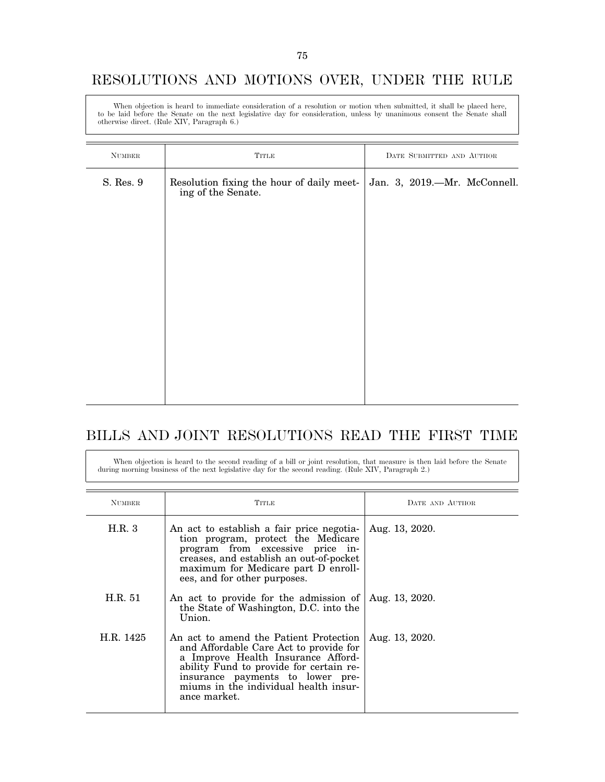#### RESOLUTIONS AND MOTIONS OVER, UNDER THE RULE

When objection is heard to immediate consideration of a resolution or motion when submitted, it shall be placed here, to be laid before the Senate on the next legislative day for consideration, unless by unanimous consent the Senate shall otherwise direct. (Rule XIV, Paragraph 6.)

| $\mbox{NUMBER}$ | <b>TITLE</b>                                               | DATE SUBMITTED AND AUTHOR    |
|-----------------|------------------------------------------------------------|------------------------------|
| S. Res. 9       | Resolution fixing the hour of daily meeting of the Senate. | Jan. 3, 2019.-Mr. McConnell. |
|                 |                                                            |                              |
|                 |                                                            |                              |
|                 |                                                            |                              |

### BILLS AND JOINT RESOLUTIONS READ THE FIRST TIME

When objection is heard to the second reading of a bill or joint resolution, that measure is then laid before the Senate during morning business of the next legislative day for the second reading. (Rule XIV, Paragraph 2.)

| <b>NUMBER</b> | TITLE                                                                                                                                                                                                                                                          | DATE AND AUTHOR |
|---------------|----------------------------------------------------------------------------------------------------------------------------------------------------------------------------------------------------------------------------------------------------------------|-----------------|
| H.R.3         | An act to establish a fair price negotia-<br>tion program, protect the Medicare<br>program from excessive price in-<br>creases, and establish an out-of-pocket<br>maximum for Medicare part D enroll-<br>ees, and for other purposes.                          | Aug. 13, 2020.  |
| H.R. 51       | An act to provide for the admission of<br>the State of Washington, D.C. into the<br>Union.                                                                                                                                                                     | Aug. 13, 2020.  |
| H.R. 1425     | An act to amend the Patient Protection<br>and Affordable Care Act to provide for<br>a Improve Health Insurance Afford-<br>ability Fund to provide for certain re-<br>insurance payments to lower pre-<br>miums in the individual health insur-<br>ance market. | Aug. 13, 2020.  |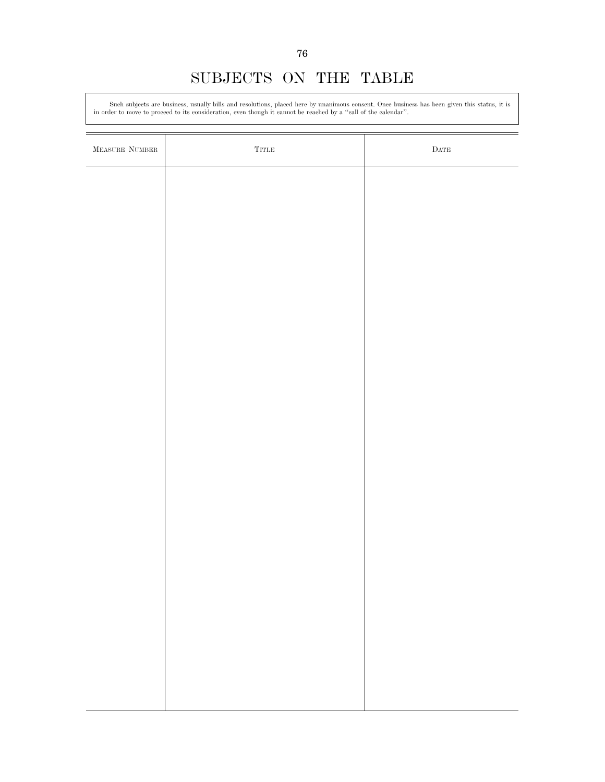## SUBJECTS ON THE TABLE

Such subjects are business, usually bills and resolutions, placed here by unanimous consent. Once business has been given this status, it is in order to move to proceed to its consideration, even though it cannot be reached by a ''call of the calendar''.

| $\begin{minipage}{.4\linewidth} \textbf{MEASURE} \textbf{ NUMBER} \end{minipage}$ | $\operatorname{Tr}\!\operatorname{TLE}$ | $\rm{DATE}$ |
|-----------------------------------------------------------------------------------|-----------------------------------------|-------------|
|                                                                                   |                                         |             |
|                                                                                   |                                         |             |
|                                                                                   |                                         |             |
|                                                                                   |                                         |             |
|                                                                                   |                                         |             |
|                                                                                   |                                         |             |
|                                                                                   |                                         |             |
|                                                                                   |                                         |             |
|                                                                                   |                                         |             |
|                                                                                   |                                         |             |
|                                                                                   |                                         |             |
|                                                                                   |                                         |             |
|                                                                                   |                                         |             |
|                                                                                   |                                         |             |
|                                                                                   |                                         |             |
|                                                                                   |                                         |             |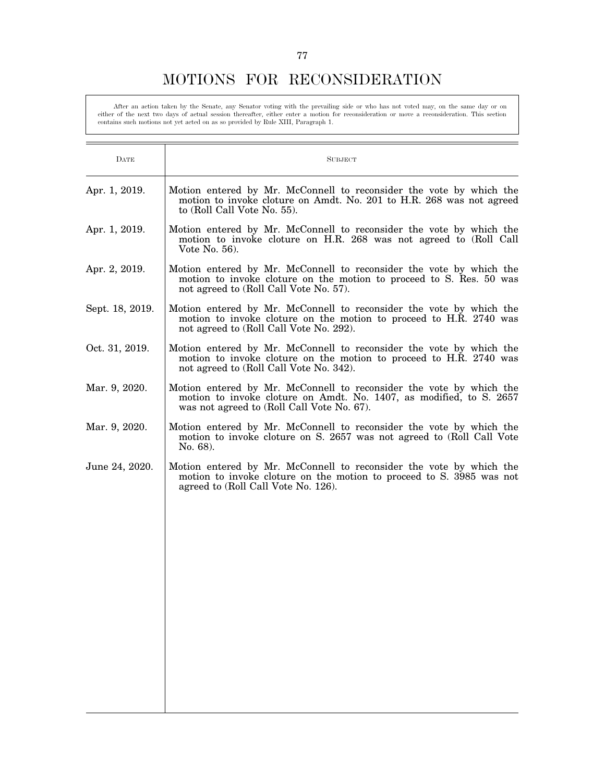### MOTIONS FOR RECONSIDERATION

After an action taken by the Senate, any Senator voting with the prevailing side or who has not voted may, on the same day or on<br>either of the next two days of actual session thereafter, either enter a motion for reconside contains such motions not yet acted on as so provided by Rule XIII, Paragraph 1.

| DATE            | <b>SUBJECT</b>                                                                                                                                                                           |
|-----------------|------------------------------------------------------------------------------------------------------------------------------------------------------------------------------------------|
| Apr. 1, 2019.   | Motion entered by Mr. McConnell to reconsider the vote by which the<br>motion to invoke cloture on Amdt. No. 201 to H.R. 268 was not agreed<br>to (Roll Call Vote No. 55).               |
| Apr. 1, 2019.   | Motion entered by Mr. McConnell to reconsider the vote by which the<br>motion to invoke cloture on H.R. 268 was not agreed to (Roll Call<br>Vote No. $56$ ).                             |
| Apr. 2, 2019.   | Motion entered by Mr. McConnell to reconsider the vote by which the<br>motion to invoke cloture on the motion to proceed to S. Res. 50 was<br>not agreed to (Roll Call Vote No. 57).     |
| Sept. 18, 2019. | Motion entered by Mr. McConnell to reconsider the vote by which the<br>motion to invoke cloture on the motion to proceed to H.R. 2740 was<br>not agreed to (Roll Call Vote No. 292).     |
| Oct. 31, 2019.  | Motion entered by Mr. McConnell to reconsider the vote by which the<br>motion to invoke cloture on the motion to proceed to H.R. 2740 was<br>not agreed to (Roll Call Vote No. 342).     |
| Mar. 9, 2020.   | Motion entered by Mr. McConnell to reconsider the vote by which the<br>motion to invoke cloture on Amdt. No. 1407, as modified, to S. 2657<br>was not agreed to (Roll Call Vote No. 67). |
| Mar. 9, 2020.   | Motion entered by Mr. McConnell to reconsider the vote by which the<br>motion to invoke cloture on S. 2657 was not agreed to (Roll Call Vote<br>No. 68).                                 |
| June 24, 2020.  | Motion entered by Mr. McConnell to reconsider the vote by which the<br>motion to invoke cloture on the motion to proceed to S. 3985 was not<br>agreed to (Roll Call Vote No. 126).       |
|                 |                                                                                                                                                                                          |
|                 |                                                                                                                                                                                          |
|                 |                                                                                                                                                                                          |
|                 |                                                                                                                                                                                          |
|                 |                                                                                                                                                                                          |
|                 |                                                                                                                                                                                          |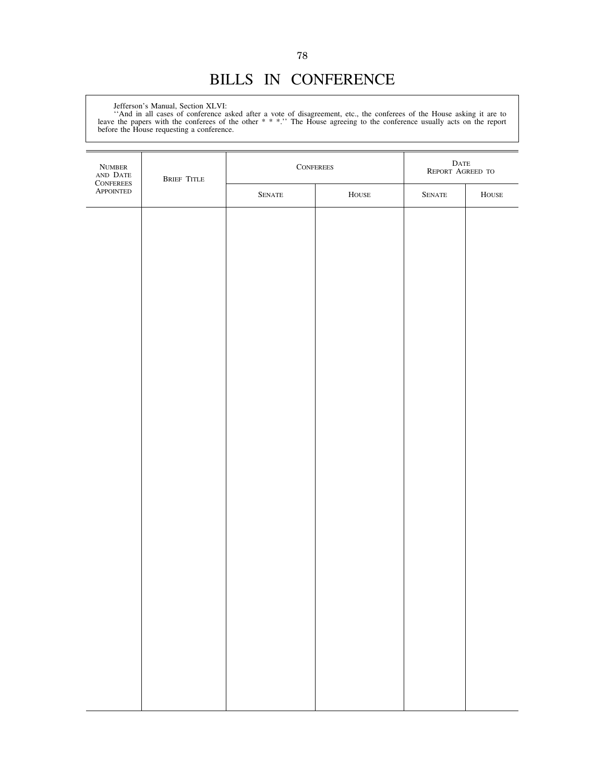# BILLS IN CONFERENCE

Jefferson's Manual, Section XLVI:

''And in all cases of conference asked after a vote of disagreement, etc., the conferees of the House asking it are to leave the papers with the conferees of the other \* \* \*.'' The House agreeing to the conference usually acts on the report before the House requesting a conference.

| NUMBER<br>AND DATE<br>CONFEREES<br>APPOINTED | <b>BRIEF TITLE</b> |                   | $\label{eq:conference} \textsc{Conferences}$ | $\begin{array}{c} \text{DATE} \\ \text{REPORT AGREED TO} \end{array}$ |               |
|----------------------------------------------|--------------------|-------------------|----------------------------------------------|-----------------------------------------------------------------------|---------------|
|                                              |                    | ${\hbox{Senate}}$ | ${\tt House}$                                | ${\hbox{Senate}}$                                                     | ${\tt House}$ |
|                                              |                    |                   |                                              |                                                                       |               |
|                                              |                    |                   |                                              |                                                                       |               |
|                                              |                    |                   |                                              |                                                                       |               |
|                                              |                    |                   |                                              |                                                                       |               |
|                                              |                    |                   |                                              |                                                                       |               |
|                                              |                    |                   |                                              |                                                                       |               |
|                                              |                    |                   |                                              |                                                                       |               |
|                                              |                    |                   |                                              |                                                                       |               |
|                                              |                    |                   |                                              |                                                                       |               |
|                                              |                    |                   |                                              |                                                                       |               |
|                                              |                    |                   |                                              |                                                                       |               |
|                                              |                    |                   |                                              |                                                                       |               |
|                                              |                    |                   |                                              |                                                                       |               |
|                                              |                    |                   |                                              |                                                                       |               |
|                                              |                    |                   |                                              |                                                                       |               |
|                                              |                    |                   |                                              |                                                                       |               |
|                                              |                    |                   |                                              |                                                                       |               |
|                                              |                    |                   |                                              |                                                                       |               |
|                                              |                    |                   |                                              |                                                                       |               |
|                                              |                    |                   |                                              |                                                                       |               |
|                                              |                    |                   |                                              |                                                                       |               |
|                                              |                    |                   |                                              |                                                                       |               |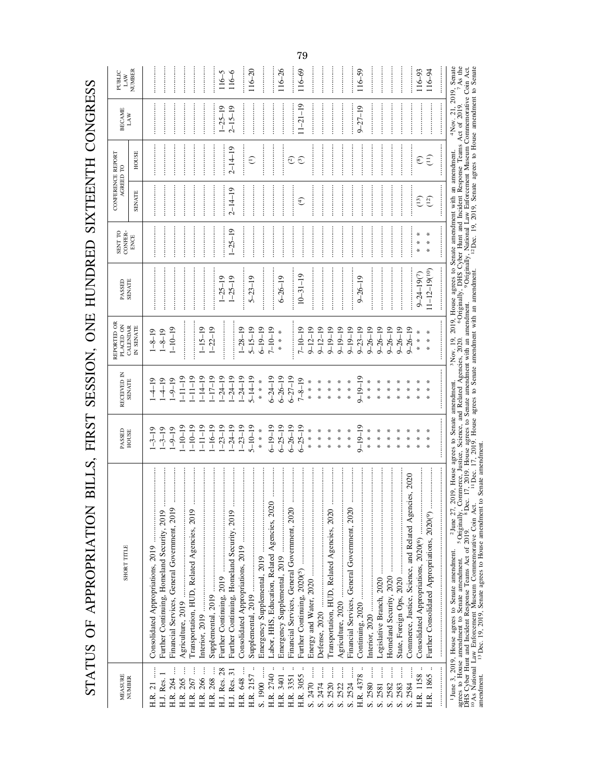STATUS OF APPROPRIATION BILLS, FIRST SESSION, ONE HUNDRED SIXTEENTH CONGRESS STATUS OF APPROPRIATION BILLS, FIRST SESSION, ONE HUNDRED SIXTEENTH CONGRESS

| <b>MEASURE</b>              |                                                                                                                                                                                                                                                           | PASSED                          | RECEIVED IN           | REPORTED OR<br>PLACED ON | PASSED                                                                                                                                                                                                                                                                                | SENT TO         | CONFERENCE REPORT<br>AGREED TO |                         | <b>BECAME</b>                                         | PUBLIC                          |
|-----------------------------|-----------------------------------------------------------------------------------------------------------------------------------------------------------------------------------------------------------------------------------------------------------|---------------------------------|-----------------------|--------------------------|---------------------------------------------------------------------------------------------------------------------------------------------------------------------------------------------------------------------------------------------------------------------------------------|-----------------|--------------------------------|-------------------------|-------------------------------------------------------|---------------------------------|
| NUMBER                      | SHORT TITLE                                                                                                                                                                                                                                               | HOUSE                           | <b>SENATE</b>         | CALENDAR<br>IN SENATE    | <b>SENATE</b>                                                                                                                                                                                                                                                                         | CONFER-<br>ENCE | <b>SENATE</b>                  | HOUSE                   | LAW                                                   | NUMBER<br>LAW                   |
| H.R. 21                     | <br>Consolidated Appropriations, 2019                                                                                                                                                                                                                     | $1 - 3 - 19$                    | $-4-19$               | $1 - 8 - 19$             |                                                                                                                                                                                                                                                                                       |                 |                                | .                       |                                                       |                                 |
| H.J. Res. 1                 | Further Continuing, Homeland Security, 2019                                                                                                                                                                                                               | $1 - 3 - 19$                    | $1 - 4 - 19$          | $1 - 8 - 19$             |                                                                                                                                                                                                                                                                                       |                 |                                |                         |                                                       |                                 |
| H.R. 264                    | <br>Financial Services, General Government, 2019                                                                                                                                                                                                          | $1 - 9 - 19$                    | $-9-19$               | $1 - 10 - 19$            |                                                                                                                                                                                                                                                                                       |                 |                                |                         | .                                                     | .                               |
| 265                         |                                                                                                                                                                                                                                                           | $-10-19$                        | $-11 - 19$            |                          |                                                                                                                                                                                                                                                                                       |                 |                                |                         |                                                       |                                 |
| 267                         | Transportation, HUD, Related Agencies, 2019                                                                                                                                                                                                               | $-10-19$                        | $-11-19$              |                          |                                                                                                                                                                                                                                                                                       |                 |                                |                         |                                                       |                                 |
| 266<br>H.R.                 |                                                                                                                                                                                                                                                           | $-11-19$                        | $-14-19$              | $1 - 15 - 19$            |                                                                                                                                                                                                                                                                                       |                 |                                |                         |                                                       |                                 |
| H.R. 268                    |                                                                                                                                                                                                                                                           | $-16 - 19$                      | $-17-19$              | $1 - 22 - 19$            |                                                                                                                                                                                                                                                                                       |                 |                                |                         |                                                       |                                 |
| H.J. Res. 28                |                                                                                                                                                                                                                                                           | $-23-19$                        | $-24-19$              |                          | $1 - 25 - 19$                                                                                                                                                                                                                                                                         |                 |                                |                         | $1 - 25 - 19$                                         | $116 - 5$                       |
| H.J. Res. 31                |                                                                                                                                                                                                                                                           | $-24-19$                        | $1 - 24 - 19$         | .                        | $1 - 25 - 19$                                                                                                                                                                                                                                                                         | $1 - 25 - 19$   | $2 - 14 - 19$                  | $2 - 14 - 19$           | $2 - 15 - 19$                                         | $116 - 6$                       |
| H.R. 648                    |                                                                                                                                                                                                                                                           | $-23-19$                        | $1 - 24 - 19$         | $1 - 28 - 19$            | .                                                                                                                                                                                                                                                                                     |                 |                                | .                       |                                                       |                                 |
| H.R. 2157                   |                                                                                                                                                                                                                                                           | $5 - 10 - 19$                   | $5 - 14 - 19$         | $5 - 15 - 19$            | $5 - 23 - 19$                                                                                                                                                                                                                                                                         |                 |                                | $\epsilon$              |                                                       | $116 - 20$                      |
| S. 1900                     |                                                                                                                                                                                                                                                           | *<br>*<br>*                     | *<br>*<br>*           | $6 - 19 - 19$            | :<br>: : : : : : : :                                                                                                                                                                                                                                                                  |                 | .                              |                         |                                                       | .<br>.<br>.<br>.<br>.<br>.<br>. |
| H.R. 2740                   | <br>Labor, HHS, Education, Related Agencies, 2020                                                                                                                                                                                                         | $6 - 19$                        | $6 - 24 - 19$         | $7 - 10 - 19$            |                                                                                                                                                                                                                                                                                       |                 |                                |                         |                                                       |                                 |
| H.R. 3401                   |                                                                                                                                                                                                                                                           | $6 - 25 - 19$                   | $6 - 26 - 19$         | $*$<br>*<br>$\ast$       | $6 - 26 - 19$                                                                                                                                                                                                                                                                         | .               |                                |                         |                                                       | $116 - 26$                      |
| $\ddot{\cdot}$<br>H.R. 3351 | <br>Financial Services, General Government, 2020                                                                                                                                                                                                          | $6 - 26 - 19$                   | $6 - 27 - 19$         |                          |                                                                                                                                                                                                                                                                                       |                 |                                | $\widehat{c}$           |                                                       |                                 |
| H.R. 3055                   |                                                                                                                                                                                                                                                           | $6 - 25 - 19$                   | $7 - 8 - 19$          | $7 - 10 - 19$            | $10 - 31 - 19$                                                                                                                                                                                                                                                                        |                 | $\bigoplus$                    | $\widehat{c}$           | $11 - 21 - 19$                                        | $116 - 69$                      |
| S. 2470                     | .                                                                                                                                                                                                                                                         | * * *                           | $\ast$<br>$*$<br>*    | $9 - 12 - 19$            |                                                                                                                                                                                                                                                                                       |                 | .                              |                         |                                                       |                                 |
| $S. 2474$                   |                                                                                                                                                                                                                                                           | ∗<br>∗<br>$\ast$                | ⋇<br>$\ast$<br>$\ast$ | $9 - 12 - 19$            |                                                                                                                                                                                                                                                                                       |                 |                                |                         |                                                       |                                 |
| S. 2520                     | <br>Transportation, HUD, Related Agencies, 2020                                                                                                                                                                                                           | ⋇<br>₩<br>×                     | ⋇<br>×<br>×           | $9 - 19 - 19$            |                                                                                                                                                                                                                                                                                       |                 |                                | .                       |                                                       |                                 |
| S. 2522                     |                                                                                                                                                                                                                                                           | ₩<br>$\ast$<br>$\ast$           | ⋇<br>$\ast$<br>$\ast$ | $9 - 19 - 19$            |                                                                                                                                                                                                                                                                                       |                 |                                |                         |                                                       |                                 |
| S. 2524                     | Financial Services, General Government, 2020                                                                                                                                                                                                              | ∗<br>$*$<br>*                   | ⋇<br>$*$<br>*         | $9 - 19 - 19$            |                                                                                                                                                                                                                                                                                       |                 |                                |                         |                                                       |                                 |
| H.R. 4378                   |                                                                                                                                                                                                                                                           | $9 - 19 - 19$                   | $9 - 19 - 19$         | $9 - 23 - 19$            | $9 - 26 - 19$                                                                                                                                                                                                                                                                         |                 |                                |                         | $9 - 27 - 19$                                         | $116 - 59$                      |
| S. 2580                     |                                                                                                                                                                                                                                                           | * * *                           | ₩<br>$*$<br>*         | $9 - 26 - 19$            |                                                                                                                                                                                                                                                                                       |                 |                                |                         |                                                       |                                 |
| S. 2581                     |                                                                                                                                                                                                                                                           | ⋇<br>₩<br>∗                     | ∗<br>₩<br>₩           | $9 - 26 - 19$            |                                                                                                                                                                                                                                                                                       |                 |                                | .                       |                                                       |                                 |
| $S. 2582$                   |                                                                                                                                                                                                                                                           | ⋇<br>$\divideontimes$<br>$\ast$ | ⋇<br>⋇<br>₩           | $9 - 26 - 19$            |                                                                                                                                                                                                                                                                                       |                 |                                | .                       |                                                       |                                 |
| 2583<br>$\mathbf{v}$        |                                                                                                                                                                                                                                                           | ⋇                               | ⋇                     | $9 - 26 - 19$            |                                                                                                                                                                                                                                                                                       |                 |                                |                         |                                                       |                                 |
| S. 2584                     | Commerce, Justice, Science, and Related Agencies, 2020                                                                                                                                                                                                    |                                 | ⋇                     | $9 - 26 - 19$            |                                                                                                                                                                                                                                                                                       |                 |                                |                         |                                                       | .                               |
| H.R. 1158.                  | <br>Consolidated Appropriations, 2020(6)                                                                                                                                                                                                                  | ⋇                               |                       | * * *                    | $9 - 24 - 19(7)$                                                                                                                                                                                                                                                                      | ⋇<br>×<br>×     | (13)                           | $\widehat{\mathscr{E}}$ |                                                       | $116 - 93$                      |
| $\ddot{\cdot}$<br>H.R. 1865 |                                                                                                                                                                                                                                                           | ⋇<br>⋇<br>⋇                     |                       | ₩<br>∗<br>$\ast$         | $(1 - 12 - 19(10))$                                                                                                                                                                                                                                                                   | ⋇<br>⋇<br>₩     | (12)                           | $\binom{1}{1}$          |                                                       | $116 - 94$                      |
|                             |                                                                                                                                                                                                                                                           |                                 |                       |                          |                                                                                                                                                                                                                                                                                       |                 |                                |                         |                                                       |                                 |
|                             |                                                                                                                                                                                                                                                           |                                 |                       |                          | <sup>3</sup> Nov. 19, 2019, House agrees to Senate amendment with an amendment.                                                                                                                                                                                                       |                 |                                |                         | $4$ Nov. 21, 2019, Senate<br>ct of 2019. $7^7$ As the |                                 |
|                             | <sup>1</sup> June 3, 2019, House agrees to Senate amendment. <sup>2</sup> June 27, 2019, House agrees to Senate amendment. <sup>3</sup> Nov. 19, 2019, House agrees to agrees to Senate amendment to Senate amendment to Senate amendment of 2019, Commer |                                 |                       |                          | <sup>6</sup> Originally, DHS Cyber Hunt and Incident Response Teams Act of 2019. <sup>7</sup> As the number of 2019. <sup>7</sup> As the number of 2019 or $\frac{1}{2}$ or $\frac{1}{2}$ or $\frac{1}{2}$ or $\frac{1}{2}$ or $\frac{1}{2}$ or $\frac{1}{2}$ or $\frac{1}{2}$ or $\$ |                 |                                |                         |                                                       |                                 |
|                             |                                                                                                                                                                                                                                                           |                                 |                       |                          |                                                                                                                                                                                                                                                                                       |                 |                                |                         |                                                       |                                 |
|                             |                                                                                                                                                                                                                                                           |                                 |                       |                          |                                                                                                                                                                                                                                                                                       |                 |                                |                         |                                                       |                                 |

79